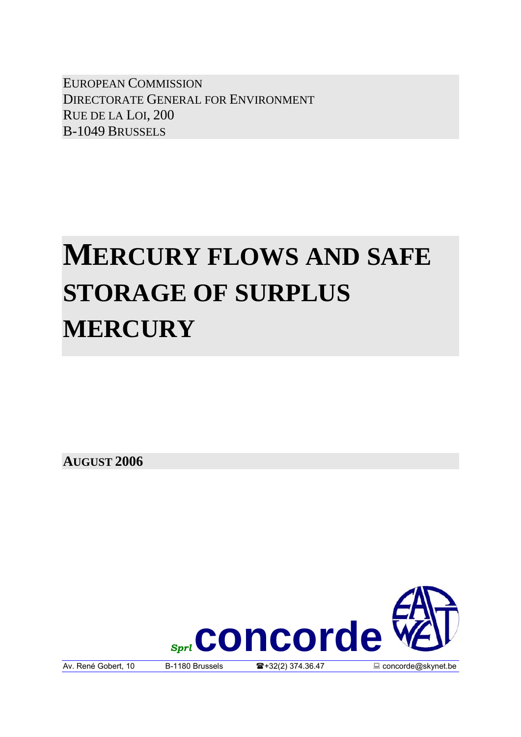EUROPEAN COMMISSION DIRECTORATE GENERAL FOR ENVIRONMENT RUE DE LA LOI, 200 B-1049 BRUSSELS

# **MERCURY FLOWS AND SAFE STORAGE OF SURPLUS MERCURY**

**AUGUST 2006** 

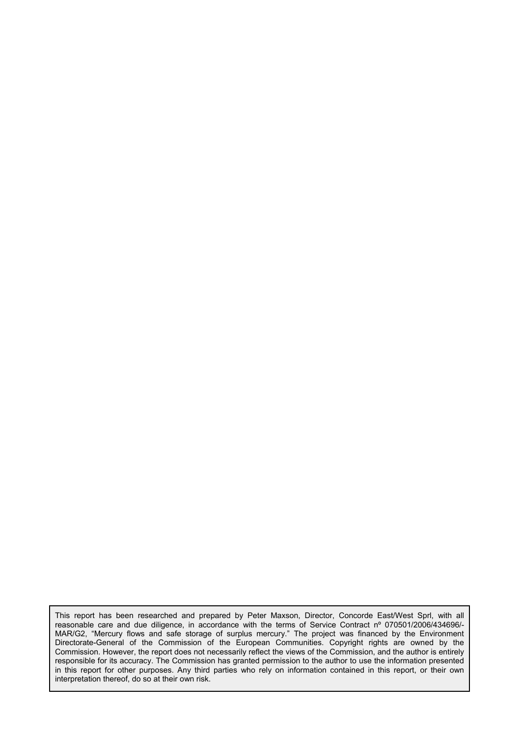This report has been researched and prepared by Peter Maxson, Director, Concorde East/West Sprl, with all reasonable care and due diligence, in accordance with the terms of Service Contract nº 070501/2006/434696/- MAR/G2, "Mercury flows and safe storage of surplus mercury." The project was financed by the Environment Directorate-General of the Commission of the European Communities. Copyright rights are owned by the Commission. However, the report does not necessarily reflect the views of the Commission, and the author is entirely responsible for its accuracy. The Commission has granted permission to the author to use the information presented in this report for other purposes. Any third parties who rely on information contained in this report, or their own interpretation thereof, do so at their own risk.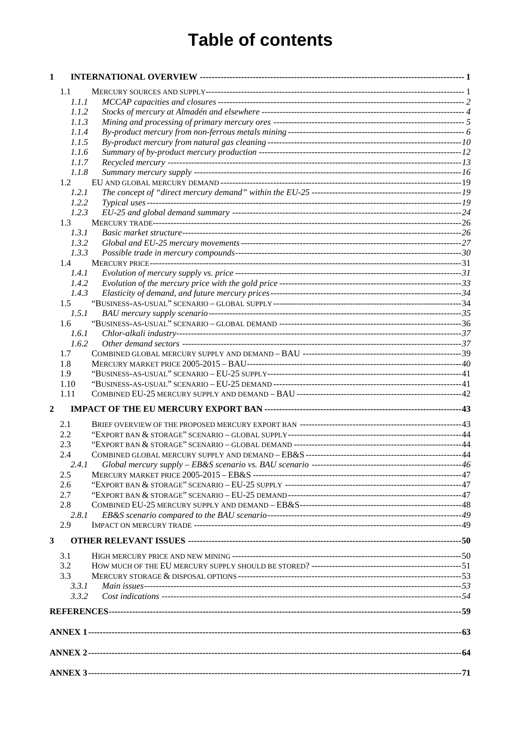# **Table of contents**

| 1              |                |  |
|----------------|----------------|--|
|                | 1.1            |  |
|                | 1.1.1          |  |
|                | 1.1.2          |  |
|                | 1.1.3          |  |
|                | 1.1.4          |  |
|                | 1.1.5          |  |
|                | 1.1.6          |  |
|                | 1.1.7          |  |
|                | 1.1.8          |  |
|                | 1.2            |  |
|                | 1.2.1          |  |
|                | 1.2.2          |  |
|                | 1.2.3          |  |
|                | 1.3            |  |
|                | 1.3.1          |  |
|                | 1.3.2          |  |
|                | 1.3.3          |  |
|                | 1.4            |  |
|                | 1.4.1          |  |
|                | 1.4.2          |  |
|                | 1.4.3          |  |
|                | 1.5            |  |
|                | 1.5.1          |  |
|                | 1.6            |  |
|                | 1.6.1          |  |
|                | 1.6.2          |  |
|                | 1.7            |  |
|                | 1.8            |  |
|                | 1.9            |  |
|                | 1.10           |  |
|                | 1.11           |  |
| $\overline{2}$ |                |  |
|                | 2.1            |  |
|                | 2.2            |  |
|                | 2.3            |  |
|                | 2.4            |  |
|                | 2.4.1          |  |
|                | 2.5            |  |
|                | 2.6            |  |
|                | 2.7            |  |
|                | 2.8            |  |
|                | 2.8.1          |  |
|                | 2.9            |  |
| $\mathbf{3}$   |                |  |
|                |                |  |
|                | 3.1            |  |
|                | 3.2            |  |
|                | 3.3            |  |
|                | 3.3.1<br>3.3.2 |  |
|                |                |  |
|                |                |  |
|                |                |  |
|                |                |  |
|                |                |  |
|                |                |  |
|                |                |  |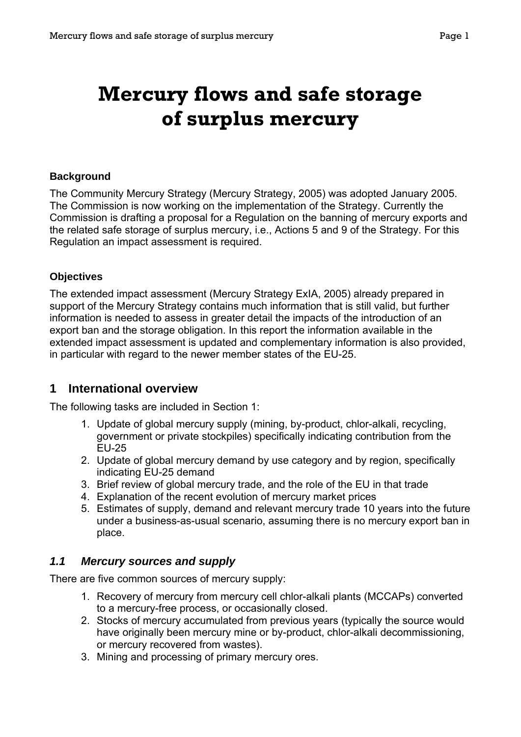# <span id="page-3-0"></span>**Mercury flows and safe storage of surplus mercury**

#### **Background**

The Community Mercury Strategy (Mercury Strategy, 2005) was adopted January 2005. The Commission is now working on the implementation of the Strategy. Currently the Commission is drafting a proposal for a Regulation on the banning of mercury exports and the related safe storage of surplus mercury, i.e., Actions 5 and 9 of the Strategy. For this Regulation an impact assessment is required.

#### **Objectives**

The extended impact assessment (Mercury Strategy ExIA, 2005) already prepared in support of the Mercury Strategy contains much information that is still valid, but further information is needed to assess in greater detail the impacts of the introduction of an export ban and the storage obligation. In this report the information available in the extended impact assessment is updated and complementary information is also provided, in particular with regard to the newer member states of the EU-25.

#### **1 International overview**

The following tasks are included in Section 1:

- 1. Update of global mercury supply (mining, by-product, chlor-alkali, recycling, government or private stockpiles) specifically indicating contribution from the EU-25
- 2. Update of global mercury demand by use category and by region, specifically indicating EU-25 demand
- 3. Brief review of global mercury trade, and the role of the EU in that trade
- 4. Explanation of the recent evolution of mercury market prices
- 5. Estimates of supply, demand and relevant mercury trade 10 years into the future under a business-as-usual scenario, assuming there is no mercury export ban in place.

#### *1.1 Mercury sources and supply*

There are five common sources of mercury supply:

- 1. Recovery of mercury from mercury cell chlor-alkali plants (MCCAPs) converted to a mercury-free process, or occasionally closed.
- 2. Stocks of mercury accumulated from previous years (typically the source would have originally been mercury mine or by-product, chlor-alkali decommissioning, or mercury recovered from wastes).
- 3. Mining and processing of primary mercury ores.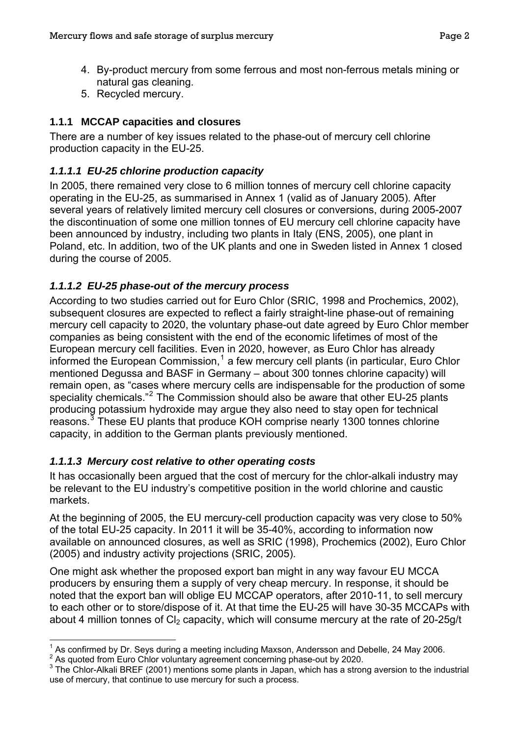- <span id="page-4-0"></span>4. By-product mercury from some ferrous and most non-ferrous metals mining or natural gas cleaning.
- 5. Recycled mercury.

# **1.1.1 MCCAP capacities and closures**

There are a number of key issues related to the phase-out of mercury cell chlorine production capacity in the EU-25.

# *1.1.1.1 EU-25 chlorine production capacity*

In 2005, there remained very close to 6 million tonnes of mercury cell chlorine capacity operating in the EU-25, as summarised in Annex 1 (valid as of January 2005). After several years of relatively limited mercury cell closures or conversions, during 2005-2007 the discontinuation of some one million tonnes of EU mercury cell chlorine capacity have been announced by industry, including two plants in Italy (ENS, 2005), one plant in Poland, etc. In addition, two of the UK plants and one in Sweden listed in Annex 1 closed during the course of 2005.

# *1.1.1.2 EU-25 phase-out of the mercury process*

According to two studies carried out for Euro Chlor (SRIC, 1998 and Prochemics, 2002), subsequent closures are expected to reflect a fairly straight-line phase-out of remaining mercury cell capacity to 2020, the voluntary phase-out date agreed by Euro Chlor member companies as being consistent with the end of the economic lifetimes of most of the European mercury cell facilities. Even in 2020, however, as Euro Chlor has already informed the European Commission,<sup>[1](#page-4-1)</sup> a few mercury cell plants (in particular, Euro Chlor mentioned Degussa and BASF in Germany – about 300 tonnes chlorine capacity) will remain open, as "cases where mercury cells are indispensable for the production of some speciality chemicals."<sup>[2](#page-4-2)</sup> The Commission should also be aware that other EU-25 plants producing potassium hydroxide may argue they also need to stay open for technical reasons.<sup>[3](#page-4-3)</sup> These EU plants that produce KOH comprise nearly 1300 tonnes chlorine capacity, in addition to the German plants previously mentioned.

# *1.1.1.3 Mercury cost relative to other operating costs*

It has occasionally been argued that the cost of mercury for the chlor-alkali industry may be relevant to the EU industry's competitive position in the world chlorine and caustic markets.

At the beginning of 2005, the EU mercury-cell production capacity was very close to 50% of the total EU-25 capacity. In 2011 it will be 35-40%, according to information now available on announced closures, as well as SRIC (1998), Prochemics (2002), Euro Chlor (2005) and industry activity projections (SRIC, 2005).

One might ask whether the proposed export ban might in any way favour EU MCCA producers by ensuring them a supply of very cheap mercury. In response, it should be noted that the export ban will oblige EU MCCAP operators, after 2010-11, to sell mercury to each other or to store/dispose of it. At that time the EU-25 will have 30-35 MCCAPs with about 4 million tonnes of  $Cl<sub>2</sub>$  capacity, which will consume mercury at the rate of 20-25g/t

 $\overline{a}$ <sup>1</sup> As confirmed by Dr. Seys during a meeting including Maxson, Andersson and Debelle, 24 May 2006.

<span id="page-4-2"></span><span id="page-4-1"></span>As commodery Br. Coyo Caming a modern general concerning phase-out by 2020.

<span id="page-4-3"></span> $3$  The Chlor-Alkali BREF (2001) mentions some plants in Japan, which has a strong aversion to the industrial use of mercury, that continue to use mercury for such a process.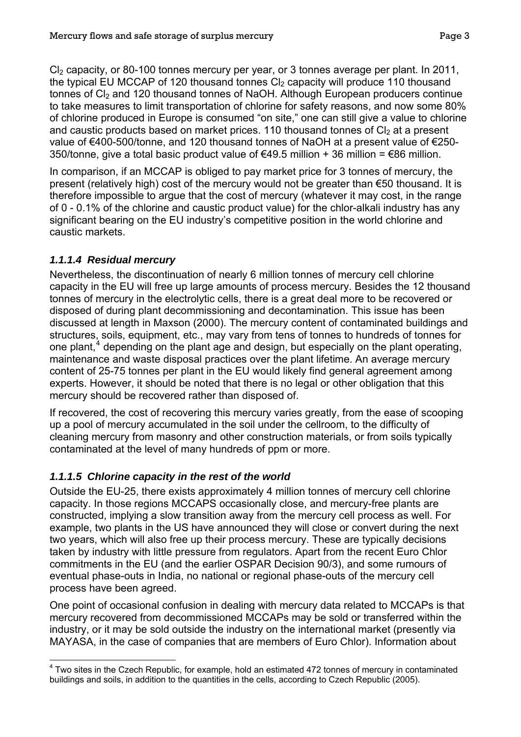Cl<sub>2</sub> capacity, or 80-100 tonnes mercury per year, or 3 tonnes average per plant. In 2011, the typical EU MCCAP of 120 thousand tonnes  $C_2$  capacity will produce 110 thousand tonnes of CI<sub>2</sub> and 120 thousand tonnes of NaOH. Although European producers continue to take measures to limit transportation of chlorine for safety reasons, and now some 80% of chlorine produced in Europe is consumed "on site," one can still give a value to chlorine and caustic products based on market prices. 110 thousand tonnes of  $Cl<sub>2</sub>$  at a present value of €400-500/tonne, and 120 thousand tonnes of NaOH at a present value of €250- 350/tonne, give a total basic product value of €49.5 million + 36 million = €86 million.

In comparison, if an MCCAP is obliged to pay market price for 3 tonnes of mercury, the present (relatively high) cost of the mercury would not be greater than €50 thousand. It is therefore impossible to argue that the cost of mercury (whatever it may cost, in the range of 0 - 0.1% of the chlorine and caustic product value) for the chlor-alkali industry has any significant bearing on the EU industry's competitive position in the world chlorine and caustic markets.

#### *1.1.1.4 Residual mercury*

Nevertheless, the discontinuation of nearly 6 million tonnes of mercury cell chlorine capacity in the EU will free up large amounts of process mercury. Besides the 12 thousand tonnes of mercury in the electrolytic cells, there is a great deal more to be recovered or disposed of during plant decommissioning and decontamination. This issue has been discussed at length in Maxson (2000). The mercury content of contaminated buildings and structures, soils, equipment, etc., may vary from tens of tonnes to hundreds of tonnes for one plant, $4$  depending on the plant age and design, but especially on the plant operating, maintenance and waste disposal practices over the plant lifetime. An average mercury content of 25-75 tonnes per plant in the EU would likely find general agreement among experts. However, it should be noted that there is no legal or other obligation that this mercury should be recovered rather than disposed of.

If recovered, the cost of recovering this mercury varies greatly, from the ease of scooping up a pool of mercury accumulated in the soil under the cellroom, to the difficulty of cleaning mercury from masonry and other construction materials, or from soils typically contaminated at the level of many hundreds of ppm or more.

# *1.1.1.5 Chlorine capacity in the rest of the world*

Outside the EU-25, there exists approximately 4 million tonnes of mercury cell chlorine capacity. In those regions MCCAPS occasionally close, and mercury-free plants are constructed, implying a slow transition away from the mercury cell process as well. For example, two plants in the US have announced they will close or convert during the next two years, which will also free up their process mercury. These are typically decisions taken by industry with little pressure from regulators. Apart from the recent Euro Chlor commitments in the EU (and the earlier OSPAR Decision 90/3), and some rumours of eventual phase-outs in India, no national or regional phase-outs of the mercury cell process have been agreed.

One point of occasional confusion in dealing with mercury data related to MCCAPs is that mercury recovered from decommissioned MCCAPs may be sold or transferred within the industry, or it may be sold outside the industry on the international market (presently via MAYASA, in the case of companies that are members of Euro Chlor). Information about

<span id="page-5-0"></span> $\overline{a}$  $4$  Two sites in the Czech Republic, for example, hold an estimated 472 tonnes of mercury in contaminated buildings and soils, in addition to the quantities in the cells, according to Czech Republic (2005).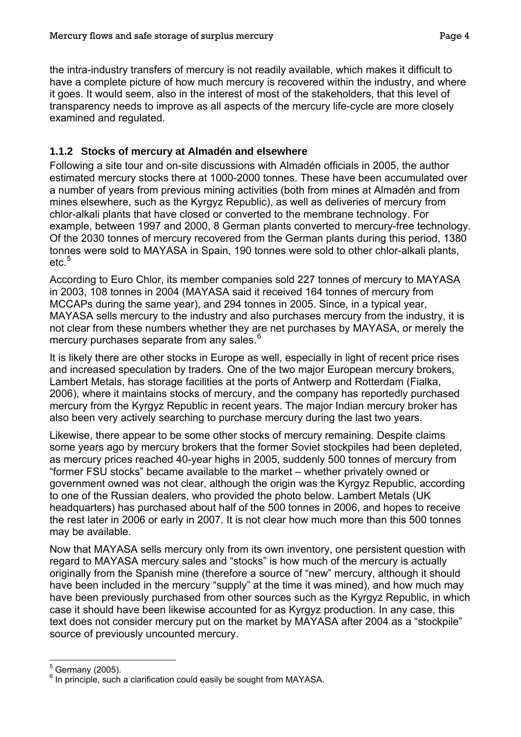<span id="page-6-0"></span>the intra-industry transfers of mercury is not readily available, which makes it difficult to have a complete picture of how much mercury is recovered within the industry, and where it goes. It would seem, also in the interest of most of the stakeholders, that this level of transparency needs to improve as all aspects of the mercury life-cycle are more closely examined and regulated.

# <span id="page-6-3"></span>**1.1.2 Stocks of mercury at Almadén and elsewhere**

Following a site tour and on-site discussions with Almadén officials in 2005, the author estimated mercury stocks there at 1000-2000 tonnes. These have been accumulated over a number of years from previous mining activities (both from mines at Almadén and from mines elsewhere, such as the Kyrgyz Republic), as well as deliveries of mercury from chlor-alkali plants that have closed or converted to the membrane technology. For example, between 1997 and 2000, 8 German plants converted to mercury-free technology. Of the 2030 tonnes of mercury recovered from the German plants during this period, 1380 tonnes were sold to MAYASA in Spain, 190 tonnes were sold to other chlor-alkali plants, etc.<sup>[5](#page-6-1)</sup>

According to Euro Chlor, its member companies sold 227 tonnes of mercury to MAYASA in 2003, 108 tonnes in 2004 (MAYASA said it received 164 tonnes of mercury from MCCAPs during the same year), and 294 tonnes in 2005. Since, in a typical year, MAYASA sells mercury to the industry and also purchases mercury from the industry, it is not clear from these numbers whether they are net purchases by MAYASA, or merely the mercury purchases separate from any sales.<sup>[6](#page-6-2)</sup>

It is likely there are other stocks in Europe as well, especially in light of recent price rises and increased speculation by traders. One of the two major European mercury brokers, Lambert Metals, has storage facilities at the ports of Antwerp and Rotterdam (Fialka, 2006), where it maintains stocks of mercury, and the company has reportedly purchased mercury from the Kyrgyz Republic in recent years. The major Indian mercury broker has also been very actively searching to purchase mercury during the last two years.

Likewise, there appear to be some other stocks of mercury remaining. Despite claims some years ago by mercury brokers that the former Soviet stockpiles had been depleted, as mercury prices reached 40-year highs in 2005, suddenly 500 tonnes of mercury from "former FSU stocks" became available to the market – whether privately owned or government owned was not clear, although the origin was the Kyrgyz Republic, according to one of the Russian dealers, who provided the photo below. Lambert Metals (UK headquarters) has purchased about half of the 500 tonnes in 2006, and hopes to receive the rest later in 2006 or early in 2007. It is not clear how much more than this 500 tonnes may be available.

Now that MAYASA sells mercury only from its own inventory, one persistent question with regard to MAYASA mercury sales and "stocks" is how much of the mercury is actually originally from the Spanish mine (therefore a source of "new" mercury, although it should have been included in the mercury "supply" at the time it was mined), and how much may have been previously purchased from other sources such as the Kyrgyz Republic, in which case it should have been likewise accounted for as Kyrgyz production. In any case, this text does not consider mercury put on the market by MAYASA after 2004 as a "stockpile" source of previously uncounted mercury.

 $\overline{a}$  $<sup>5</sup>$  Germany (2005).</sup>

<span id="page-6-2"></span><span id="page-6-1"></span> $6$  In principle, such a clarification could easily be sought from MAYASA.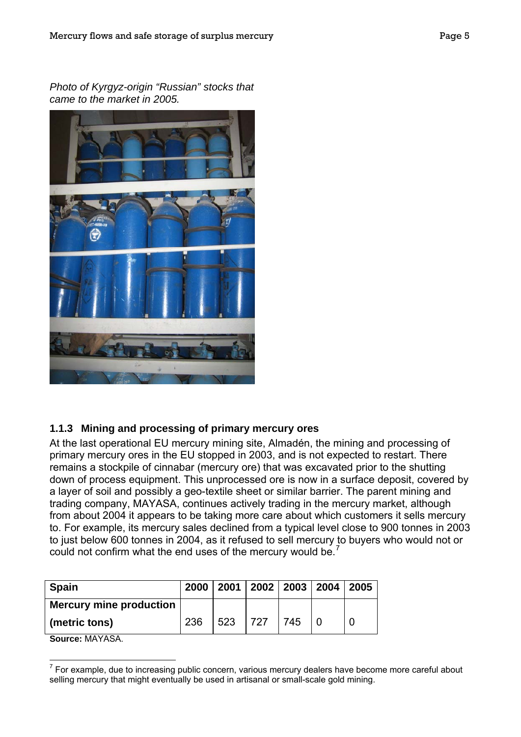<span id="page-7-0"></span>*Photo of Kyrgyz-origin "Russian" stocks that came to the market in 2005.* 



# **1.1.3 Mining and processing of primary mercury ores**

At the last operational EU mercury mining site, Almadén, the mining and processing of primary mercury ores in the EU stopped in 2003, and is not expected to restart. There remains a stockpile of cinnabar (mercury ore) that was excavated prior to the shutting down of process equipment. This unprocessed ore is now in a surface deposit, covered by a layer of soil and possibly a geo-textile sheet or similar barrier. The parent mining and trading company, MAYASA, continues actively trading in the mercury market, although from about 2004 it appears to be taking more care about which customers it sells mercury to. For example, its mercury sales declined from a typical level close to 900 tonnes in 2003 to just below 600 tonnes in 2004, as it refused to sell mercury to buyers who would not or could not confirm what the end uses of the mercury would be.<sup>[7](#page-7-1)</sup>

| <b>Spain</b>                   | 2000 |     |      |     | 2001   2002   2003   2004   2005 |  |
|--------------------------------|------|-----|------|-----|----------------------------------|--|
| <b>Mercury mine production</b> |      |     |      |     |                                  |  |
| (metric tons)                  | 236  | 523 | 1727 | 745 |                                  |  |

**Source:** MAYASA.

<span id="page-7-1"></span> $\overline{a}$  $7$  For example, due to increasing public concern, various mercury dealers have become more careful about selling mercury that might eventually be used in artisanal or small-scale gold mining.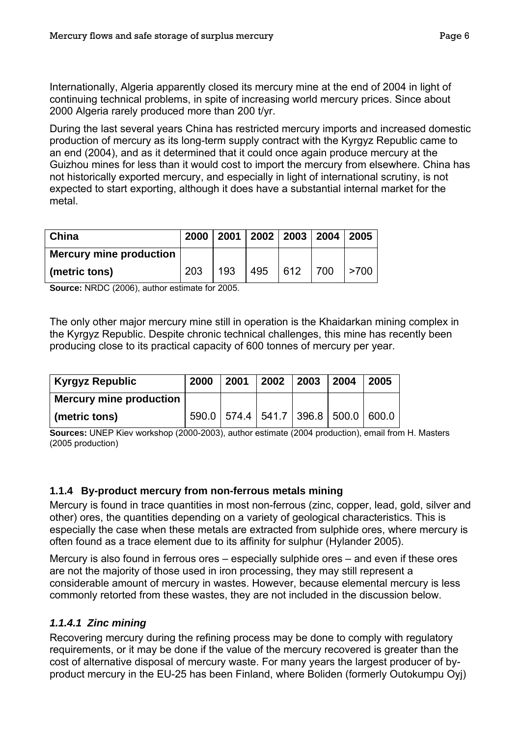<span id="page-8-0"></span>Internationally, Algeria apparently closed its mercury mine at the end of 2004 in light of continuing technical problems, in spite of increasing world mercury prices. Since about 2000 Algeria rarely produced more than 200 t/yr.

During the last several years China has restricted mercury imports and increased domestic production of mercury as its long-term supply contract with the Kyrgyz Republic came to an end (2004), and as it determined that it could once again produce mercury at the Guizhou mines for less than it would cost to import the mercury from elsewhere. China has not historically exported mercury, and especially in light of international scrutiny, is not expected to start exporting, although it does have a substantial internal market for the metal.

| China                          | 2000 |     | 2001   2002   2003   2004   2005 |     |     |            |
|--------------------------------|------|-----|----------------------------------|-----|-----|------------|
| <b>Mercury mine production</b> |      |     |                                  |     |     |            |
| (metric tons)                  | 203  | 193 | 495                              | 612 | 700 | $\geq 700$ |

**Source:** NRDC (2006), author estimate for 2005.

The only other major mercury mine still in operation is the Khaidarkan mining complex in the Kyrgyz Republic. Despite chronic technical challenges, this mine has recently been producing close to its practical capacity of 600 tonnes of mercury per year.

| Kyrgyz Republic                | 2000 | 2001 | 2002 2003 | $\mid$ 2004 $\mid$                            | 2005 |
|--------------------------------|------|------|-----------|-----------------------------------------------|------|
| <b>Mercury mine production</b> |      |      |           |                                               |      |
| $\mid$ (metric tons)           |      |      |           | 590.0   574.4   541.7   396.8   500.0   600.0 |      |

**Sources:** UNEP Kiev workshop (2000-2003), author estimate (2004 production), email from H. Masters (2005 production)

#### **1.1.4 By-product mercury from non-ferrous metals mining**

Mercury is found in trace quantities in most non-ferrous (zinc, copper, lead, gold, silver and other) ores, the quantities depending on a variety of geological characteristics. This is especially the case when these metals are extracted from sulphide ores, where mercury is often found as a trace element due to its affinity for sulphur (Hylander 2005).

Mercury is also found in ferrous ores – especially sulphide ores – and even if these ores are not the majority of those used in iron processing, they may still represent a considerable amount of mercury in wastes. However, because elemental mercury is less commonly retorted from these wastes, they are not included in the discussion below.

#### *1.1.4.1 Zinc mining*

Recovering mercury during the refining process may be done to comply with regulatory requirements, or it may be done if the value of the mercury recovered is greater than the cost of alternative disposal of mercury waste. For many years the largest producer of byproduct mercury in the EU-25 has been Finland, where Boliden (formerly Outokumpu Oyj)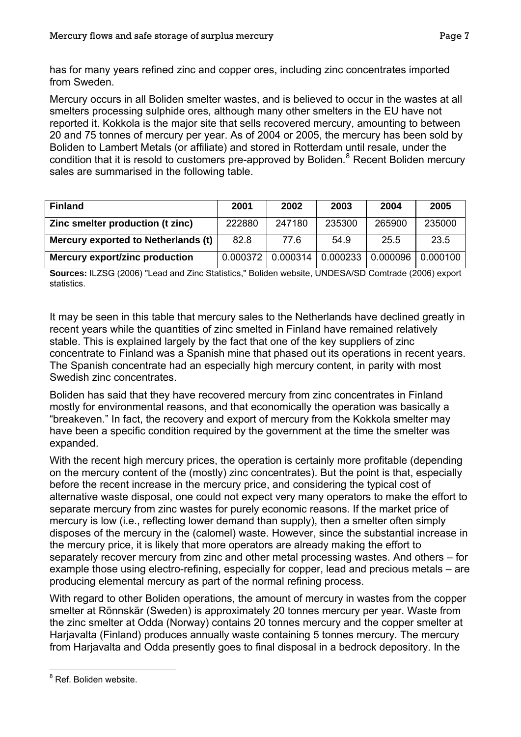has for many years refined zinc and copper ores, including zinc concentrates imported from Sweden.

Mercury occurs in all Boliden smelter wastes, and is believed to occur in the wastes at all smelters processing sulphide ores, although many other smelters in the EU have not reported it. Kokkola is the major site that sells recovered mercury, amounting to between 20 and 75 tonnes of mercury per year. As of 2004 or 2005, the mercury has been sold by Boliden to Lambert Metals (or affiliate) and stored in Rotterdam until resale, under the condition that it is resold to customers pre-approved by Boliden.<sup>[8](#page-9-0)</sup> Recent Boliden mercury sales are summarised in the following table.

| <b>Finland</b>                      | 2001     | 2002     | 2003     | 2004     | 2005     |
|-------------------------------------|----------|----------|----------|----------|----------|
| Zinc smelter production (t zinc)    | 222880   | 247180   | 235300   | 265900   | 235000   |
| Mercury exported to Netherlands (t) | 82.8     | 77.6     | 54.9     | 25.5     | 23.5     |
| Mercury export/zinc production      | 0.000372 | 0.000314 | 0.000233 | 0.000096 | 0.000100 |

**Sources:** ILZSG (2006) "Lead and Zinc Statistics," Boliden website, UNDESA/SD Comtrade (2006) export statistics.

It may be seen in this table that mercury sales to the Netherlands have declined greatly in recent years while the quantities of zinc smelted in Finland have remained relatively stable. This is explained largely by the fact that one of the key suppliers of zinc concentrate to Finland was a Spanish mine that phased out its operations in recent years. The Spanish concentrate had an especially high mercury content, in parity with most Swedish zinc concentrates.

Boliden has said that they have recovered mercury from zinc concentrates in Finland mostly for environmental reasons, and that economically the operation was basically a "breakeven." In fact, the recovery and export of mercury from the Kokkola smelter may have been a specific condition required by the government at the time the smelter was expanded.

With the recent high mercury prices, the operation is certainly more profitable (depending on the mercury content of the (mostly) zinc concentrates). But the point is that, especially before the recent increase in the mercury price, and considering the typical cost of alternative waste disposal, one could not expect very many operators to make the effort to separate mercury from zinc wastes for purely economic reasons. If the market price of mercury is low (i.e., reflecting lower demand than supply), then a smelter often simply disposes of the mercury in the (calomel) waste. However, since the substantial increase in the mercury price, it is likely that more operators are already making the effort to separately recover mercury from zinc and other metal processing wastes. And others – for example those using electro-refining, especially for copper, lead and precious metals – are producing elemental mercury as part of the normal refining process.

With regard to other Boliden operations, the amount of mercury in wastes from the copper smelter at Rönnskär (Sweden) is approximately 20 tonnes mercury per year. Waste from the zinc smelter at Odda (Norway) contains 20 tonnes mercury and the copper smelter at Harjavalta (Finland) produces annually waste containing 5 tonnes mercury. The mercury from Harjavalta and Odda presently goes to final disposal in a bedrock depository. In the

<span id="page-9-0"></span> $\overline{a}$ <sup>8</sup> Ref. Boliden website.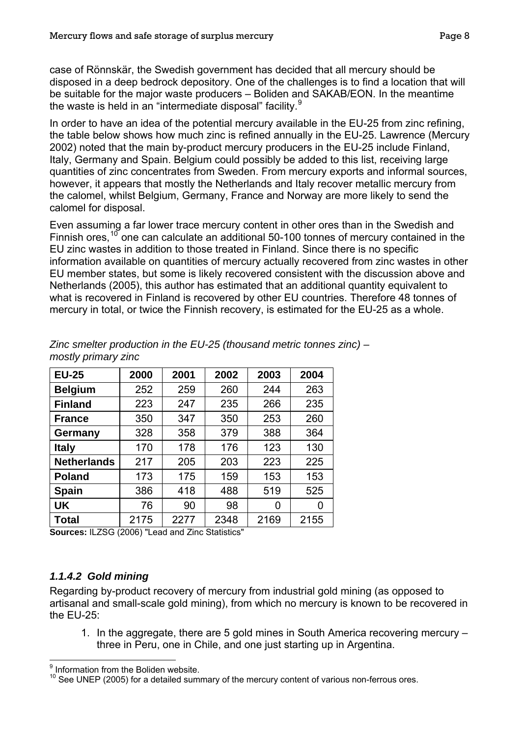<span id="page-10-0"></span>case of Rönnskär, the Swedish government has decided that all mercury should be disposed in a deep bedrock depository. One of the challenges is to find a location that will be suitable for the major waste producers – Boliden and SAKAB/EON. In the meantime the waste is held in an "intermediate disposal" facility.<sup>[9](#page-10-0)</sup>

In order to have an idea of the potential mercury available in the EU-25 from zinc refining, the table below shows how much zinc is refined annually in the EU-25. Lawrence (Mercury 2002) noted that the main by-product mercury producers in the EU-25 include Finland, Italy, Germany and Spain. Belgium could possibly be added to this list, receiving large quantities of zinc concentrates from Sweden. From mercury exports and informal sources, however, it appears that mostly the Netherlands and Italy recover metallic mercury from the calomel, whilst Belgium, Germany, France and Norway are more likely to send the calomel for disposal.

Even assuming a far lower trace mercury content in other ores than in the Swedish and Finnish ores,  $10$  one can calculate an additional 50-100 tonnes of mercury contained in the EU zinc wastes in addition to those treated in Finland. Since there is no specific information available on quantities of mercury actually recovered from zinc wastes in other EU member states, but some is likely recovered consistent with the discussion above and Netherlands (2005), this author has estimated that an additional quantity equivalent to what is recovered in Finland is recovered by other EU countries. Therefore 48 tonnes of mercury in total, or twice the Finnish recovery, is estimated for the EU-25 as a whole.

| <b>EU-25</b>       | 2000 | 2001 | 2002 | 2003 | 2004 |
|--------------------|------|------|------|------|------|
| <b>Belgium</b>     | 252  | 259  | 260  | 244  | 263  |
| <b>Finland</b>     | 223  | 247  | 235  | 266  | 235  |
| <b>France</b>      | 350  | 347  | 350  | 253  | 260  |
| Germany            | 328  | 358  | 379  | 388  | 364  |
| <b>Italy</b>       | 170  | 178  | 176  | 123  | 130  |
| <b>Netherlands</b> | 217  | 205  | 203  | 223  | 225  |
| <b>Poland</b>      | 173  | 175  | 159  | 153  | 153  |
| <b>Spain</b>       | 386  | 418  | 488  | 519  | 525  |
| <b>UK</b>          | 76   | 90   | 98   | 0    | 0    |
| Total              | 2175 | 2277 | 2348 | 2169 | 2155 |

*Zinc smelter production in the EU-25 (thousand metric tonnes zinc) – mostly primary zinc* 

**Sources:** ILZSG (2006) "Lead and Zinc Statistics"

# *1.1.4.2 Gold mining*

Regarding by-product recovery of mercury from industrial gold mining (as opposed to artisanal and small-scale gold mining), from which no mercury is known to be recovered in the EU-25:

1. In the aggregate, there are 5 gold mines in South America recovering mercury – three in Peru, one in Chile, and one just starting up in Argentina.

 $\overline{a}$  $<sup>9</sup>$  Information from the Boliden website.</sup>

 $10$  See UNEP (2005) for a detailed summary of the mercury content of various non-ferrous ores.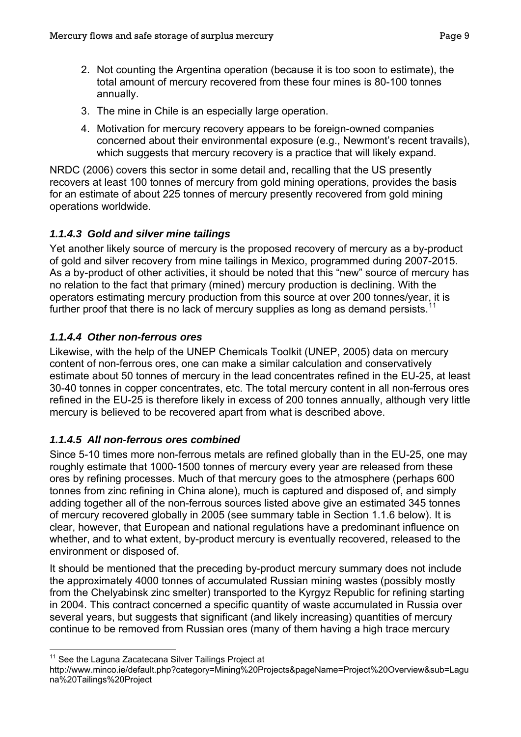- <span id="page-11-0"></span>2. Not counting the Argentina operation (because it is too soon to estimate), the total amount of mercury recovered from these four mines is 80-100 tonnes annually.
- 3. The mine in Chile is an especially large operation.
- 4. Motivation for mercury recovery appears to be foreign-owned companies concerned about their environmental exposure (e.g., Newmont's recent travails), which suggests that mercury recovery is a practice that will likely expand.

NRDC (2006) covers this sector in some detail and, recalling that the US presently recovers at least 100 tonnes of mercury from gold mining operations, provides the basis for an estimate of about 225 tonnes of mercury presently recovered from gold mining operations worldwide.

# *1.1.4.3 Gold and silver mine tailings*

Yet another likely source of mercury is the proposed recovery of mercury as a by-product of gold and silver recovery from mine tailings in Mexico, programmed during 2007-2015. As a by-product of other activities, it should be noted that this "new" source of mercury has no relation to the fact that primary (mined) mercury production is declining. With the operators estimating mercury production from this source at over 200 tonnes/year, it is further proof that there is no lack of mercury supplies as long as demand persists.<sup>[11](#page-11-0)</sup>

# *1.1.4.4 Other non-ferrous ores*

Likewise, with the help of the UNEP Chemicals Toolkit (UNEP, 2005) data on mercury content of non-ferrous ores, one can make a similar calculation and conservatively estimate about 50 tonnes of mercury in the lead concentrates refined in the EU-25, at least 30-40 tonnes in copper concentrates, etc. The total mercury content in all non-ferrous ores refined in the EU-25 is therefore likely in excess of 200 tonnes annually, although very little mercury is believed to be recovered apart from what is described above.

# *1.1.4.5 All non-ferrous ores combined*

Since 5-10 times more non-ferrous metals are refined globally than in the EU-25, one may roughly estimate that 1000-1500 tonnes of mercury every year are released from these ores by refining processes. Much of that mercury goes to the atmosphere (perhaps 600 tonnes from zinc refining in China alone), much is captured and disposed of, and simply adding together all of the non-ferrous sources listed above give an estimated 345 tonnes of mercury recovered globally in 2005 (see summary table in Section [1.1.6](#page-14-1) below). It is clear, however, that European and national regulations have a predominant influence on whether, and to what extent, by-product mercury is eventually recovered, released to the environment or disposed of.

It should be mentioned that the preceding by-product mercury summary does not include the approximately 4000 tonnes of accumulated Russian mining wastes (possibly mostly from the Chelyabinsk zinc smelter) transported to the Kyrgyz Republic for refining starting in 2004. This contract concerned a specific quantity of waste accumulated in Russia over several years, but suggests that significant (and likely increasing) quantities of mercury continue to be removed from Russian ores (many of them having a high trace mercury

 <sup>11</sup> See the Laguna Zacatecana Silver Tailings Project at

http://www.minco.ie/default.php?category=Mining%20Projects&pageName=Project%20Overview&sub=Lagu na%20Tailings%20Project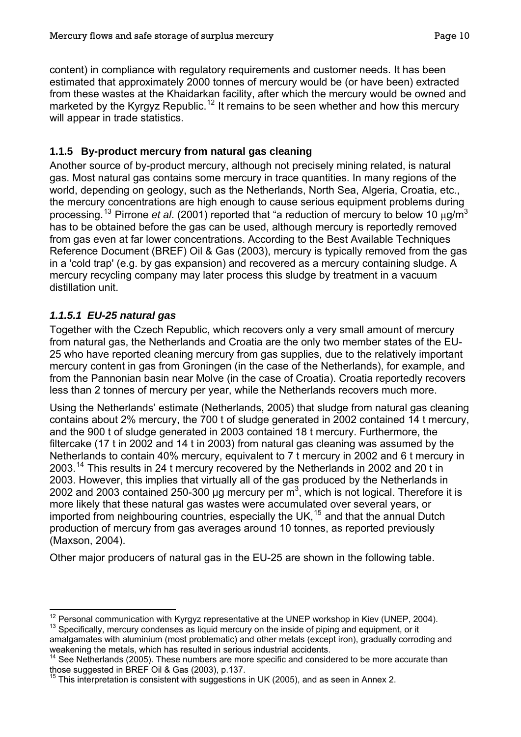<span id="page-12-0"></span>content) in compliance with regulatory requirements and customer needs. It has been estimated that approximately 2000 tonnes of mercury would be (or have been) extracted from these wastes at the Khaidarkan facility, after which the mercury would be owned and marketed by the Kyrgyz Republic.<sup>[12](#page-12-0)</sup> It remains to be seen whether and how this mercury will appear in trade statistics.

# **1.1.5 By-product mercury from natural gas cleaning**

Another source of by-product mercury, although not precisely mining related, is natural gas. Most natural gas contains some mercury in trace quantities. In many regions of the world, depending on geology, such as the Netherlands, North Sea, Algeria, Croatia, etc., the mercury concentrations are high enough to cause serious equipment problems during processing.[13](#page-12-0) Pirrone *et al*. (2001) reported that "a reduction of mercury to below 10 μg/m<sup>3</sup> has to be obtained before the gas can be used, although mercury is reportedly removed from gas even at far lower concentrations. According to the Best Available Techniques Reference Document (BREF) Oil & Gas (2003), mercury is typically removed from the gas in a 'cold trap' (e.g. by gas expansion) and recovered as a mercury containing sludge. A mercury recycling company may later process this sludge by treatment in a vacuum distillation unit.

# *1.1.5.1 EU-25 natural gas*

Together with the Czech Republic, which recovers only a very small amount of mercury from natural gas, the Netherlands and Croatia are the only two member states of the EU-25 who have reported cleaning mercury from gas supplies, due to the relatively important mercury content in gas from Groningen (in the case of the Netherlands), for example, and from the Pannonian basin near Molve (in the case of Croatia). Croatia reportedly recovers less than 2 tonnes of mercury per year, while the Netherlands recovers much more.

Using the Netherlands' estimate (Netherlands, 2005) that sludge from natural gas cleaning contains about 2% mercury, the 700 t of sludge generated in 2002 contained 14 t mercury, and the 900 t of sludge generated in 2003 contained 18 t mercury. Furthermore, the filtercake (17 t in 2002 and 14 t in 2003) from natural gas cleaning was assumed by the Netherlands to contain 40% mercury, equivalent to 7 t mercury in 2002 and 6 t mercury in 2003.<sup>[14](#page-12-0)</sup> This results in 24 t mercury recovered by the Netherlands in 2002 and 20 t in 2003. However, this implies that virtually all of the gas produced by the Netherlands in 2002 and 2003 contained 250-300 µg mercury per  $m^3$ , which is not logical. Therefore it is more likely that these natural gas wastes were accumulated over several years, or imported from neighbouring countries, especially the UK,<sup>[15](#page-12-0)</sup> and that the annual Dutch production of mercury from gas averages around 10 tonnes, as reported previously (Maxson, 2004).

Other major producers of natural gas in the EU-25 are shown in the following table.

 $\overline{a}$ <sup>12</sup> Personal communication with Kyrgyz representative at the UNEP workshop in Kiev (UNEP, 2004).<br><sup>13</sup> Specifically, mercury condenses as liquid mercury on the inside of piping and equipment, or it

amalgamates with aluminium (most problematic) and other metals (except iron), gradually corroding and

weakening the metals, which has resulted in serious industrial accidents. See Netherlands (2005). These numbers are more specific and considered to be more accurate than

those suggested in BREF Oil & Gas (2003), p.137.  $15$  This interpretation is consistent with suggestions in UK (2005), and as seen in Annex 2.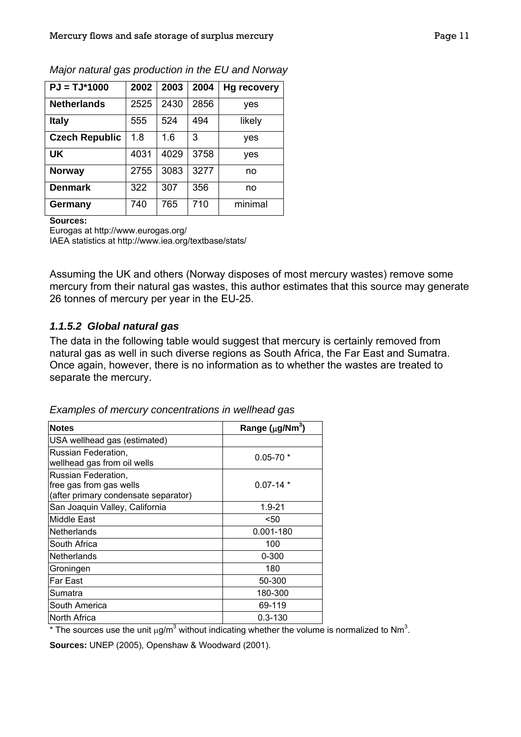| $PJ = TJ*1000$        | 2002 | 2003 | 2004 | <b>Hg recovery</b> |
|-----------------------|------|------|------|--------------------|
| <b>Netherlands</b>    | 2525 | 2430 | 2856 | yes                |
| <b>Italy</b>          | 555  | 524  | 494  | likely             |
| <b>Czech Republic</b> | 1.8  | 1.6  | 3    | yes                |
| UK                    | 4031 | 4029 | 3758 | yes                |
| <b>Norway</b>         | 2755 | 3083 | 3277 | no                 |
| <b>Denmark</b>        | 322  | 307  | 356  | no                 |
| Germany               | 740  | 765  | 710  | minimal            |

*Major natural gas production in the EU and Norway* 

**Sources:**

Eurogas at http://www.eurogas.org/

IAEA statistics at http://www.iea.org/textbase/stats/

Assuming the UK and others (Norway disposes of most mercury wastes) remove some mercury from their natural gas wastes, this author estimates that this source may generate 26 tonnes of mercury per year in the EU-25.

#### *1.1.5.2 Global natural gas*

The data in the following table would suggest that mercury is certainly removed from natural gas as well in such diverse regions as South Africa, the Far East and Sumatra. Once again, however, there is no information as to whether the wastes are treated to separate the mercury.

| Examples of mercury concentrations in wellhead gas |  |
|----------------------------------------------------|--|
|                                                    |  |

| <b>Notes</b>                                                                           | Range $(\mu g/Nm^3)$ |
|----------------------------------------------------------------------------------------|----------------------|
| USA wellhead gas (estimated)                                                           |                      |
| Russian Federation,<br>wellhead gas from oil wells                                     | $0.05 - 70$ *        |
| Russian Federation,<br>free gas from gas wells<br>(after primary condensate separator) | $0.07 - 14$ *        |
| San Joaquin Valley, California                                                         | 1.9-21               |
| Middle East                                                                            | <50                  |
| Netherlands                                                                            | 0.001-180            |
| South Africa                                                                           | 100                  |
| Netherlands                                                                            | $0 - 300$            |
| Groningen                                                                              | 180                  |
| <b>Far East</b>                                                                        | 50-300               |
| Sumatra                                                                                | 180-300              |
| South America                                                                          | 69-119               |
| lNorth Africa                                                                          | $0.3 - 130$          |

\* The sources use the unit  $\mu$ g/m<sup>3</sup> without indicating whether the volume is normalized to Nm<sup>3</sup>.

**Sources:** UNEP (2005), Openshaw & Woodward (2001).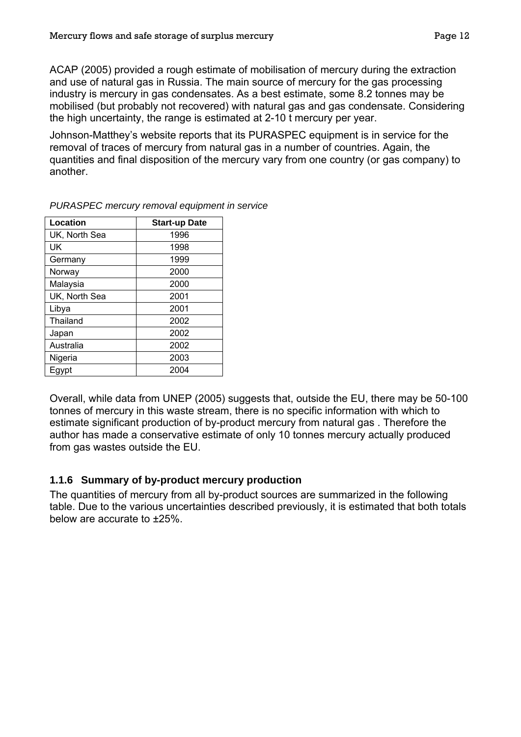<span id="page-14-0"></span>ACAP (2005) provided a rough estimate of mobilisation of mercury during the extraction and use of natural gas in Russia. The main source of mercury for the gas processing industry is mercury in gas condensates. As a best estimate, some 8.2 tonnes may be mobilised (but probably not recovered) with natural gas and gas condensate. Considering the high uncertainty, the range is estimated at 2-10 t mercury per year.

Johnson-Matthey's website reports that its PURASPEC equipment is in service for the removal of traces of mercury from natural gas in a number of countries. Again, the quantities and final disposition of the mercury vary from one country (or gas company) to another.

| Location      | <b>Start-up Date</b> |
|---------------|----------------------|
| UK, North Sea | 1996                 |
| UK            | 1998                 |
| Germany       | 1999                 |
| Norway        | 2000                 |
| Malaysia      | 2000                 |
| UK, North Sea | 2001                 |
| Libya         | 2001                 |
| Thailand      | 2002                 |
| Japan         | 2002                 |
| Australia     | 2002                 |
| Nigeria       | 2003                 |
| Egypt         | 2004                 |
|               |                      |

*PURASPEC mercury removal equipment in service* 

Overall, while data from UNEP (2005) suggests that, outside the EU, there may be 50-100 tonnes of mercury in this waste stream, there is no specific information with which to estimate significant production of by-product mercury from natural gas . Therefore the author has made a conservative estimate of only 10 tonnes mercury actually produced from gas wastes outside the EU.

#### <span id="page-14-1"></span>**1.1.6 Summary of by-product mercury production**

The quantities of mercury from all by-product sources are summarized in the following table. Due to the various uncertainties described previously, it is estimated that both totals below are accurate to ±25%.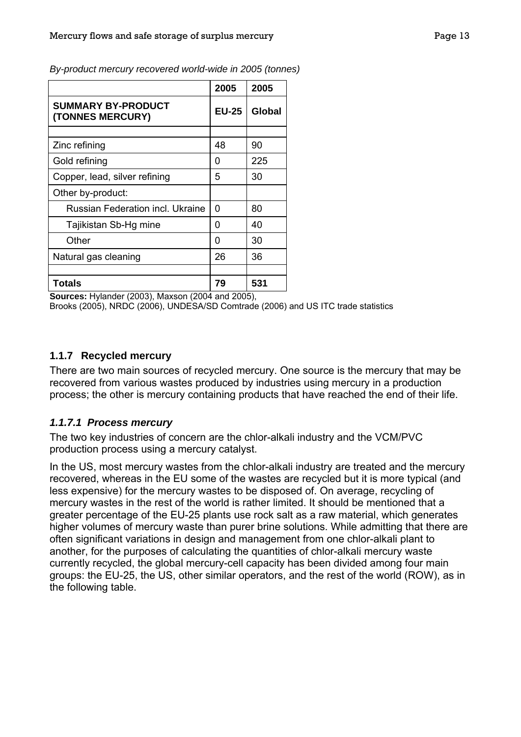|                                                                                                                                                                                                                                                                                                                                                     | 2005                                     | 2005          |
|-----------------------------------------------------------------------------------------------------------------------------------------------------------------------------------------------------------------------------------------------------------------------------------------------------------------------------------------------------|------------------------------------------|---------------|
| <b>SUMMARY BY-PRODUCT</b><br>(TONNES MERCURY)                                                                                                                                                                                                                                                                                                       | <b>EU-25</b>                             | <b>Global</b> |
|                                                                                                                                                                                                                                                                                                                                                     |                                          |               |
| Zinc refining                                                                                                                                                                                                                                                                                                                                       | 48                                       | 90            |
| Gold refining                                                                                                                                                                                                                                                                                                                                       | 0                                        | 225           |
| Copper, lead, silver refining                                                                                                                                                                                                                                                                                                                       | 5                                        | 30            |
| Other by-product:                                                                                                                                                                                                                                                                                                                                   |                                          |               |
| <b>Russian Federation incl. Ukraine</b>                                                                                                                                                                                                                                                                                                             | 0                                        | 80            |
| Tajikistan Sb-Hg mine                                                                                                                                                                                                                                                                                                                               | 0                                        | 40            |
| Other                                                                                                                                                                                                                                                                                                                                               | 0                                        | 30            |
| Natural gas cleaning                                                                                                                                                                                                                                                                                                                                | 26                                       | 36            |
|                                                                                                                                                                                                                                                                                                                                                     |                                          |               |
| <b>Totals</b><br>$\mathbf{r}$ $\mathbf{r}$ $\mathbf{r}$ $\mathbf{r}$ $\mathbf{r}$ $\mathbf{r}$ $\mathbf{r}$ $\mathbf{r}$ $\mathbf{r}$ $\mathbf{r}$ $\mathbf{r}$ $\mathbf{r}$ $\mathbf{r}$ $\mathbf{r}$ $\mathbf{r}$ $\mathbf{r}$ $\mathbf{r}$ $\mathbf{r}$ $\mathbf{r}$ $\mathbf{r}$ $\mathbf{r}$ $\mathbf{r}$ $\mathbf{r}$ $\mathbf{r}$ $\mathbf{$ | 79<br>$\sim$ $\sim$ $\sim$ $\sim$ $\sim$ | 531           |

<span id="page-15-0"></span>*By-product mercury recovered world-wide in 2005 (tonnes)*

**Sources:** Hylander (2003), Maxson (2004 and 2005),

Brooks (2005), NRDC (2006), UNDESA/SD Comtrade (2006) and US ITC trade statistics

#### **1.1.7 Recycled mercury**

There are two main sources of recycled mercury. One source is the mercury that may be recovered from various wastes produced by industries using mercury in a production process; the other is mercury containing products that have reached the end of their life.

#### *1.1.7.1 Process mercury*

The two key industries of concern are the chlor-alkali industry and the VCM/PVC production process using a mercury catalyst.

In the US, most mercury wastes from the chlor-alkali industry are treated and the mercury recovered, whereas in the EU some of the wastes are recycled but it is more typical (and less expensive) for the mercury wastes to be disposed of. On average, recycling of mercury wastes in the rest of the world is rather limited. It should be mentioned that a greater percentage of the EU-25 plants use rock salt as a raw material, which generates higher volumes of mercury waste than purer brine solutions. While admitting that there are often significant variations in design and management from one chlor-alkali plant to another, for the purposes of calculating the quantities of chlor-alkali mercury waste currently recycled, the global mercury-cell capacity has been divided among four main groups: the EU-25, the US, other similar operators, and the rest of the world (ROW), as in the following table.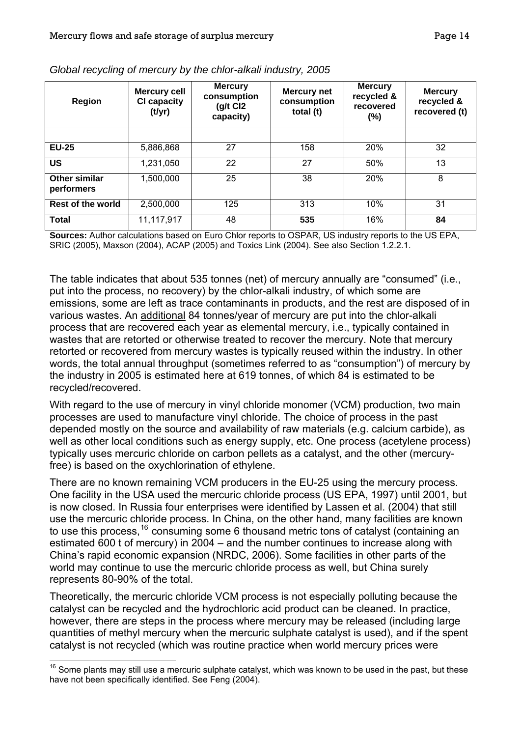| <b>Region</b>               | <b>Mercury cell</b><br><b>CI capacity</b><br>(t/yr) | <b>Mercury</b><br>consumption<br>$(g/t)$ Cl <sub>2</sub><br>capacity) | <b>Mercury net</b><br>consumption<br>total (t) | <b>Mercury</b><br>recycled &<br>recovered<br>$(\%)$ | <b>Mercury</b><br>recycled &<br>recovered (t) |
|-----------------------------|-----------------------------------------------------|-----------------------------------------------------------------------|------------------------------------------------|-----------------------------------------------------|-----------------------------------------------|
|                             |                                                     |                                                                       |                                                |                                                     |                                               |
| <b>EU-25</b>                | 5,886,868                                           | 27                                                                    | 158                                            | 20%                                                 | 32                                            |
| <b>US</b>                   | 1,231,050                                           | 22                                                                    | 27                                             | 50%                                                 | 13                                            |
| Other similar<br>performers | 1,500,000                                           | 25                                                                    | 38                                             | 20%                                                 | 8                                             |
| <b>Rest of the world</b>    | 2,500,000                                           | 125                                                                   | 313                                            | 10%                                                 | 31                                            |
| <b>Total</b>                | 11,117,917                                          | 48                                                                    | 535                                            | 16%                                                 | 84                                            |

<span id="page-16-0"></span>

**Sources:** Author calculations based on Euro Chlor reports to OSPAR, US industry reports to the US EPA, SRIC (2005), Maxson (2004), ACAP (2005) and Toxics Link (2004). See also Section [1.2.2.1.](#page-23-0)

The table indicates that about 535 tonnes (net) of mercury annually are "consumed" (i.e., put into the process, no recovery) by the chlor-alkali industry, of which some are emissions, some are left as trace contaminants in products, and the rest are disposed of in various wastes. An additional 84 tonnes/year of mercury are put into the chlor-alkali process that are recovered each year as elemental mercury, i.e., typically contained in wastes that are retorted or otherwise treated to recover the mercury. Note that mercury retorted or recovered from mercury wastes is typically reused within the industry. In other words, the total annual throughput (sometimes referred to as "consumption") of mercury by the industry in 2005 is estimated here at 619 tonnes, of which 84 is estimated to be recycled/recovered.

With regard to the use of mercury in vinyl chloride monomer (VCM) production, two main processes are used to manufacture vinyl chloride. The choice of process in the past depended mostly on the source and availability of raw materials (e.g. calcium carbide), as well as other local conditions such as energy supply, etc. One process (acetylene process) typically uses mercuric chloride on carbon pellets as a catalyst, and the other (mercuryfree) is based on the oxychlorination of ethylene.

There are no known remaining VCM producers in the EU-25 using the mercury process. One facility in the USA used the mercuric chloride process (US EPA, 1997) until 2001, but is now closed. In Russia four enterprises were identified by Lassen et al. (2004) that still use the mercuric chloride process. In China, on the other hand, many facilities are known to use this process,<sup>[16](#page-16-0)</sup> consuming some 6 thousand metric tons of catalyst (containing an estimated 600 t of mercury) in 2004 – and the number continues to increase along with China's rapid economic expansion (NRDC, 2006). Some facilities in other parts of the world may continue to use the mercuric chloride process as well, but China surely represents 80-90% of the total.

Theoretically, the mercuric chloride VCM process is not especially polluting because the catalyst can be recycled and the hydrochloric acid product can be cleaned. In practice, however, there are steps in the process where mercury may be released (including large quantities of methyl mercury when the mercuric sulphate catalyst is used), and if the spent catalyst is not recycled (which was routine practice when world mercury prices were

 $\overline{a}$  $16$  Some plants may still use a mercuric sulphate catalyst, which was known to be used in the past, but these have not been specifically identified. See Feng (2004).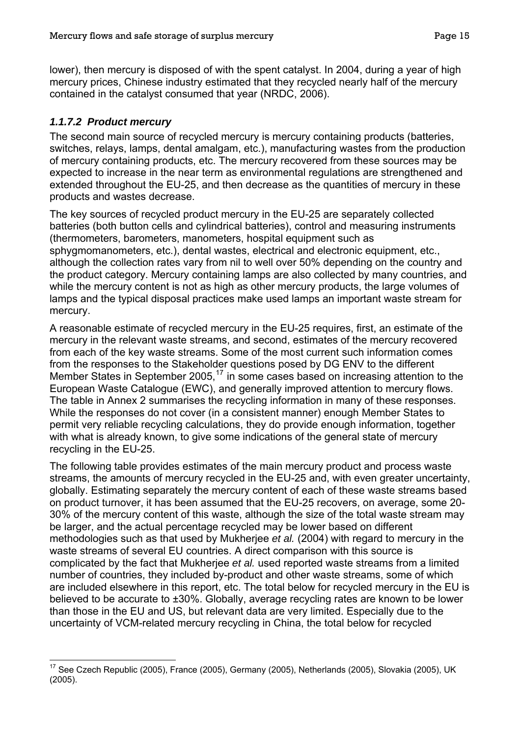<span id="page-17-0"></span>lower), then mercury is disposed of with the spent catalyst. In 2004, during a year of high mercury prices, Chinese industry estimated that they recycled nearly half of the mercury contained in the catalyst consumed that year (NRDC, 2006).

# *1.1.7.2 Product mercury*

 $\overline{a}$ 

The second main source of recycled mercury is mercury containing products (batteries, switches, relays, lamps, dental amalgam, etc.), manufacturing wastes from the production of mercury containing products, etc. The mercury recovered from these sources may be expected to increase in the near term as environmental regulations are strengthened and extended throughout the EU-25, and then decrease as the quantities of mercury in these products and wastes decrease.

The key sources of recycled product mercury in the EU-25 are separately collected batteries (both button cells and cylindrical batteries), control and measuring instruments (thermometers, barometers, manometers, hospital equipment such as sphygmomanometers, etc.), dental wastes, electrical and electronic equipment, etc., although the collection rates vary from nil to well over 50% depending on the country and the product category. Mercury containing lamps are also collected by many countries, and while the mercury content is not as high as other mercury products, the large volumes of lamps and the typical disposal practices make used lamps an important waste stream for mercury.

A reasonable estimate of recycled mercury in the EU-25 requires, first, an estimate of the mercury in the relevant waste streams, and second, estimates of the mercury recovered from each of the key waste streams. Some of the most current such information comes from the responses to the Stakeholder questions posed by DG ENV to the different Member States in September 2005,<sup>[17](#page-17-0)</sup> in some cases based on increasing attention to the European Waste Catalogue (EWC), and generally improved attention to mercury flows. The table in Annex 2 summarises the recycling information in many of these responses. While the responses do not cover (in a consistent manner) enough Member States to permit very reliable recycling calculations, they do provide enough information, together with what is already known, to give some indications of the general state of mercury recycling in the EU-25.

The following table provides estimates of the main mercury product and process waste streams, the amounts of mercury recycled in the EU-25 and, with even greater uncertainty, globally. Estimating separately the mercury content of each of these waste streams based on product turnover, it has been assumed that the EU-25 recovers, on average, some 20- 30% of the mercury content of this waste, although the size of the total waste stream may be larger, and the actual percentage recycled may be lower based on different methodologies such as that used by Mukherjee *et al.* (2004) with regard to mercury in the waste streams of several EU countries. A direct comparison with this source is complicated by the fact that Mukherjee *et al.* used reported waste streams from a limited number of countries, they included by-product and other waste streams, some of which are included elsewhere in this report, etc. The total below for recycled mercury in the EU is believed to be accurate to ±30%. Globally, average recycling rates are known to be lower than those in the EU and US, but relevant data are very limited. Especially due to the uncertainty of VCM-related mercury recycling in China, the total below for recycled

 $17$  See Czech Republic (2005), France (2005), Germany (2005), Netherlands (2005), Slovakia (2005), UK (2005).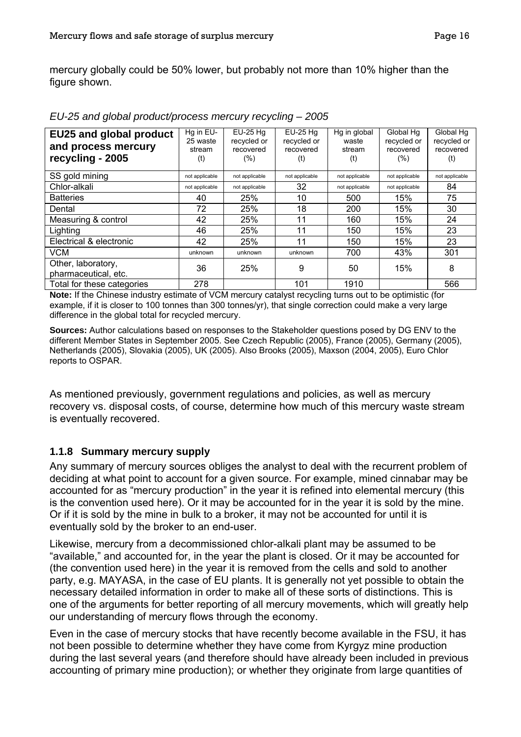<span id="page-18-0"></span>mercury globally could be 50% lower, but probably not more than 10% higher than the figure shown.

| <b>EU25 and global product</b> | Hq in EU-      | $EU-25 Hq$     | $EU-25 Hq$     | Hg in global   | Global Hg      | Global Hq      |
|--------------------------------|----------------|----------------|----------------|----------------|----------------|----------------|
| and process mercury            | 25 waste       | recycled or    | recycled or    | waste          | recycled or    | recycled or    |
|                                | stream         | recovered      | recovered      | stream         | recovered      | recovered      |
| recycling - 2005               | (t)            | $(\%)$         | (t)            | (t)            | (%)            | (t)            |
| SS gold mining                 | not applicable | not applicable | not applicable | not applicable | not applicable | not applicable |
| Chlor-alkali                   | not applicable | not applicable | 32             | not applicable | not applicable | 84             |
| <b>Batteries</b>               | 40             | 25%            | 10             | 500            | 15%            | 75             |
| Dental                         | 72             | 25%            | 18             | 200            | 15%            | 30             |
| Measuring & control            | 42             | 25%            | 11             | 160            | 15%            | 24             |
| Lighting                       | 46             | 25%            | 11             | 150            | 15%            | 23             |
| Electrical & electronic        | 42             | 25%            | 11             | 150            | 15%            | 23             |
| <b>VCM</b>                     | unknown        | unknown        | unknown        | 700            | 43%            | 301            |
| Other, laboratory,             | 36             | 25%            | 9              | 50             | 15%            | 8              |
| pharmaceutical, etc.           |                |                |                |                |                |                |
| Total for these categories     | 278            |                | 101            | 1910           |                | 566            |

*EU-25 and global product/process mercury recycling – 2005* 

**Note:** If the Chinese industry estimate of VCM mercury catalyst recycling turns out to be optimistic (for example, if it is closer to 100 tonnes than 300 tonnes/yr), that single correction could make a very large difference in the global total for recycled mercury.

**Sources:** Author calculations based on responses to the Stakeholder questions posed by DG ENV to the different Member States in September 2005. See Czech Republic (2005), France (2005), Germany (2005), Netherlands (2005), Slovakia (2005), UK (2005). Also Brooks (2005), Maxson (2004, 2005), Euro Chlor reports to OSPAR.

As mentioned previously, government regulations and policies, as well as mercury recovery vs. disposal costs, of course, determine how much of this mercury waste stream is eventually recovered.

#### **1.1.8 Summary mercury supply**

Any summary of mercury sources obliges the analyst to deal with the recurrent problem of deciding at what point to account for a given source. For example, mined cinnabar may be accounted for as "mercury production" in the year it is refined into elemental mercury (this is the convention used here). Or it may be accounted for in the year it is sold by the mine. Or if it is sold by the mine in bulk to a broker, it may not be accounted for until it is eventually sold by the broker to an end-user.

Likewise, mercury from a decommissioned chlor-alkali plant may be assumed to be "available," and accounted for, in the year the plant is closed. Or it may be accounted for (the convention used here) in the year it is removed from the cells and sold to another party, e.g. MAYASA, in the case of EU plants. It is generally not yet possible to obtain the necessary detailed information in order to make all of these sorts of distinctions. This is one of the arguments for better reporting of all mercury movements, which will greatly help our understanding of mercury flows through the economy.

Even in the case of mercury stocks that have recently become available in the FSU, it has not been possible to determine whether they have come from Kyrgyz mine production during the last several years (and therefore should have already been included in previous accounting of primary mine production); or whether they originate from large quantities of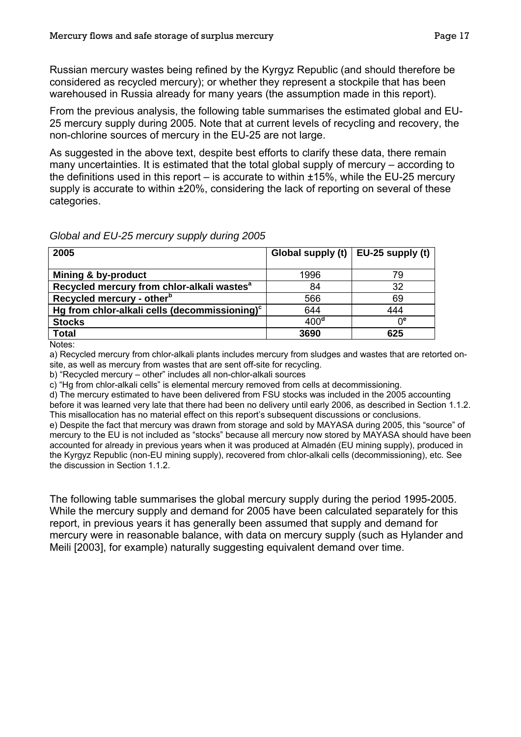Russian mercury wastes being refined by the Kyrgyz Republic (and should therefore be considered as recycled mercury); or whether they represent a stockpile that has been warehoused in Russia already for many years (the assumption made in this report).

From the previous analysis, the following table summarises the estimated global and EU-25 mercury supply during 2005. Note that at current levels of recycling and recovery, the non-chlorine sources of mercury in the EU-25 are not large.

As suggested in the above text, despite best efforts to clarify these data, there remain many uncertainties. It is estimated that the total global supply of mercury – according to the definitions used in this report – is accurate to within  $\pm 15$ %, while the EU-25 mercury supply is accurate to within  $\pm 20\%$ , considering the lack of reporting on several of these categories.

*Global and EU-25 mercury supply during 2005* 

| 2005                                                      | Global supply (t) $\vert$ EU-25 supply (t) |                  |
|-----------------------------------------------------------|--------------------------------------------|------------------|
|                                                           |                                            |                  |
| Mining & by-product                                       | 1996                                       | 79               |
| Recycled mercury from chlor-alkali wastes <sup>a</sup>    | 84                                         | 32               |
| Recycled mercury - other <sup>b</sup>                     | 566                                        | 69               |
| Hg from chlor-alkali cells (decommissioning) <sup>c</sup> | 644                                        | 444              |
| <b>Stocks</b>                                             | 400 <sup>d</sup>                           | $0^{\mathrm{e}}$ |
| <b>Total</b>                                              | 3690                                       | 625              |

Notes:

a) Recycled mercury from chlor-alkali plants includes mercury from sludges and wastes that are retorted onsite, as well as mercury from wastes that are sent off-site for recycling.

b) "Recycled mercury – other" includes all non-chlor-alkali sources

c) "Hg from chlor-alkali cells" is elemental mercury removed from cells at decommissioning.

d) The mercury estimated to have been delivered from FSU stocks was included in the 2005 accounting before it was learned very late that there had been no delivery until early 2006, as described in Section [1.1.2](#page-6-3). This misallocation has no material effect on this report's subsequent discussions or conclusions.

e) Despite the fact that mercury was drawn from storage and sold by MAYASA during 2005, this "source" of mercury to the EU is not included as "stocks" because all mercury now stored by MAYASA should have been accounted for already in previous years when it was produced at Almadén (EU mining supply), produced in the Kyrgyz Republic (non-EU mining supply), recovered from chlor-alkali cells (decommissioning), etc. See the discussion in Section [1.1.2.](#page-6-3)

The following table summarises the global mercury supply during the period 1995-2005. While the mercury supply and demand for 2005 have been calculated separately for this report, in previous years it has generally been assumed that supply and demand for mercury were in reasonable balance, with data on mercury supply (such as Hylander and Meili [2003], for example) naturally suggesting equivalent demand over time.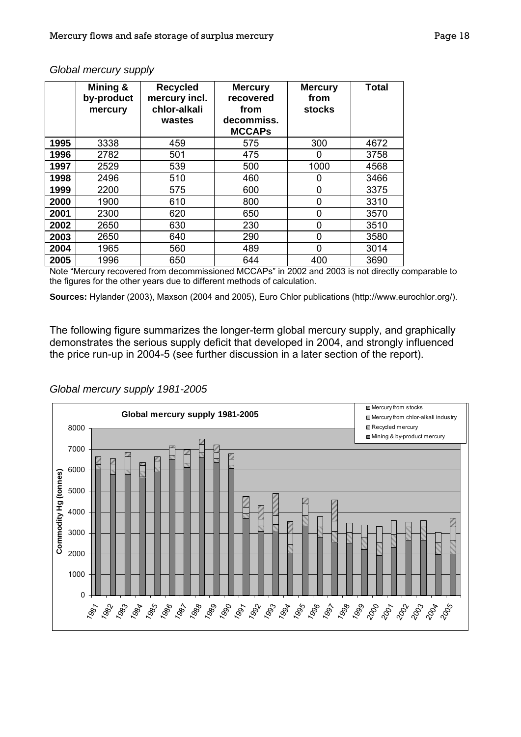|      | Mining &<br>by-product<br>mercury | <b>Recycled</b><br>mercury incl.<br>chlor-alkali<br>wastes | <b>Mercury</b><br>recovered<br>from<br>decommiss.<br><b>MCCAPs</b> | <b>Mercury</b><br>from<br><b>stocks</b> | <b>Total</b> |
|------|-----------------------------------|------------------------------------------------------------|--------------------------------------------------------------------|-----------------------------------------|--------------|
| 1995 | 3338                              | 459                                                        | 575                                                                | 300                                     | 4672         |
| 1996 | 2782                              | 501                                                        | 475                                                                | 0                                       | 3758         |
| 1997 | 2529                              | 539                                                        | 500                                                                | 1000                                    | 4568         |
| 1998 | 2496                              | 510                                                        | 460                                                                | 0                                       | 3466         |
| 1999 | 2200                              | 575                                                        | 600                                                                | 0                                       | 3375         |
| 2000 | 1900                              | 610                                                        | 800                                                                | 0                                       | 3310         |
| 2001 | 2300                              | 620                                                        | 650                                                                | 0                                       | 3570         |
| 2002 | 2650                              | 630                                                        | 230                                                                | 0                                       | 3510         |
| 2003 | 2650                              | 640                                                        | 290                                                                | 0                                       | 3580         |
| 2004 | 1965                              | 560                                                        | 489                                                                | 0                                       | 3014         |
| 2005 | 1996                              | 650                                                        | 644                                                                | 400                                     | 3690         |

#### *Global mercury supply*

Note "Mercury recovered from decommissioned MCCAPs" in 2002 and 2003 is not directly comparable to the figures for the other years due to different methods of calculation.

**Sources:** Hylander (2003), Maxson (2004 and 2005), Euro Chlor publications (http://www.eurochlor.org/).

The following figure summarizes the longer-term global mercury supply, and graphically demonstrates the serious supply deficit that developed in 2004, and strongly influenced the price run-up in 2004-5 (see further discussion in a later section of the report).

*Global mercury supply 1981-2005* 

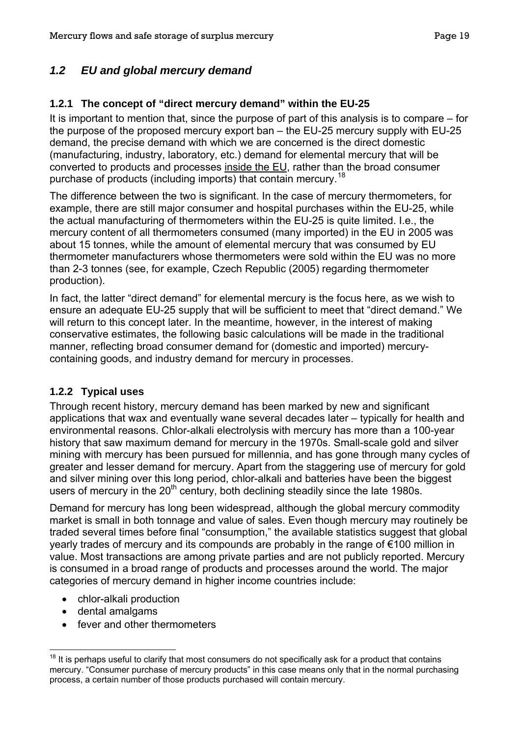# <span id="page-21-0"></span>*1.2 EU and global mercury demand*

## **1.2.1 The concept of "direct mercury demand" within the EU-25**

It is important to mention that, since the purpose of part of this analysis is to compare – for the purpose of the proposed mercury export ban – the EU-25 mercury supply with EU-25 demand, the precise demand with which we are concerned is the direct domestic (manufacturing, industry, laboratory, etc.) demand for elemental mercury that will be converted to products and processes inside the EU, rather than the broad consumer purchase of products (including imports) that contain mercury.[18](#page-21-0)

The difference between the two is significant. In the case of mercury thermometers, for example, there are still major consumer and hospital purchases within the EU-25, while the actual manufacturing of thermometers within the EU-25 is quite limited. I.e., the mercury content of all thermometers consumed (many imported) in the EU in 2005 was about 15 tonnes, while the amount of elemental mercury that was consumed by EU thermometer manufacturers whose thermometers were sold within the EU was no more than 2-3 tonnes (see, for example, Czech Republic (2005) regarding thermometer production).

In fact, the latter "direct demand" for elemental mercury is the focus here, as we wish to ensure an adequate EU-25 supply that will be sufficient to meet that "direct demand." We will return to this concept later. In the meantime, however, in the interest of making conservative estimates, the following basic calculations will be made in the traditional manner, reflecting broad consumer demand for (domestic and imported) mercurycontaining goods, and industry demand for mercury in processes.

#### **1.2.2 Typical uses**

Through recent history, mercury demand has been marked by new and significant applications that wax and eventually wane several decades later – typically for health and environmental reasons. Chlor-alkali electrolysis with mercury has more than a 100-year history that saw maximum demand for mercury in the 1970s. Small-scale gold and silver mining with mercury has been pursued for millennia, and has gone through many cycles of greater and lesser demand for mercury. Apart from the staggering use of mercury for gold and silver mining over this long period, chlor-alkali and batteries have been the biggest users of mercury in the  $20<sup>th</sup>$  century, both declining steadily since the late 1980s.

Demand for mercury has long been widespread, although the global mercury commodity market is small in both tonnage and value of sales. Even though mercury may routinely be traded several times before final "consumption," the available statistics suggest that global yearly trades of mercury and its compounds are probably in the range of €100 million in value. Most transactions are among private parties and are not publicly reported. Mercury is consumed in a broad range of products and processes around the world. The major categories of mercury demand in higher income countries include:

- chlor-alkali production
- dental amalgams

• fever and other thermometers

 $18$  It is perhaps useful to clarify that most consumers do not specifically ask for a product that contains mercury. "Consumer purchase of mercury products" in this case means only that in the normal purchasing process, a certain number of those products purchased will contain mercury.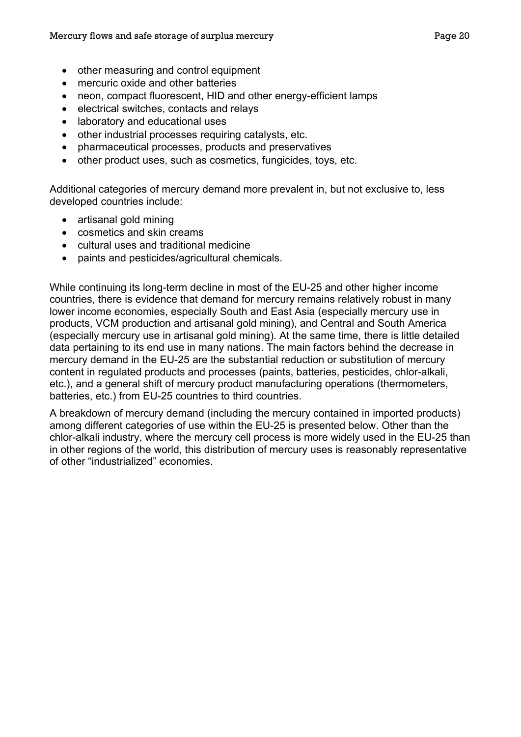- other measuring and control equipment
- mercuric oxide and other batteries
- neon, compact fluorescent, HID and other energy-efficient lamps
- electrical switches, contacts and relays
- laboratory and educational uses
- other industrial processes requiring catalysts, etc.
- pharmaceutical processes, products and preservatives
- other product uses, such as cosmetics, fungicides, toys, etc.

Additional categories of mercury demand more prevalent in, but not exclusive to, less developed countries include:

- artisanal gold mining
- cosmetics and skin creams
- cultural uses and traditional medicine
- paints and pesticides/agricultural chemicals.

While continuing its long-term decline in most of the EU-25 and other higher income countries, there is evidence that demand for mercury remains relatively robust in many lower income economies, especially South and East Asia (especially mercury use in products, VCM production and artisanal gold mining), and Central and South America (especially mercury use in artisanal gold mining). At the same time, there is little detailed data pertaining to its end use in many nations. The main factors behind the decrease in mercury demand in the EU-25 are the substantial reduction or substitution of mercury content in regulated products and processes (paints, batteries, pesticides, chlor-alkali, etc.), and a general shift of mercury product manufacturing operations (thermometers, batteries, etc.) from EU-25 countries to third countries.

A breakdown of mercury demand (including the mercury contained in imported products) among different categories of use within the EU-25 is presented below. Other than the chlor-alkali industry, where the mercury cell process is more widely used in the EU-25 than in other regions of the world, this distribution of mercury uses is reasonably representative of other "industrialized" economies.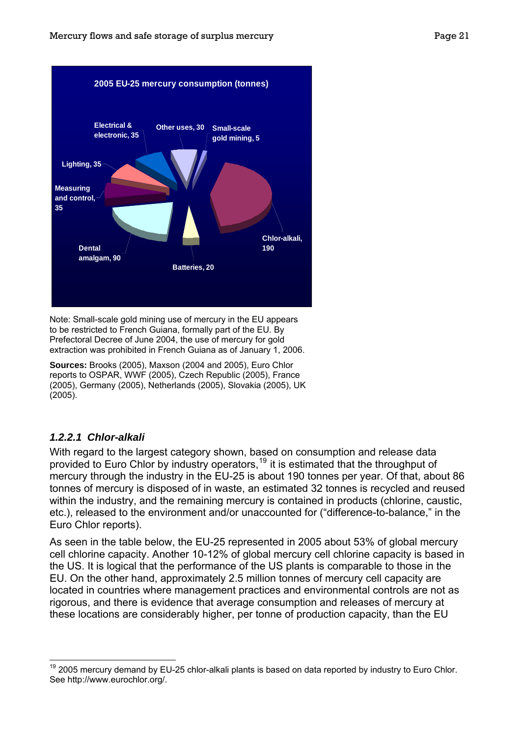<span id="page-23-1"></span>

Note: Small-scale gold mining use of mercury in the EU appears to be restricted to French Guiana, formally part of the EU. By Prefectoral Decree of June 2004, the use of mercury for gold extraction was prohibited in French Guiana as of January 1, 2006.

**Sources:** Brooks (2005), Maxson (2004 and 2005), Euro Chlor reports to OSPAR, WWF (2005), Czech Republic (2005), France (2005), Germany (2005), Netherlands (2005), Slovakia (2005), UK (2005).

#### <span id="page-23-0"></span>*1.2.2.1 Chlor-alkali*

With regard to the largest category shown, based on consumption and release data provided to Euro Chlor by industry operators,<sup>[19](#page-23-1)</sup> it is estimated that the throughput of mercury through the industry in the EU-25 is about 190 tonnes per year. Of that, about 86 tonnes of mercury is disposed of in waste, an estimated 32 tonnes is recycled and reused within the industry, and the remaining mercury is contained in products (chlorine, caustic, etc.), released to the environment and/or unaccounted for ("difference-to-balance," in the Euro Chlor reports).

As seen in the table below, the EU-25 represented in 2005 about 53% of global mercury cell chlorine capacity. Another 10-12% of global mercury cell chlorine capacity is based in the US. It is logical that the performance of the US plants is comparable to those in the EU. On the other hand, approximately 2.5 million tonnes of mercury cell capacity are located in countries where management practices and environmental controls are not as rigorous, and there is evidence that average consumption and releases of mercury at these locations are considerably higher, per tonne of production capacity, than the EU

 $\overline{a}$  $19$  2005 mercury demand by EU-25 chlor-alkali plants is based on data reported by industry to Euro Chlor. See http://www.eurochlor.org/.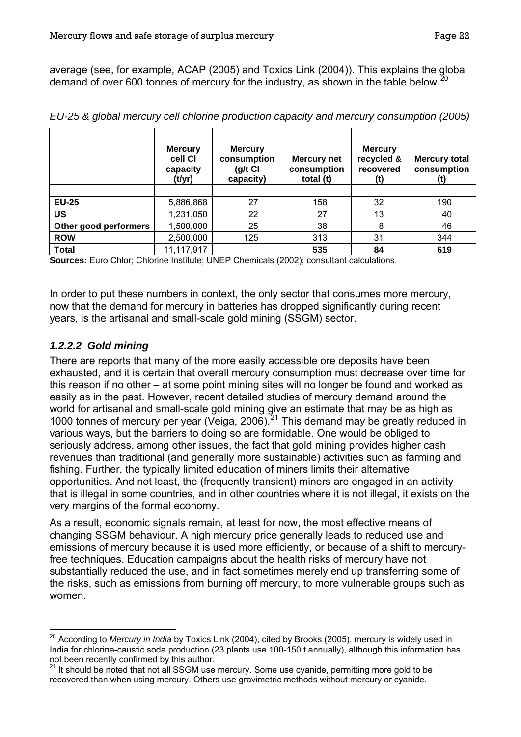<span id="page-24-0"></span>average (see, for example, ACAP (2005) and Toxics Link (2004)). This explains the global demand of over 600 tonnes of mercury for the industry, as shown in the table below.<sup>[20](#page-24-0)</sup>

|                       | <b>Mercury</b><br>cell CI<br>capacity<br>(t/yr) | <b>Mercury</b><br>consumption<br>$(g/t)$ Cl<br>capacity) | Mercury net<br>consumption<br>total (t) | <b>Mercury</b><br>recycled &<br>recovered<br>(t) | <b>Mercury total</b><br>consumption |
|-----------------------|-------------------------------------------------|----------------------------------------------------------|-----------------------------------------|--------------------------------------------------|-------------------------------------|
|                       |                                                 |                                                          |                                         |                                                  |                                     |
| <b>EU-25</b>          | 5,886,868                                       | 27                                                       | 158                                     | 32                                               | 190                                 |
| <b>US</b>             | 1,231,050                                       | 22                                                       | 27                                      | 13                                               | 40                                  |
| Other good performers | 1,500,000                                       | 25                                                       | 38                                      | 8                                                | 46                                  |
| <b>ROW</b>            | 2,500,000                                       | 125                                                      | 313                                     | 31                                               | 344                                 |
| <b>Total</b>          | 11,117,917                                      |                                                          | 535                                     | 84                                               | 619                                 |

*EU-25 & global mercury cell chlorine production capacity and mercury consumption (2005)* 

**Sources:** Euro Chlor; Chlorine Institute; UNEP Chemicals (2002); consultant calculations.

In order to put these numbers in context, the only sector that consumes more mercury, now that the demand for mercury in batteries has dropped significantly during recent years, is the artisanal and small-scale gold mining (SSGM) sector.

# *1.2.2.2 Gold mining*

There are reports that many of the more easily accessible ore deposits have been exhausted, and it is certain that overall mercury consumption must decrease over time for this reason if no other – at some point mining sites will no longer be found and worked as easily as in the past. However, recent detailed studies of mercury demand around the world for artisanal and small-scale gold mining give an estimate that may be as high as 1000 tonnes of mercury per year (Veiga, 2006).<sup>[21](#page-24-0)</sup> This demand may be greatly reduced in various ways, but the barriers to doing so are formidable. One would be obliged to seriously address, among other issues, the fact that gold mining provides higher cash revenues than traditional (and generally more sustainable) activities such as farming and fishing. Further, the typically limited education of miners limits their alternative opportunities. And not least, the (frequently transient) miners are engaged in an activity that is illegal in some countries, and in other countries where it is not illegal, it exists on the very margins of the formal economy.

As a result, economic signals remain, at least for now, the most effective means of changing SSGM behaviour. A high mercury price generally leads to reduced use and emissions of mercury because it is used more efficiently, or because of a shift to mercuryfree techniques. Education campaigns about the health risks of mercury have not substantially reduced the use, and in fact sometimes merely end up transferring some of the risks, such as emissions from burning off mercury, to more vulnerable groups such as women.

 $\overline{a}$ <sup>20</sup> According to *Mercury in India* by Toxics Link (2004), cited by Brooks (2005), mercury is widely used in India for chlorine-caustic soda production (23 plants use 100-150 t annually), although this information has not been recently confirmed by this author.

 $21$  It should be noted that not all SSGM use mercury. Some use cyanide, permitting more gold to be recovered than when using mercury. Others use gravimetric methods without mercury or cyanide.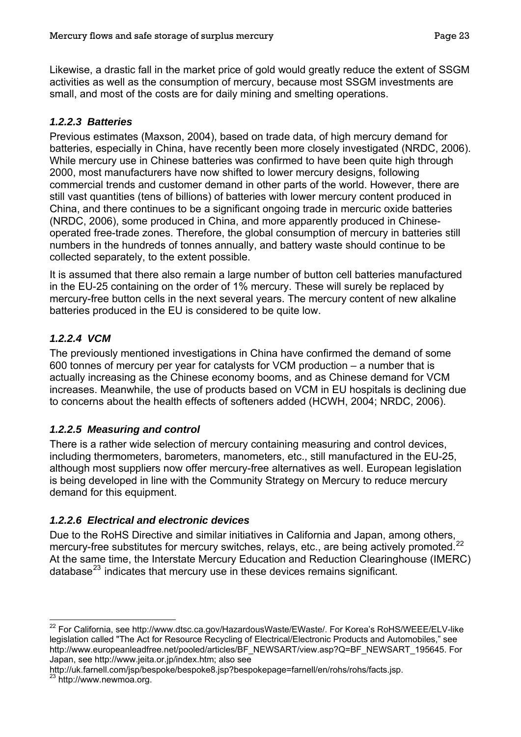<span id="page-25-0"></span>Likewise, a drastic fall in the market price of gold would greatly reduce the extent of SSGM activities as well as the consumption of mercury, because most SSGM investments are small, and most of the costs are for daily mining and smelting operations.

## *1.2.2.3 Batteries*

Previous estimates (Maxson, 2004), based on trade data, of high mercury demand for batteries, especially in China, have recently been more closely investigated (NRDC, 2006). While mercury use in Chinese batteries was confirmed to have been quite high through 2000, most manufacturers have now shifted to lower mercury designs, following commercial trends and customer demand in other parts of the world. However, there are still vast quantities (tens of billions) of batteries with lower mercury content produced in China, and there continues to be a significant ongoing trade in mercuric oxide batteries (NRDC, 2006), some produced in China, and more apparently produced in Chineseoperated free-trade zones. Therefore, the global consumption of mercury in batteries still numbers in the hundreds of tonnes annually, and battery waste should continue to be collected separately, to the extent possible.

It is assumed that there also remain a large number of button cell batteries manufactured in the EU-25 containing on the order of 1% mercury. These will surely be replaced by mercury-free button cells in the next several years. The mercury content of new alkaline batteries produced in the EU is considered to be quite low.

# *1.2.2.4 VCM*

The previously mentioned investigations in China have confirmed the demand of some 600 tonnes of mercury per year for catalysts for VCM production – a number that is actually increasing as the Chinese economy booms, and as Chinese demand for VCM increases. Meanwhile, the use of products based on VCM in EU hospitals is declining due to concerns about the health effects of softeners added (HCWH, 2004; NRDC, 2006).

#### *1.2.2.5 Measuring and control*

There is a rather wide selection of mercury containing measuring and control devices, including thermometers, barometers, manometers, etc., still manufactured in the EU-25, although most suppliers now offer mercury-free alternatives as well. European legislation is being developed in line with the Community Strategy on Mercury to reduce mercury demand for this equipment.

#### *1.2.2.6 Electrical and electronic devices*

Due to the RoHS Directive and similar initiatives in California and Japan, among others, mercury-free substitutes for mercury switches, relays, etc., are being actively promoted.<sup>[22](#page-25-0)</sup> At the same time, the Interstate Mercury Education and Reduction Clearinghouse (IMERC) database $^{23}$  $^{23}$  $^{23}$  indicates that mercury use in these devices remains significant.

 $\overline{a}$  $^{22}$  For California, see http://www.dtsc.ca.gov/HazardousWaste/EWaste/. For Korea's RoHS/WEEE/ELV-like legislation called "The Act for Resource Recycling of Electrical/Electronic Products and Automobiles," see http://www.europeanleadfree.net/pooled/articles/BF\_NEWSART/view.asp?Q=BF\_NEWSART\_195645. For Japan, see http://www.jeita.or.jp/index.htm; also see

http://uk.farnell.com/jsp/bespoke/bespoke8.jsp?bespokepage=farnell/en/rohs/rohs/facts.jsp. 23 http://www.newmoa.org.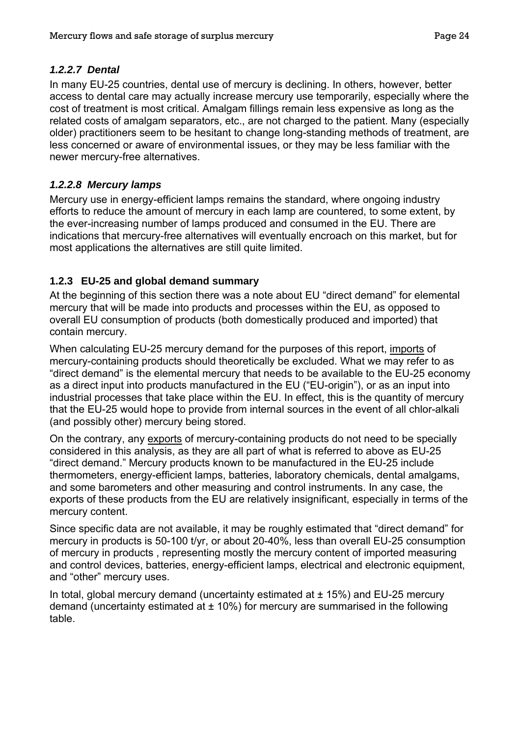# <span id="page-26-0"></span>*1.2.2.7 Dental*

In many EU-25 countries, dental use of mercury is declining. In others, however, better access to dental care may actually increase mercury use temporarily, especially where the cost of treatment is most critical. Amalgam fillings remain less expensive as long as the related costs of amalgam separators, etc., are not charged to the patient. Many (especially older) practitioners seem to be hesitant to change long-standing methods of treatment, are less concerned or aware of environmental issues, or they may be less familiar with the newer mercury-free alternatives.

# *1.2.2.8 Mercury lamps*

Mercury use in energy-efficient lamps remains the standard, where ongoing industry efforts to reduce the amount of mercury in each lamp are countered, to some extent, by the ever-increasing number of lamps produced and consumed in the EU. There are indications that mercury-free alternatives will eventually encroach on this market, but for most applications the alternatives are still quite limited.

# **1.2.3 EU-25 and global demand summary**

At the beginning of this section there was a note about EU "direct demand" for elemental mercury that will be made into products and processes within the EU, as opposed to overall EU consumption of products (both domestically produced and imported) that contain mercury.

When calculating EU-25 mercury demand for the purposes of this report, imports of mercury-containing products should theoretically be excluded. What we may refer to as "direct demand" is the elemental mercury that needs to be available to the EU-25 economy as a direct input into products manufactured in the EU ("EU-origin"), or as an input into industrial processes that take place within the EU. In effect, this is the quantity of mercury that the EU-25 would hope to provide from internal sources in the event of all chlor-alkali (and possibly other) mercury being stored.

On the contrary, any exports of mercury-containing products do not need to be specially considered in this analysis, as they are all part of what is referred to above as EU-25 "direct demand." Mercury products known to be manufactured in the EU-25 include thermometers, energy-efficient lamps, batteries, laboratory chemicals, dental amalgams, and some barometers and other measuring and control instruments. In any case, the exports of these products from the EU are relatively insignificant, especially in terms of the mercury content.

Since specific data are not available, it may be roughly estimated that "direct demand" for mercury in products is 50-100 t/yr, or about 20-40%, less than overall EU-25 consumption of mercury in products , representing mostly the mercury content of imported measuring and control devices, batteries, energy-efficient lamps, electrical and electronic equipment, and "other" mercury uses.

In total, global mercury demand (uncertainty estimated at  $\pm$  15%) and EU-25 mercury demand (uncertainty estimated at  $\pm$  10%) for mercury are summarised in the following table.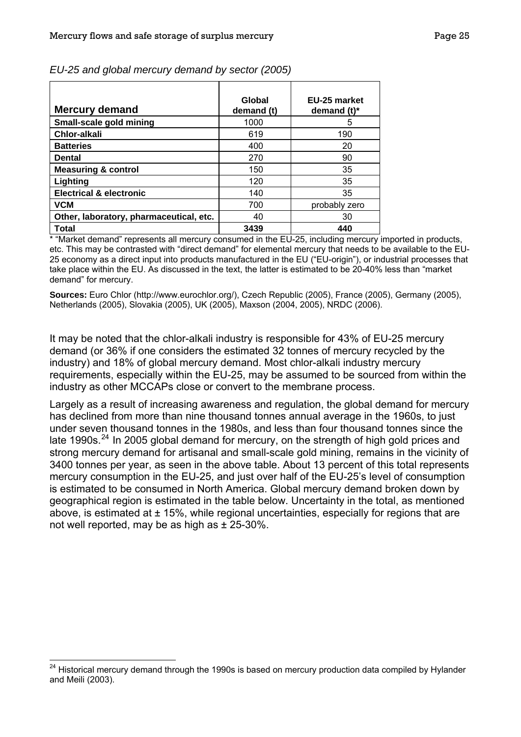| <b>Mercury demand</b>                   | Global<br>demand (t) | EU-25 market<br>demand $(t)^*$ |
|-----------------------------------------|----------------------|--------------------------------|
| Small-scale gold mining                 | 1000                 | 5                              |
| <b>Chlor-alkali</b>                     | 619                  | 190                            |
| <b>Batteries</b>                        | 400                  | 20                             |
| <b>Dental</b>                           | 270                  | 90                             |
| <b>Measuring &amp; control</b>          | 150                  | 35                             |
| Lighting                                | 120                  | 35                             |
| <b>Electrical &amp; electronic</b>      | 140                  | 35                             |
| <b>VCM</b>                              | 700                  | probably zero                  |
| Other, laboratory, pharmaceutical, etc. | 40                   | 30                             |
| Total                                   | 3439                 | 440                            |

<span id="page-27-0"></span>*EU-25 and global mercury demand by sector (2005)* 

\* "Market demand" represents all mercury consumed in the EU-25, including mercury imported in products, etc. This may be contrasted with "direct demand" for elemental mercury that needs to be available to the EU-25 economy as a direct input into products manufactured in the EU ("EU-origin"), or industrial processes that take place within the EU. As discussed in the text, the latter is estimated to be 20-40% less than "market demand" for mercury.

**Sources:** Euro Chlor (http://www.eurochlor.org/), Czech Republic (2005), France (2005), Germany (2005), Netherlands (2005), Slovakia (2005), UK (2005), Maxson (2004, 2005), NRDC (2006).

It may be noted that the chlor-alkali industry is responsible for 43% of EU-25 mercury demand (or 36% if one considers the estimated 32 tonnes of mercury recycled by the industry) and 18% of global mercury demand. Most chlor-alkali industry mercury requirements, especially within the EU-25, may be assumed to be sourced from within the industry as other MCCAPs close or convert to the membrane process.

Largely as a result of increasing awareness and regulation, the global demand for mercury has declined from more than nine thousand tonnes annual average in the 1960s, to just under seven thousand tonnes in the 1980s, and less than four thousand tonnes since the late 1990s.<sup>[24](#page-27-0)</sup> In 2005 global demand for mercury, on the strength of high gold prices and strong mercury demand for artisanal and small-scale gold mining, remains in the vicinity of 3400 tonnes per year, as seen in the above table. About 13 percent of this total represents mercury consumption in the EU-25, and just over half of the EU-25's level of consumption is estimated to be consumed in North America. Global mercury demand broken down by geographical region is estimated in the table below. Uncertainty in the total, as mentioned above, is estimated at  $\pm$  15%, while regional uncertainties, especially for regions that are not well reported, may be as high as  $\pm$  25-30%.

 $\overline{a}$ 

<sup>&</sup>lt;sup>24</sup> Historical mercury demand through the 1990s is based on mercury production data compiled by Hylander and Meili (2003).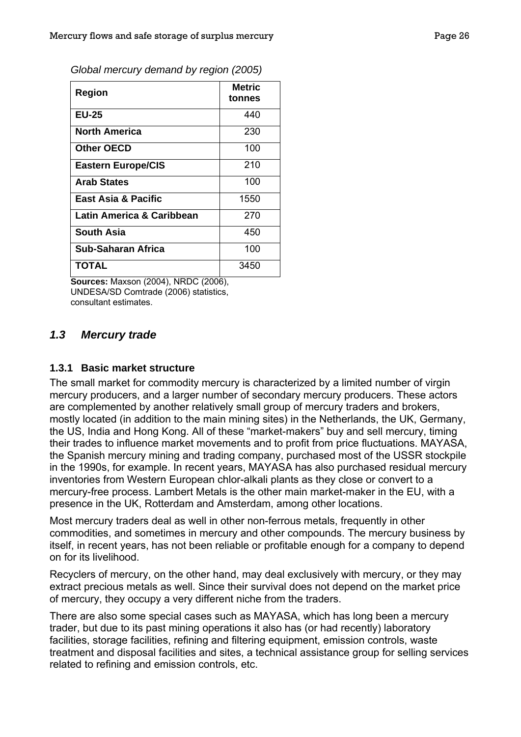<span id="page-28-0"></span>

| Global mercury demand by region (2005) |  |  |
|----------------------------------------|--|--|
|                                        |  |  |

| Region                         | <b>Metric</b><br>tonnes |
|--------------------------------|-------------------------|
| <b>EU-25</b>                   | 440                     |
| <b>North America</b>           | 230                     |
| <b>Other OECD</b>              | 100                     |
| <b>Eastern Europe/CIS</b>      | 210                     |
| <b>Arab States</b>             | 100                     |
| <b>East Asia &amp; Pacific</b> | 1550                    |
| Latin America & Caribbean      | 270                     |
| <b>South Asia</b>              | 450                     |
| <b>Sub-Saharan Africa</b>      | 100                     |
| TOTAL                          | 3450                    |

**Sources:** Maxson (2004), NRDC (2006), UNDESA/SD Comtrade (2006) statistics, consultant estimates.

#### *1.3 Mercury trade*

#### **1.3.1 Basic market structure**

The small market for commodity mercury is characterized by a limited number of virgin mercury producers, and a larger number of secondary mercury producers. These actors are complemented by another relatively small group of mercury traders and brokers, mostly located (in addition to the main mining sites) in the Netherlands, the UK, Germany, the US, India and Hong Kong. All of these "market-makers" buy and sell mercury, timing their trades to influence market movements and to profit from price fluctuations. MAYASA, the Spanish mercury mining and trading company, purchased most of the USSR stockpile in the 1990s, for example. In recent years, MAYASA has also purchased residual mercury inventories from Western European chlor-alkali plants as they close or convert to a mercury-free process. Lambert Metals is the other main market-maker in the EU, with a presence in the UK, Rotterdam and Amsterdam, among other locations.

Most mercury traders deal as well in other non-ferrous metals, frequently in other commodities, and sometimes in mercury and other compounds. The mercury business by itself, in recent years, has not been reliable or profitable enough for a company to depend on for its livelihood.

Recyclers of mercury, on the other hand, may deal exclusively with mercury, or they may extract precious metals as well. Since their survival does not depend on the market price of mercury, they occupy a very different niche from the traders.

There are also some special cases such as MAYASA, which has long been a mercury trader, but due to its past mining operations it also has (or had recently) laboratory facilities, storage facilities, refining and filtering equipment, emission controls, waste treatment and disposal facilities and sites, a technical assistance group for selling services related to refining and emission controls, etc.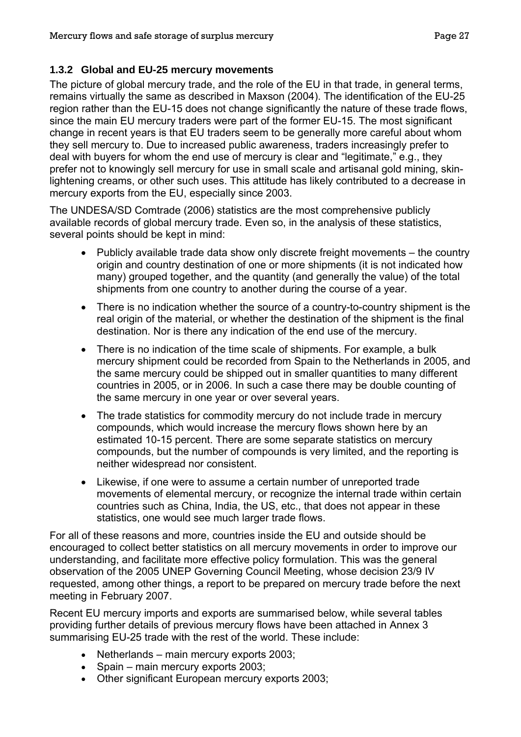# <span id="page-29-0"></span>**1.3.2 Global and EU-25 mercury movements**

The picture of global mercury trade, and the role of the EU in that trade, in general terms, remains virtually the same as described in Maxson (2004). The identification of the EU-25 region rather than the EU-15 does not change significantly the nature of these trade flows, since the main EU mercury traders were part of the former EU-15. The most significant change in recent years is that EU traders seem to be generally more careful about whom they sell mercury to. Due to increased public awareness, traders increasingly prefer to deal with buyers for whom the end use of mercury is clear and "legitimate," e.g., they prefer not to knowingly sell mercury for use in small scale and artisanal gold mining, skinlightening creams, or other such uses. This attitude has likely contributed to a decrease in mercury exports from the EU, especially since 2003.

The UNDESA/SD Comtrade (2006) statistics are the most comprehensive publicly available records of global mercury trade. Even so, in the analysis of these statistics, several points should be kept in mind:

- Publicly available trade data show only discrete freight movements the country origin and country destination of one or more shipments (it is not indicated how many) grouped together, and the quantity (and generally the value) of the total shipments from one country to another during the course of a year.
- There is no indication whether the source of a country-to-country shipment is the real origin of the material, or whether the destination of the shipment is the final destination. Nor is there any indication of the end use of the mercury.
- There is no indication of the time scale of shipments. For example, a bulk mercury shipment could be recorded from Spain to the Netherlands in 2005, and the same mercury could be shipped out in smaller quantities to many different countries in 2005, or in 2006. In such a case there may be double counting of the same mercury in one year or over several years.
- The trade statistics for commodity mercury do not include trade in mercury compounds, which would increase the mercury flows shown here by an estimated 10-15 percent. There are some separate statistics on mercury compounds, but the number of compounds is very limited, and the reporting is neither widespread nor consistent.
- Likewise, if one were to assume a certain number of unreported trade movements of elemental mercury, or recognize the internal trade within certain countries such as China, India, the US, etc., that does not appear in these statistics, one would see much larger trade flows.

For all of these reasons and more, countries inside the EU and outside should be encouraged to collect better statistics on all mercury movements in order to improve our understanding, and facilitate more effective policy formulation. This was the general observation of the 2005 UNEP Governing Council Meeting, whose decision 23/9 IV requested, among other things, a report to be prepared on mercury trade before the next meeting in February 2007.

Recent EU mercury imports and exports are summarised below, while several tables providing further details of previous mercury flows have been attached in Annex 3 summarising EU-25 trade with the rest of the world. These include:

- Netherlands main mercury exports 2003;
- Spain main mercury exports 2003;
- Other significant European mercury exports 2003;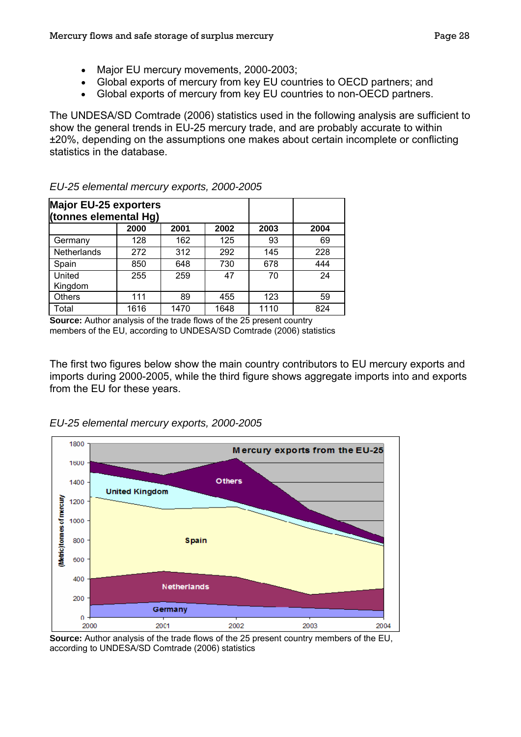- Major EU mercury movements, 2000-2003;
- Global exports of mercury from key EU countries to OECD partners; and
- Global exports of mercury from key EU countries to non-OECD partners.

The UNDESA/SD Comtrade (2006) statistics used in the following analysis are sufficient to show the general trends in EU-25 mercury trade, and are probably accurate to within ±20%, depending on the assumptions one makes about certain incomplete or conflicting statistics in the database.

| <b>Major EU-25 exporters</b><br>(tonnes elemental Hg) |      |      |      |      |      |
|-------------------------------------------------------|------|------|------|------|------|
|                                                       | 2000 | 2001 | 2002 | 2003 | 2004 |
| Germany                                               | 128  | 162  | 125  | 93   | 69   |
| <b>Netherlands</b>                                    | 272  | 312  | 292  | 145  | 228  |
| Spain                                                 | 850  | 648  | 730  | 678  | 444  |
| United<br>Kingdom                                     | 255  | 259  | 47   | 70   | 24   |
| <b>Others</b>                                         | 111  | 89   | 455  | 123  | 59   |
| Total                                                 | 1616 | 1470 | 1648 | 1110 | 824  |

# *EU-25 elemental mercury exports, 2000-2005*

**Source:** Author analysis of the trade flows of the 25 present country members of the EU, according to UNDESA/SD Comtrade (2006) statistics

The first two figures below show the main country contributors to EU mercury exports and imports during 2000-2005, while the third figure shows aggregate imports into and exports from the EU for these years.



*EU-25 elemental mercury exports, 2000-2005*

**Source:** Author analysis of the trade flows of the 25 present country members of the EU, according to UNDESA/SD Comtrade (2006) statistics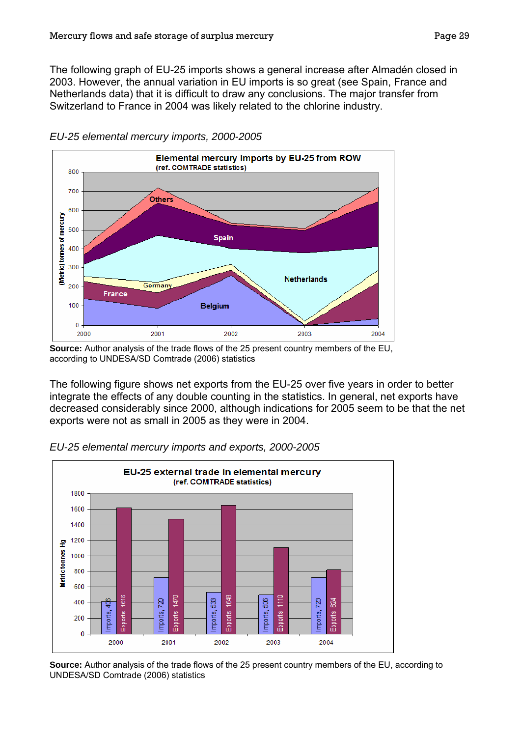The following graph of EU-25 imports shows a general increase after Almadén closed in 2003. However, the annual variation in EU imports is so great (see Spain, France and Netherlands data) that it is difficult to draw any conclusions. The major transfer from Switzerland to France in 2004 was likely related to the chlorine industry.



*EU-25 elemental mercury imports, 2000-2005*

The following figure shows net exports from the EU-25 over five years in order to better integrate the effects of any double counting in the statistics. In general, net exports have decreased considerably since 2000, although indications for 2005 seem to be that the net exports were not as small in 2005 as they were in 2004.



*EU-25 elemental mercury imports and exports, 2000-2005*

**Source:** Author analysis of the trade flows of the 25 present country members of the EU, according to UNDESA/SD Comtrade (2006) statistics

**Source:** Author analysis of the trade flows of the 25 present country members of the EU, according to UNDESA/SD Comtrade (2006) statistics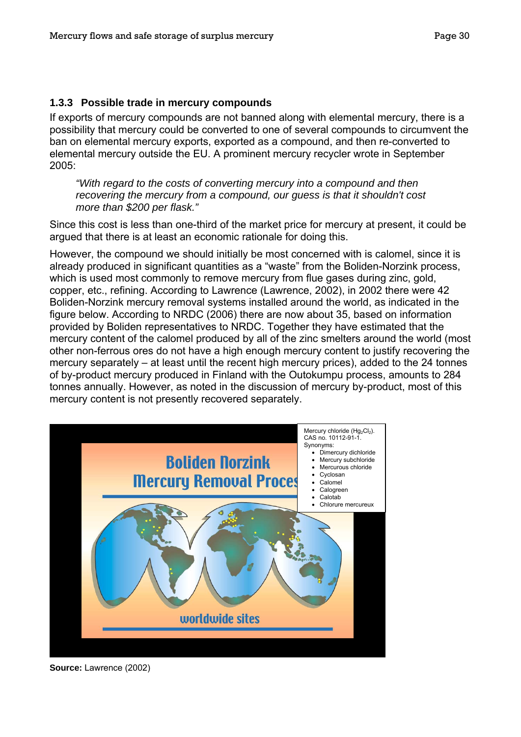#### <span id="page-32-0"></span>**1.3.3 Possible trade in mercury compounds**

If exports of mercury compounds are not banned along with elemental mercury, there is a possibility that mercury could be converted to one of several compounds to circumvent the ban on elemental mercury exports, exported as a compound, and then re-converted to elemental mercury outside the EU. A prominent mercury recycler wrote in September 2005:

*"With regard to the costs of converting mercury into a compound and then recovering the mercury from a compound, our guess is that it shouldn't cost more than \$200 per flask."* 

Since this cost is less than one-third of the market price for mercury at present, it could be argued that there is at least an economic rationale for doing this.

However, the compound we should initially be most concerned with is calomel, since it is already produced in significant quantities as a "waste" from the Boliden-Norzink process, which is used most commonly to remove mercury from flue gases during zinc, gold, copper, etc., refining. According to Lawrence (Lawrence, 2002), in 2002 there were 42 Boliden-Norzink mercury removal systems installed around the world, as indicated in the figure below. According to NRDC (2006) there are now about 35, based on information provided by Boliden representatives to NRDC. Together they have estimated that the mercury content of the calomel produced by all of the zinc smelters around the world (most other non-ferrous ores do not have a high enough mercury content to justify recovering the mercury separately – at least until the recent high mercury prices), added to the 24 tonnes of by-product mercury produced in Finland with the Outokumpu process, amounts to 284 tonnes annually. However, as noted in the discussion of mercury by-product, most of this mercury content is not presently recovered separately.



**Source:** Lawrence (2002)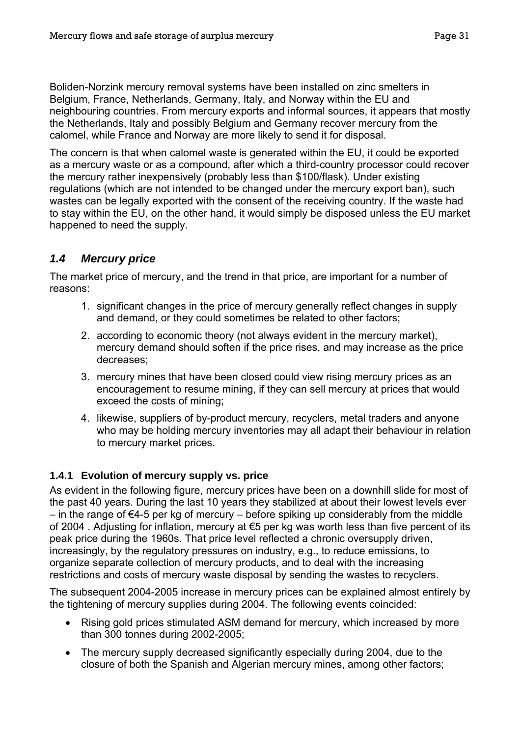<span id="page-33-0"></span>Boliden-Norzink mercury removal systems have been installed on zinc smelters in Belgium, France, Netherlands, Germany, Italy, and Norway within the EU and neighbouring countries. From mercury exports and informal sources, it appears that mostly the Netherlands, Italy and possibly Belgium and Germany recover mercury from the calomel, while France and Norway are more likely to send it for disposal.

The concern is that when calomel waste is generated within the EU, it could be exported as a mercury waste or as a compound, after which a third-country processor could recover the mercury rather inexpensively (probably less than \$100/flask). Under existing regulations (which are not intended to be changed under the mercury export ban), such wastes can be legally exported with the consent of the receiving country. If the waste had to stay within the EU, on the other hand, it would simply be disposed unless the EU market happened to need the supply.

# *1.4 Mercury price*

The market price of mercury, and the trend in that price, are important for a number of reasons:

- 1. significant changes in the price of mercury generally reflect changes in supply and demand, or they could sometimes be related to other factors;
- 2. according to economic theory (not always evident in the mercury market), mercury demand should soften if the price rises, and may increase as the price decreases;
- 3. mercury mines that have been closed could view rising mercury prices as an encouragement to resume mining, if they can sell mercury at prices that would exceed the costs of mining;
- 4. likewise, suppliers of by-product mercury, recyclers, metal traders and anyone who may be holding mercury inventories may all adapt their behaviour in relation to mercury market prices.

# **1.4.1 Evolution of mercury supply vs. price**

As evident in the following figure, mercury prices have been on a downhill slide for most of the past 40 years. During the last 10 years they stabilized at about their lowest levels ever  $-$  in the range of €4-5 per kg of mercury  $-$  before spiking up considerably from the middle of 2004 . Adjusting for inflation, mercury at €5 per kg was worth less than five percent of its peak price during the 1960s. That price level reflected a chronic oversupply driven, increasingly, by the regulatory pressures on industry, e.g., to reduce emissions, to organize separate collection of mercury products, and to deal with the increasing restrictions and costs of mercury waste disposal by sending the wastes to recyclers.

The subsequent 2004-2005 increase in mercury prices can be explained almost entirely by the tightening of mercury supplies during 2004. The following events coincided:

- Rising gold prices stimulated ASM demand for mercury, which increased by more than 300 tonnes during 2002-2005;
- The mercury supply decreased significantly especially during 2004, due to the closure of both the Spanish and Algerian mercury mines, among other factors;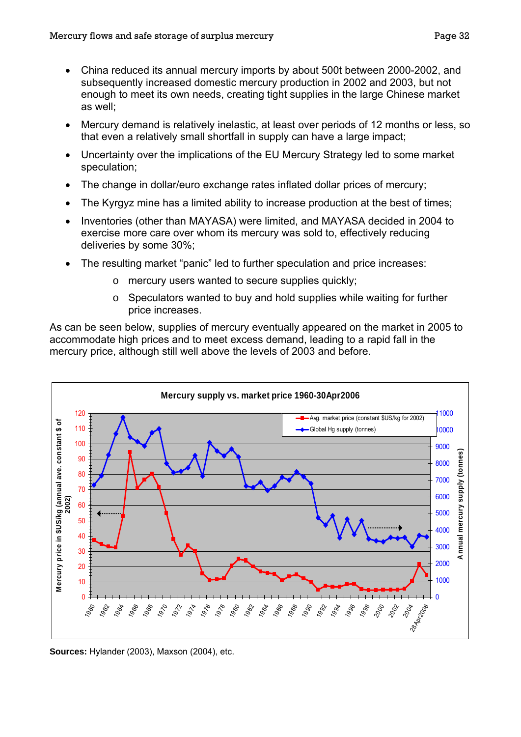- China reduced its annual mercury imports by about 500t between 2000-2002, and subsequently increased domestic mercury production in 2002 and 2003, but not enough to meet its own needs, creating tight supplies in the large Chinese market as well;
- Mercury demand is relatively inelastic, at least over periods of 12 months or less, so that even a relatively small shortfall in supply can have a large impact;
- Uncertainty over the implications of the EU Mercury Strategy led to some market speculation;
- The change in dollar/euro exchange rates inflated dollar prices of mercury;
- The Kyrgyz mine has a limited ability to increase production at the best of times;
- Inventories (other than MAYASA) were limited, and MAYASA decided in 2004 to exercise more care over whom its mercury was sold to, effectively reducing deliveries by some 30%;
- The resulting market "panic" led to further speculation and price increases:
	- o mercury users wanted to secure supplies quickly;
	- $\circ$  Speculators wanted to buy and hold supplies while waiting for further price increases.

As can be seen below, supplies of mercury eventually appeared on the market in 2005 to accommodate high prices and to meet excess demand, leading to a rapid fall in the mercury price, although still well above the levels of 2003 and before.



**Sources:** Hylander (2003), Maxson (2004), etc.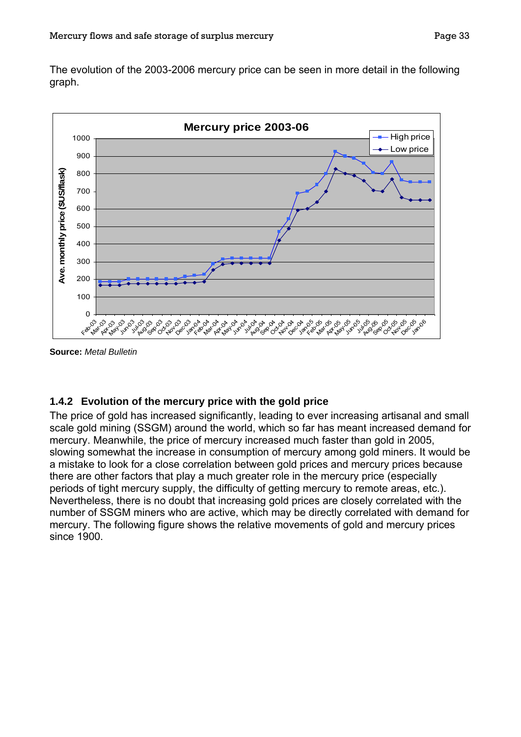<span id="page-35-0"></span>The evolution of the 2003-2006 mercury price can be seen in more detail in the following graph.



**Source:** *Metal Bulletin* 

#### **1.4.2 Evolution of the mercury price with the gold price**

The price of gold has increased significantly, leading to ever increasing artisanal and small scale gold mining (SSGM) around the world, which so far has meant increased demand for mercury. Meanwhile, the price of mercury increased much faster than gold in 2005, slowing somewhat the increase in consumption of mercury among gold miners. It would be a mistake to look for a close correlation between gold prices and mercury prices because there are other factors that play a much greater role in the mercury price (especially periods of tight mercury supply, the difficulty of getting mercury to remote areas, etc.). Nevertheless, there is no doubt that increasing gold prices are closely correlated with the number of SSGM miners who are active, which may be directly correlated with demand for mercury. The following figure shows the relative movements of gold and mercury prices since 1900.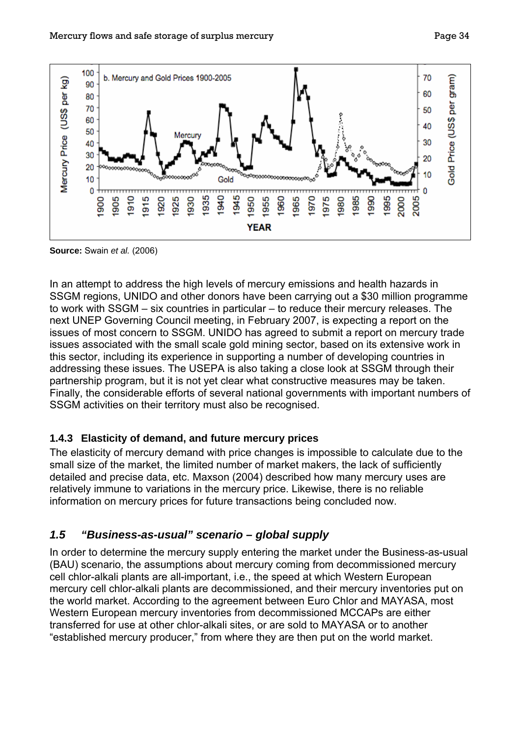

**Source:** Swain *et al.* (2006)

In an attempt to address the high levels of mercury emissions and health hazards in SSGM regions, UNIDO and other donors have been carrying out a \$30 million programme to work with SSGM – six countries in particular – to reduce their mercury releases. The next UNEP Governing Council meeting, in February 2007, is expecting a report on the issues of most concern to SSGM. UNIDO has agreed to submit a report on mercury trade issues associated with the small scale gold mining sector, based on its extensive work in this sector, including its experience in supporting a number of developing countries in addressing these issues. The USEPA is also taking a close look at SSGM through their partnership program, but it is not yet clear what constructive measures may be taken. Finally, the considerable efforts of several national governments with important numbers of SSGM activities on their territory must also be recognised.

### **1.4.3 Elasticity of demand, and future mercury prices**

The elasticity of mercury demand with price changes is impossible to calculate due to the small size of the market, the limited number of market makers, the lack of sufficiently detailed and precise data, etc. Maxson (2004) described how many mercury uses are relatively immune to variations in the mercury price. Likewise, there is no reliable information on mercury prices for future transactions being concluded now.

### *1.5 "Business-as-usual" scenario – global supply*

In order to determine the mercury supply entering the market under the Business-as-usual (BAU) scenario, the assumptions about mercury coming from decommissioned mercury cell chlor-alkali plants are all-important, i.e., the speed at which Western European mercury cell chlor-alkali plants are decommissioned, and their mercury inventories put on the world market. According to the agreement between Euro Chlor and MAYASA, most Western European mercury inventories from decommissioned MCCAPs are either transferred for use at other chlor-alkali sites, or are sold to MAYASA or to another "established mercury producer," from where they are then put on the world market.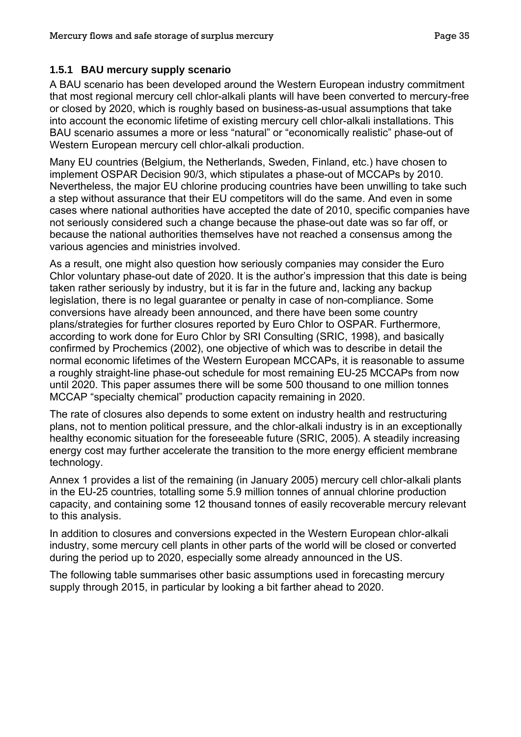### **1.5.1 BAU mercury supply scenario**

A BAU scenario has been developed around the Western European industry commitment that most regional mercury cell chlor-alkali plants will have been converted to mercury-free or closed by 2020, which is roughly based on business-as-usual assumptions that take into account the economic lifetime of existing mercury cell chlor-alkali installations. This BAU scenario assumes a more or less "natural" or "economically realistic" phase-out of Western European mercury cell chlor-alkali production.

Many EU countries (Belgium, the Netherlands, Sweden, Finland, etc.) have chosen to implement OSPAR Decision 90/3, which stipulates a phase-out of MCCAPs by 2010. Nevertheless, the major EU chlorine producing countries have been unwilling to take such a step without assurance that their EU competitors will do the same. And even in some cases where national authorities have accepted the date of 2010, specific companies have not seriously considered such a change because the phase-out date was so far off, or because the national authorities themselves have not reached a consensus among the various agencies and ministries involved.

As a result, one might also question how seriously companies may consider the Euro Chlor voluntary phase-out date of 2020. It is the author's impression that this date is being taken rather seriously by industry, but it is far in the future and, lacking any backup legislation, there is no legal guarantee or penalty in case of non-compliance. Some conversions have already been announced, and there have been some country plans/strategies for further closures reported by Euro Chlor to OSPAR. Furthermore, according to work done for Euro Chlor by SRI Consulting (SRIC, 1998), and basically confirmed by Prochemics (2002), one objective of which was to describe in detail the normal economic lifetimes of the Western European MCCAPs, it is reasonable to assume a roughly straight-line phase-out schedule for most remaining EU-25 MCCAPs from now until 2020. This paper assumes there will be some 500 thousand to one million tonnes MCCAP "specialty chemical" production capacity remaining in 2020.

The rate of closures also depends to some extent on industry health and restructuring plans, not to mention political pressure, and the chlor-alkali industry is in an exceptionally healthy economic situation for the foreseeable future (SRIC, 2005). A steadily increasing energy cost may further accelerate the transition to the more energy efficient membrane technology.

Annex 1 provides a list of the remaining (in January 2005) mercury cell chlor-alkali plants in the EU-25 countries, totalling some 5.9 million tonnes of annual chlorine production capacity, and containing some 12 thousand tonnes of easily recoverable mercury relevant to this analysis.

In addition to closures and conversions expected in the Western European chlor-alkali industry, some mercury cell plants in other parts of the world will be closed or converted during the period up to 2020, especially some already announced in the US.

The following table summarises other basic assumptions used in forecasting mercury supply through 2015, in particular by looking a bit farther ahead to 2020.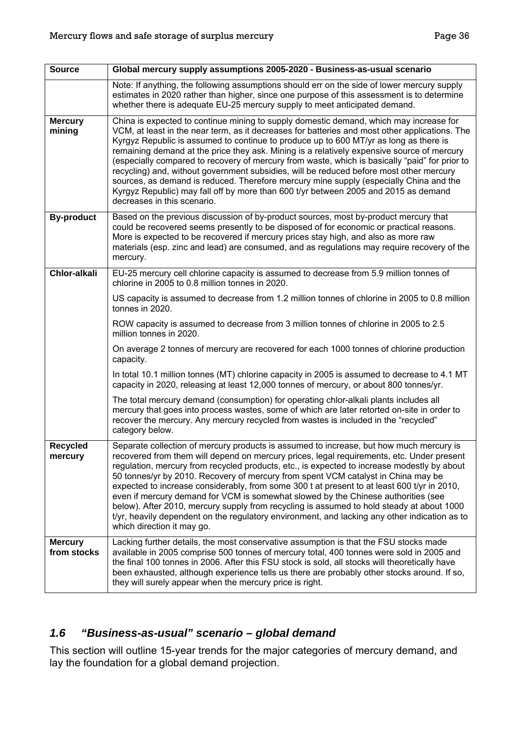| <b>Source</b>                 | Global mercury supply assumptions 2005-2020 - Business-as-usual scenario                                                                                                                                                                                                                                                                                                                                                                                                                                                                                                                                                                                                                                                                                                                     |
|-------------------------------|----------------------------------------------------------------------------------------------------------------------------------------------------------------------------------------------------------------------------------------------------------------------------------------------------------------------------------------------------------------------------------------------------------------------------------------------------------------------------------------------------------------------------------------------------------------------------------------------------------------------------------------------------------------------------------------------------------------------------------------------------------------------------------------------|
|                               | Note: If anything, the following assumptions should err on the side of lower mercury supply<br>estimates in 2020 rather than higher, since one purpose of this assessment is to determine<br>whether there is adequate EU-25 mercury supply to meet anticipated demand.                                                                                                                                                                                                                                                                                                                                                                                                                                                                                                                      |
| <b>Mercury</b><br>mining      | China is expected to continue mining to supply domestic demand, which may increase for<br>VCM, at least in the near term, as it decreases for batteries and most other applications. The<br>Kyrgyz Republic is assumed to continue to produce up to 600 MT/yr as long as there is<br>remaining demand at the price they ask. Mining is a relatively expensive source of mercury<br>(especially compared to recovery of mercury from waste, which is basically "paid" for prior to<br>recycling) and, without government subsidies, will be reduced before most other mercury<br>sources, as demand is reduced. Therefore mercury mine supply (especially China and the<br>Kyrgyz Republic) may fall off by more than 600 t/yr between 2005 and 2015 as demand<br>decreases in this scenario. |
| <b>By-product</b>             | Based on the previous discussion of by-product sources, most by-product mercury that<br>could be recovered seems presently to be disposed of for economic or practical reasons.<br>More is expected to be recovered if mercury prices stay high, and also as more raw<br>materials (esp. zinc and lead) are consumed, and as regulations may require recovery of the<br>mercury.                                                                                                                                                                                                                                                                                                                                                                                                             |
| <b>Chlor-alkali</b>           | EU-25 mercury cell chlorine capacity is assumed to decrease from 5.9 million tonnes of<br>chlorine in 2005 to 0.8 million tonnes in 2020.                                                                                                                                                                                                                                                                                                                                                                                                                                                                                                                                                                                                                                                    |
|                               | US capacity is assumed to decrease from 1.2 million tonnes of chlorine in 2005 to 0.8 million<br>tonnes in 2020.                                                                                                                                                                                                                                                                                                                                                                                                                                                                                                                                                                                                                                                                             |
|                               | ROW capacity is assumed to decrease from 3 million tonnes of chlorine in 2005 to 2.5<br>million tonnes in 2020.                                                                                                                                                                                                                                                                                                                                                                                                                                                                                                                                                                                                                                                                              |
|                               | On average 2 tonnes of mercury are recovered for each 1000 tonnes of chlorine production<br>capacity.                                                                                                                                                                                                                                                                                                                                                                                                                                                                                                                                                                                                                                                                                        |
|                               | In total 10.1 million tonnes (MT) chlorine capacity in 2005 is assumed to decrease to 4.1 MT<br>capacity in 2020, releasing at least 12,000 tonnes of mercury, or about 800 tonnes/yr.                                                                                                                                                                                                                                                                                                                                                                                                                                                                                                                                                                                                       |
|                               | The total mercury demand (consumption) for operating chlor-alkali plants includes all<br>mercury that goes into process wastes, some of which are later retorted on-site in order to<br>recover the mercury. Any mercury recycled from wastes is included in the "recycled"<br>category below.                                                                                                                                                                                                                                                                                                                                                                                                                                                                                               |
| <b>Recycled</b><br>mercury    | Separate collection of mercury products is assumed to increase, but how much mercury is<br>recovered from them will depend on mercury prices, legal requirements, etc. Under present<br>regulation, mercury from recycled products, etc., is expected to increase modestly by about<br>50 tonnes/yr by 2010. Recovery of mercury from spent VCM catalyst in China may be<br>expected to increase considerably, from some 300 t at present to at least 600 t/yr in 2010,<br>even if mercury demand for VCM is somewhat slowed by the Chinese authorities (see<br>below). After 2010, mercury supply from recycling is assumed to hold steady at about 1000<br>t/yr, heavily dependent on the regulatory environment, and lacking any other indication as to<br>which direction it may go.     |
| <b>Mercury</b><br>from stocks | Lacking further details, the most conservative assumption is that the FSU stocks made<br>available in 2005 comprise 500 tonnes of mercury total, 400 tonnes were sold in 2005 and<br>the final 100 tonnes in 2006. After this FSU stock is sold, all stocks will theoretically have<br>been exhausted, although experience tells us there are probably other stocks around. If so,<br>they will surely appear when the mercury price is right.                                                                                                                                                                                                                                                                                                                                               |

## *1.6 "Business-as-usual" scenario – global demand*

This section will outline 15-year trends for the major categories of mercury demand, and lay the foundation for a global demand projection.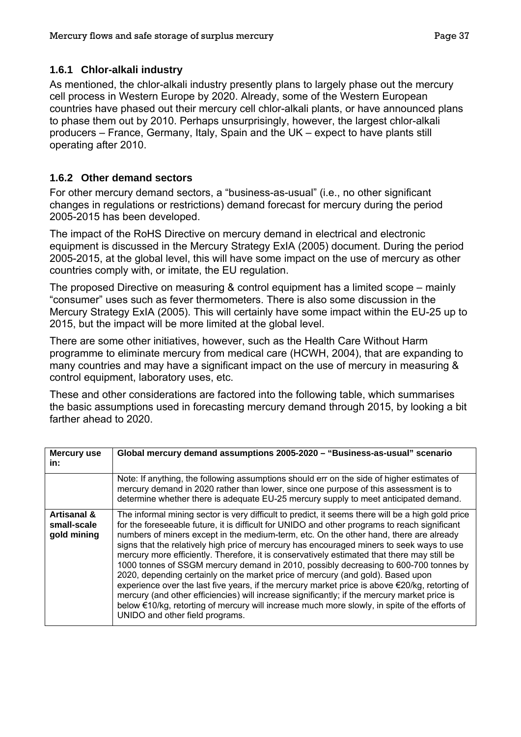### **1.6.1 Chlor-alkali industry**

As mentioned, the chlor-alkali industry presently plans to largely phase out the mercury cell process in Western Europe by 2020. Already, some of the Western European countries have phased out their mercury cell chlor-alkali plants, or have announced plans to phase them out by 2010. Perhaps unsurprisingly, however, the largest chlor-alkali producers – France, Germany, Italy, Spain and the UK – expect to have plants still operating after 2010.

### **1.6.2 Other demand sectors**

For other mercury demand sectors, a "business-as-usual" (i.e., no other significant changes in regulations or restrictions) demand forecast for mercury during the period 2005-2015 has been developed.

The impact of the RoHS Directive on mercury demand in electrical and electronic equipment is discussed in the Mercury Strategy ExIA (2005) document. During the period 2005-2015, at the global level, this will have some impact on the use of mercury as other countries comply with, or imitate, the EU regulation.

The proposed Directive on measuring & control equipment has a limited scope – mainly "consumer" uses such as fever thermometers. There is also some discussion in the Mercury Strategy ExIA (2005). This will certainly have some impact within the EU-25 up to 2015, but the impact will be more limited at the global level.

There are some other initiatives, however, such as the Health Care Without Harm programme to eliminate mercury from medical care (HCWH, 2004), that are expanding to many countries and may have a significant impact on the use of mercury in measuring & control equipment, laboratory uses, etc.

These and other considerations are factored into the following table, which summarises the basic assumptions used in forecasting mercury demand through 2015, by looking a bit farther ahead to 2020.

| <b>Mercury use</b><br>in:                 | Global mercury demand assumptions 2005-2020 - "Business-as-usual" scenario                                                                                                                                                                                                                                                                                                                                                                                                                                                                                                                                                                                                                                                                                                                                                                                                                                                                                                                                          |
|-------------------------------------------|---------------------------------------------------------------------------------------------------------------------------------------------------------------------------------------------------------------------------------------------------------------------------------------------------------------------------------------------------------------------------------------------------------------------------------------------------------------------------------------------------------------------------------------------------------------------------------------------------------------------------------------------------------------------------------------------------------------------------------------------------------------------------------------------------------------------------------------------------------------------------------------------------------------------------------------------------------------------------------------------------------------------|
|                                           | Note: If anything, the following assumptions should err on the side of higher estimates of<br>mercury demand in 2020 rather than lower, since one purpose of this assessment is to<br>determine whether there is adequate EU-25 mercury supply to meet anticipated demand.                                                                                                                                                                                                                                                                                                                                                                                                                                                                                                                                                                                                                                                                                                                                          |
| Artisanal &<br>small-scale<br>gold mining | The informal mining sector is very difficult to predict, it seems there will be a high gold price<br>for the foreseeable future, it is difficult for UNIDO and other programs to reach significant<br>numbers of miners except in the medium-term, etc. On the other hand, there are already<br>signs that the relatively high price of mercury has encouraged miners to seek ways to use<br>mercury more efficiently. Therefore, it is conservatively estimated that there may still be<br>1000 tonnes of SSGM mercury demand in 2010, possibly decreasing to 600-700 tonnes by<br>2020, depending certainly on the market price of mercury (and gold). Based upon<br>experience over the last five years, if the mercury market price is above $\epsilon$ 20/kg, retorting of<br>mercury (and other efficiencies) will increase significantly; if the mercury market price is<br>below €10/kg, retorting of mercury will increase much more slowly, in spite of the efforts of<br>UNIDO and other field programs. |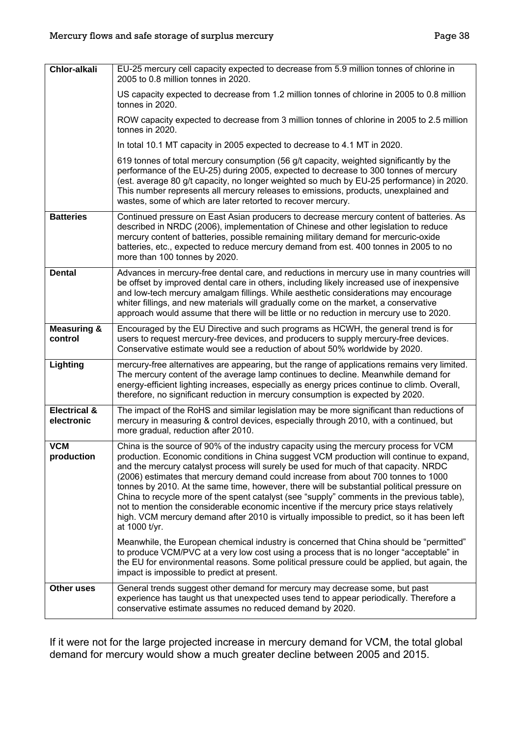| Chlor-alkali                          | EU-25 mercury cell capacity expected to decrease from 5.9 million tonnes of chlorine in<br>2005 to 0.8 million tonnes in 2020.                                                                                                                                                                                                                                                                                                                                                                                                                                                                                                                                                                                                                                                                                                                                    |
|---------------------------------------|-------------------------------------------------------------------------------------------------------------------------------------------------------------------------------------------------------------------------------------------------------------------------------------------------------------------------------------------------------------------------------------------------------------------------------------------------------------------------------------------------------------------------------------------------------------------------------------------------------------------------------------------------------------------------------------------------------------------------------------------------------------------------------------------------------------------------------------------------------------------|
|                                       | US capacity expected to decrease from 1.2 million tonnes of chlorine in 2005 to 0.8 million<br>tonnes in 2020.                                                                                                                                                                                                                                                                                                                                                                                                                                                                                                                                                                                                                                                                                                                                                    |
|                                       | ROW capacity expected to decrease from 3 million tonnes of chlorine in 2005 to 2.5 million<br>tonnes in 2020.                                                                                                                                                                                                                                                                                                                                                                                                                                                                                                                                                                                                                                                                                                                                                     |
|                                       | In total 10.1 MT capacity in 2005 expected to decrease to 4.1 MT in 2020.                                                                                                                                                                                                                                                                                                                                                                                                                                                                                                                                                                                                                                                                                                                                                                                         |
|                                       | 619 tonnes of total mercury consumption (56 g/t capacity, weighted significantly by the<br>performance of the EU-25) during 2005, expected to decrease to 300 tonnes of mercury<br>(est. average 80 g/t capacity, no longer weighted so much by EU-25 performance) in 2020.<br>This number represents all mercury releases to emissions, products, unexplained and<br>wastes, some of which are later retorted to recover mercury.                                                                                                                                                                                                                                                                                                                                                                                                                                |
| <b>Batteries</b>                      | Continued pressure on East Asian producers to decrease mercury content of batteries. As<br>described in NRDC (2006), implementation of Chinese and other legislation to reduce<br>mercury content of batteries, possible remaining military demand for mercuric-oxide<br>batteries, etc., expected to reduce mercury demand from est. 400 tonnes in 2005 to no<br>more than 100 tonnes by 2020.                                                                                                                                                                                                                                                                                                                                                                                                                                                                   |
| <b>Dental</b>                         | Advances in mercury-free dental care, and reductions in mercury use in many countries will<br>be offset by improved dental care in others, including likely increased use of inexpensive<br>and low-tech mercury amalgam fillings. While aesthetic considerations may encourage<br>whiter fillings, and new materials will gradually come on the market, a conservative<br>approach would assume that there will be little or no reduction in mercury use to 2020.                                                                                                                                                                                                                                                                                                                                                                                                |
| <b>Measuring &amp;</b><br>control     | Encouraged by the EU Directive and such programs as HCWH, the general trend is for<br>users to request mercury-free devices, and producers to supply mercury-free devices.<br>Conservative estimate would see a reduction of about 50% worldwide by 2020.                                                                                                                                                                                                                                                                                                                                                                                                                                                                                                                                                                                                         |
| Lighting                              | mercury-free alternatives are appearing, but the range of applications remains very limited.<br>The mercury content of the average lamp continues to decline. Meanwhile demand for<br>energy-efficient lighting increases, especially as energy prices continue to climb. Overall,<br>therefore, no significant reduction in mercury consumption is expected by 2020.                                                                                                                                                                                                                                                                                                                                                                                                                                                                                             |
| <b>Electrical &amp;</b><br>electronic | The impact of the RoHS and similar legislation may be more significant than reductions of<br>mercury in measuring & control devices, especially through 2010, with a continued, but<br>more gradual, reduction after 2010.                                                                                                                                                                                                                                                                                                                                                                                                                                                                                                                                                                                                                                        |
| <b>VCM</b><br>production              | China is the source of 90% of the industry capacity using the mercury process for VCM<br>production. Economic conditions in China suggest VCM production will continue to expand,<br>and the mercury catalyst process will surely be used for much of that capacity. NRDC<br>(2006) estimates that mercury demand could increase from about 700 tonnes to 1000<br>tonnes by 2010. At the same time, however, there will be substantial political pressure on<br>China to recycle more of the spent catalyst (see "supply" comments in the previous table),<br>not to mention the considerable economic incentive if the mercury price stays relatively<br>high. VCM mercury demand after 2010 is virtually impossible to predict, so it has been left<br>at 1000 t/yr.<br>Meanwhile, the European chemical industry is concerned that China should be "permitted" |
|                                       | to produce VCM/PVC at a very low cost using a process that is no longer "acceptable" in<br>the EU for environmental reasons. Some political pressure could be applied, but again, the<br>impact is impossible to predict at present.                                                                                                                                                                                                                                                                                                                                                                                                                                                                                                                                                                                                                              |
| Other uses                            | General trends suggest other demand for mercury may decrease some, but past<br>experience has taught us that unexpected uses tend to appear periodically. Therefore a<br>conservative estimate assumes no reduced demand by 2020.                                                                                                                                                                                                                                                                                                                                                                                                                                                                                                                                                                                                                                 |

If it were not for the large projected increase in mercury demand for VCM, the total global demand for mercury would show a much greater decline between 2005 and 2015.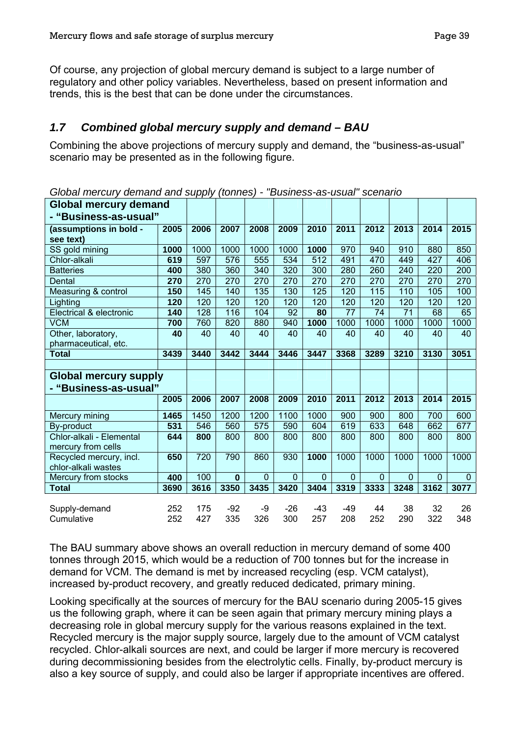Of course, any projection of global mercury demand is subject to a large number of regulatory and other policy variables. Nevertheless, based on present information and trends, this is the best that can be done under the circumstances.

## *1.7 Combined global mercury supply and demand – BAU*

Combining the above projections of mercury supply and demand, the "business-as-usual" scenario may be presented as in the following figure.

| <b>Global mercury demand</b> |            |            |              |             |                |              |                |             |              |             |                |
|------------------------------|------------|------------|--------------|-------------|----------------|--------------|----------------|-------------|--------------|-------------|----------------|
| - "Business-as-usual"        |            |            |              |             |                |              |                |             |              |             |                |
| (assumptions in bold -       | 2005       | 2006       | 2007         | 2008        | 2009           | 2010         | 2011           | 2012        | 2013         | 2014        | 2015           |
| see text)                    |            |            |              |             |                |              |                |             |              |             |                |
| SS gold mining               | 1000       | 1000       | 1000         | 1000        | 1000           | 1000         | 970            | 940         | 910          | 880         | 850            |
| Chlor-alkali                 | 619        | 597        | 576          | 555         | 534            | 512          | 491            | 470         | 449          | 427         | 406            |
| <b>Batteries</b>             | 400        | 380        | 360          | 340         | 320            | 300          | 280            | 260         | 240          | 220         | 200            |
| Dental                       | 270        | 270        | 270          | 270         | 270            | 270          | 270            | 270         | 270          | 270         | 270            |
| Measuring & control          | 150        | 145        | 140          | 135         | 130            | 125          | 120            | 115         | 110          | 105         | 100            |
| Lighting                     | 120        | 120        | 120          | 120         | 120            | 120          | 120            | 120         | 120          | 120         | 120            |
| Electrical & electronic      | 140        | 128        | 116          | 104         | 92             | 80           | 77             | 74          | 71           | 68          | 65             |
| <b>VCM</b>                   | 700        | 760        | 820          | 880         | 940            | 1000         | 1000           | 1000        | 1000         | 1000        | 1000           |
| Other, laboratory,           | 40         | 40         | 40           | 40          | 40             | 40           | 40             | 40          | 40           | 40          | 40             |
| pharmaceutical, etc.         |            |            |              |             |                |              |                |             |              |             |                |
| <b>Total</b>                 | 3439       | 3440       | 3442         | 3444        | 3446           | 3447         | 3368           | 3289        | 3210         | 3130        | 3051           |
|                              |            |            |              |             |                |              |                |             |              |             |                |
|                              |            |            |              |             |                |              |                |             |              |             |                |
| Global mercury supply        |            |            |              |             |                |              |                |             |              |             |                |
| - "Business-as-usual"        |            |            |              |             |                |              |                |             |              |             |                |
|                              | 2005       | 2006       | 2007         | 2008        | 2009           | 2010         | 2011           | 2012        | 2013         | 2014        | 2015           |
|                              |            |            |              |             |                |              |                |             |              |             |                |
| Mercury mining               | 1465       | 1450       | 1200         | 1200        | 1100           | 1000         | 900            | 900         | 800          | 700         | 600            |
| By-product                   | 531        | 546        | 560          | 575         | 590            | 604          | 619            | 633         | 648          | 662         | 677            |
| Chlor-alkali - Elemental     | 644        | 800        | 800          | 800         | 800            | 800          | 800            | 800         | 800          | 800         | 800            |
| mercury from cells           |            |            |              |             |                |              |                |             |              |             |                |
| Recycled mercury, incl.      | 650        | 720        | 790          | 860         | 930            | 1000         | 1000           | 1000        | 1000         | 1000        | 1000           |
| chlor-alkali wastes          |            |            |              |             |                |              |                |             |              |             |                |
| Mercury from stocks          | 400        | 100        | $\bf{0}$     | $\mathbf 0$ | $\overline{0}$ | $\mathbf 0$  | $\overline{0}$ | $\mathbf 0$ | $\mathbf{0}$ | $\mathbf 0$ | $\overline{0}$ |
| <b>Total</b>                 | 3690       | 3616       | 3350         | 3435        | 3420           | 3404         | 3319           | 3333        | 3248         | 3162        | 3077           |
|                              |            |            |              |             |                |              |                |             |              |             |                |
| Supply-demand<br>Cumulative  | 252<br>252 | 175<br>427 | $-92$<br>335 | -9<br>326   | $-26$<br>300   | $-43$<br>257 | -49<br>208     | 44<br>252   | 38<br>290    | 32<br>322   | 26<br>348      |

*Global mercury demand and supply (tonnes) - "Business-as-usual" scenario* 

The BAU summary above shows an overall reduction in mercury demand of some 400 tonnes through 2015, which would be a reduction of 700 tonnes but for the increase in demand for VCM. The demand is met by increased recycling (esp. VCM catalyst), increased by-product recovery, and greatly reduced dedicated, primary mining.

Looking specifically at the sources of mercury for the BAU scenario during 2005-15 gives us the following graph, where it can be seen again that primary mercury mining plays a decreasing role in global mercury supply for the various reasons explained in the text. Recycled mercury is the major supply source, largely due to the amount of VCM catalyst recycled. Chlor-alkali sources are next, and could be larger if more mercury is recovered during decommissioning besides from the electrolytic cells. Finally, by-product mercury is also a key source of supply, and could also be larger if appropriate incentives are offered.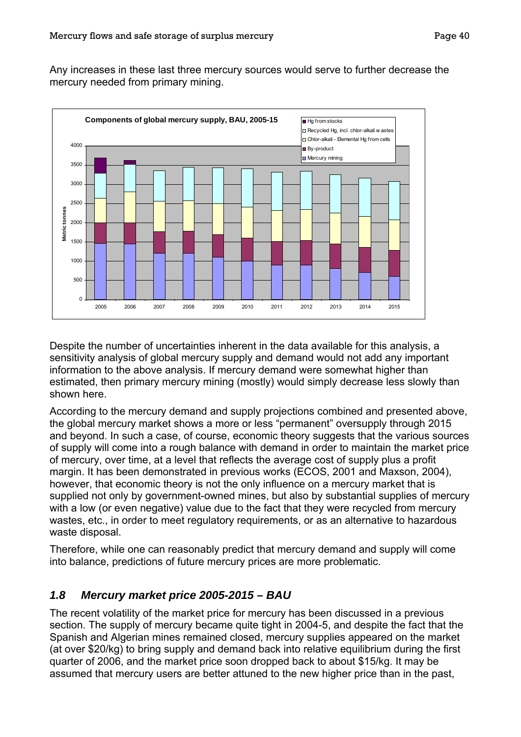Any increases in these last three mercury sources would serve to further decrease the mercury needed from primary mining.



Despite the number of uncertainties inherent in the data available for this analysis, a sensitivity analysis of global mercury supply and demand would not add any important information to the above analysis. If mercury demand were somewhat higher than estimated, then primary mercury mining (mostly) would simply decrease less slowly than shown here.

According to the mercury demand and supply projections combined and presented above, the global mercury market shows a more or less "permanent" oversupply through 2015 and beyond. In such a case, of course, economic theory suggests that the various sources of supply will come into a rough balance with demand in order to maintain the market price of mercury, over time, at a level that reflects the average cost of supply plus a profit margin. It has been demonstrated in previous works (ECOS, 2001 and Maxson, 2004), however, that economic theory is not the only influence on a mercury market that is supplied not only by government-owned mines, but also by substantial supplies of mercury with a low (or even negative) value due to the fact that they were recycled from mercury wastes, etc., in order to meet regulatory requirements, or as an alternative to hazardous waste disposal.

Therefore, while one can reasonably predict that mercury demand and supply will come into balance, predictions of future mercury prices are more problematic.

### *1.8 Mercury market price 2005-2015 – BAU*

The recent volatility of the market price for mercury has been discussed in a previous section. The supply of mercury became quite tight in 2004-5, and despite the fact that the Spanish and Algerian mines remained closed, mercury supplies appeared on the market (at over \$20/kg) to bring supply and demand back into relative equilibrium during the first quarter of 2006, and the market price soon dropped back to about \$15/kg. It may be assumed that mercury users are better attuned to the new higher price than in the past,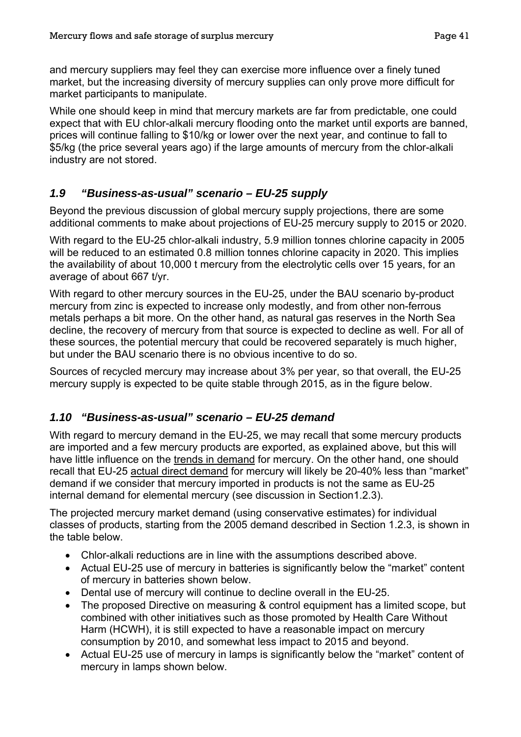and mercury suppliers may feel they can exercise more influence over a finely tuned market, but the increasing diversity of mercury supplies can only prove more difficult for market participants to manipulate.

While one should keep in mind that mercury markets are far from predictable, one could expect that with EU chlor-alkali mercury flooding onto the market until exports are banned, prices will continue falling to \$10/kg or lower over the next year, and continue to fall to \$5/kg (the price several years ago) if the large amounts of mercury from the chlor-alkali industry are not stored.

## *1.9 "Business-as-usual" scenario – EU-25 supply*

Beyond the previous discussion of global mercury supply projections, there are some additional comments to make about projections of EU-25 mercury supply to 2015 or 2020.

With regard to the EU-25 chlor-alkali industry, 5.9 million tonnes chlorine capacity in 2005 will be reduced to an estimated 0.8 million tonnes chlorine capacity in 2020. This implies the availability of about 10,000 t mercury from the electrolytic cells over 15 years, for an average of about 667 t/yr.

With regard to other mercury sources in the EU-25, under the BAU scenario by-product mercury from zinc is expected to increase only modestly, and from other non-ferrous metals perhaps a bit more. On the other hand, as natural gas reserves in the North Sea decline, the recovery of mercury from that source is expected to decline as well. For all of these sources, the potential mercury that could be recovered separately is much higher, but under the BAU scenario there is no obvious incentive to do so.

Sources of recycled mercury may increase about 3% per year, so that overall, the EU-25 mercury supply is expected to be quite stable through 2015, as in the figure below.

## *1.10 "Business-as-usual" scenario – EU-25 demand*

With regard to mercury demand in the EU-25, we may recall that some mercury products are imported and a few mercury products are exported, as explained above, but this will have little influence on the trends in demand for mercury. On the other hand, one should recall that EU-25 actual direct demand for mercury will likely be 20-40% less than "market" demand if we consider that mercury imported in products is not the same as EU-25 internal demand for elemental mercury (see discussion in Sectio[n1.2.3\)](#page-26-0).

The projected mercury market demand (using conservative estimates) for individual classes of products, starting from the 2005 demand described in Section [1.2.3,](#page-26-0) is shown in the table below.

- Chlor-alkali reductions are in line with the assumptions described above.
- Actual EU-25 use of mercury in batteries is significantly below the "market" content of mercury in batteries shown below.
- Dental use of mercury will continue to decline overall in the EU-25.
- The proposed Directive on measuring & control equipment has a limited scope, but combined with other initiatives such as those promoted by Health Care Without Harm (HCWH), it is still expected to have a reasonable impact on mercury consumption by 2010, and somewhat less impact to 2015 and beyond.
- Actual EU-25 use of mercury in lamps is significantly below the "market" content of mercury in lamps shown below.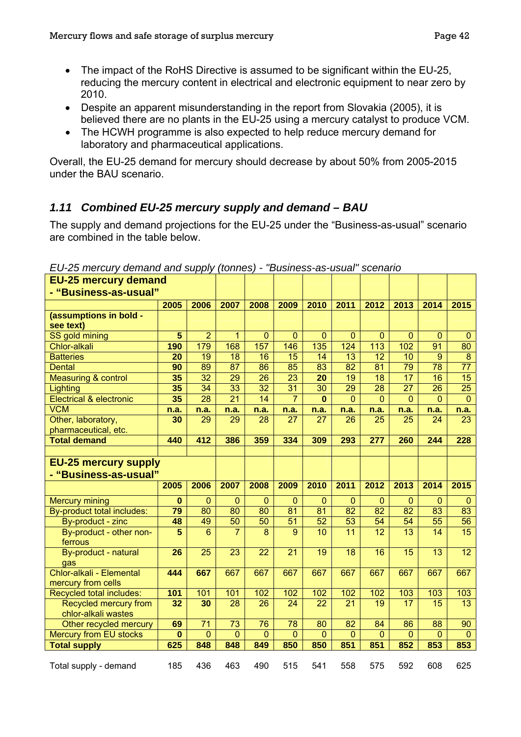- The impact of the RoHS Directive is assumed to be significant within the EU-25, reducing the mercury content in electrical and electronic equipment to near zero by 2010.
- Despite an apparent misunderstanding in the report from Slovakia (2005), it is believed there are no plants in the EU-25 using a mercury catalyst to produce VCM.
- The HCWH programme is also expected to help reduce mercury demand for laboratory and pharmaceutical applications.

Overall, the EU-25 demand for mercury should decrease by about 50% from 2005-2015 under the BAU scenario.

## *1.11 Combined EU-25 mercury supply and demand – BAU*

The supply and demand projections for the EU-25 under the "Business-as-usual" scenario are combined in the table below.

| <b>EU-25 mercury demand</b>                          |          |                 |                |              |                |              |                |                |                |             |                  |
|------------------------------------------------------|----------|-----------------|----------------|--------------|----------------|--------------|----------------|----------------|----------------|-------------|------------------|
| - "Business-as-usual"                                |          |                 |                |              |                |              |                |                |                |             |                  |
|                                                      | 2005     | 2006            | 2007           | 2008         | 2009           | 2010         | 2011           | 2012           | 2013           | 2014        | 2015             |
| (assumptions in bold -<br>see text)                  |          |                 |                |              |                |              |                |                |                |             |                  |
| SS gold mining                                       | 5        | $\overline{2}$  | $\mathbf{1}$   | $\mathbf 0$  | $\mathbf{0}$   | $\mathbf{0}$ | $\mathbf{0}$   | $\mathbf 0$    | $\mathbf 0$    | $\mathbf 0$ | $\mathbf 0$      |
| Chlor-alkali                                         | 190      | 179             | 168            | 157          | 146            | 135          | 124            | 113            | 102            | 91          | 80               |
| <b>Batteries</b>                                     | 20       | 19              | 18             | 16           | 15             | 14           | 13             | 12             | 10             | 9           | $\boldsymbol{8}$ |
| <b>Dental</b>                                        | 90       | 89              | 87             | 86           | 85             | 83           | 82             | 81             | 79             | 78          | 77               |
| <b>Measuring &amp; control</b>                       | 35       | 32              | 29             | 26           | 23             | 20           | 19             | 18             | 17             | 16          | 15               |
| Lighting                                             | 35       | 34              | 33             | 32           | 31             | 30           | 29             | 28             | 27             | 26          | 25               |
| <b>Electrical &amp; electronic</b>                   | 35       | 28              | 21             | 14           | 7              | $\bf{0}$     | $\mathbf{0}$   | $\mathbf{0}$   | $\overline{0}$ | 0           | $\mathbf{0}$     |
| <b>VCM</b>                                           | n.a.     | n.a.            | n.a.           | n.a.         | n.a.           | n.a.         | n.a.           | n.a.           | n.a.           | n.a.        | n.a.             |
| Other, laboratory,<br>pharmaceutical, etc.           | 30       | 29              | 29             | 28           | 27             | 27           | 26             | 25             | 25             | 24          | 23               |
| <b>Total demand</b>                                  | 440      | 412             | 386            | 359          | 334            | 309          | 293            | 277            | 260            | 244         | 228              |
|                                                      |          |                 |                |              |                |              |                |                |                |             |                  |
| <b>EU-25 mercury supply</b><br>- "Business-as-usual" |          |                 |                |              |                |              |                |                |                |             |                  |
|                                                      |          |                 |                |              |                |              |                |                |                |             |                  |
|                                                      | 2005     | 2006            | 2007           | 2008         | 2009           | 2010         | 2011           | 2012           | 2013           | 2014        | 2015             |
| <b>Mercury mining</b>                                | $\bf{0}$ | $\overline{0}$  | $\mathbf 0$    | $\mathbf{0}$ | $\mathbf{0}$   | $\mathbf{0}$ | $\mathbf{0}$   | $\mathbf{0}$   | $\mathbf 0$    | $\mathbf 0$ | $\mathbf 0$      |
| By-product total includes:                           | 79       | 80              | 80             | 80           | 81             | 81           | 82             | 82             | 82             | 83          | 83               |
| By-product - zinc                                    | 48       | 49              | 50             | 50           | 51             | 52           | 53             | 54             | 54             | 55          | 56               |
| By-product - other non-<br>ferrous                   | 5        | 6               | $\overline{7}$ | 8            | 9              | 10           | 11             | 12             | 13             | 14          | 15               |
| By-product - natural<br>gas                          | 26       | 25              | 23             | 22           | 21             | 19           | 18             | 16             | 15             | 13          | 12               |
| Chlor-alkali - Elemental<br>mercury from cells       | 444      | 667             | 667            | 667          | 667            | 667          | 667            | 667            | 667            | 667         | 667              |
| Recycled total includes:                             | 101      | 101             | 101            | 102          | 102            | 102          | 102            | 102            | 103            | 103         | 103              |
| Recycled mercury from<br>chlor-alkali wastes         | 32       | 30              | 28             | 26           | 24             | 22           | 21             | 19             | 17             | 15          | 13               |
| Other recycled mercury                               | 69       | $\overline{71}$ | 73             | 76           | 78             | 80           | 82             | 84             | 86             | 88          | 90               |
| <b>Mercury from EU stocks</b>                        | $\bf{0}$ | $\overline{0}$  | $\overline{0}$ | $\mathbf{0}$ | $\overline{0}$ | $\mathbf{0}$ | $\overline{0}$ | $\overline{0}$ | $\mathbf 0$    | $\mathbf 0$ | $\mathbf 0$      |
| <b>Total supply</b>                                  | 625      | 848             | 848            | 849          | 850            | 850          | 851            | 851            | 852            | 853         | 853              |

*EU-25 mercury demand and supply (tonnes) - "Business-as-usual" scenario*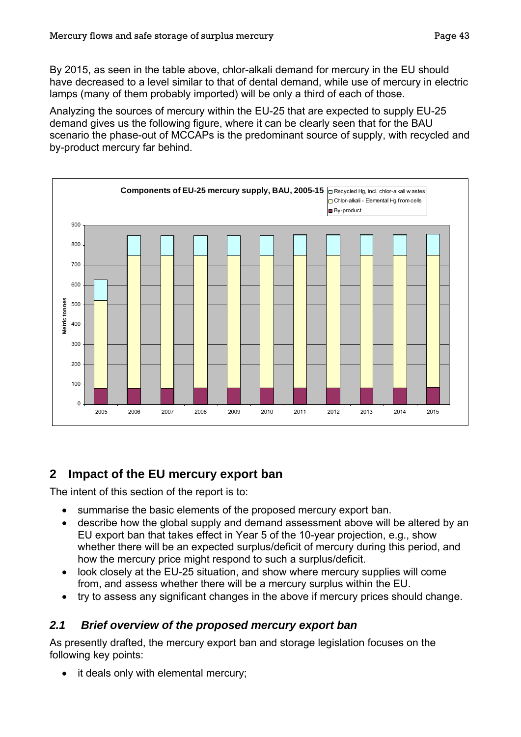By 2015, as seen in the table above, chlor-alkali demand for mercury in the EU should have decreased to a level similar to that of dental demand, while use of mercury in electric lamps (many of them probably imported) will be only a third of each of those.

Analyzing the sources of mercury within the EU-25 that are expected to supply EU-25 demand gives us the following figure, where it can be clearly seen that for the BAU scenario the phase-out of MCCAPs is the predominant source of supply, with recycled and by-product mercury far behind.



# **2 Impact of the EU mercury export ban**

The intent of this section of the report is to:

- summarise the basic elements of the proposed mercury export ban.
- describe how the global supply and demand assessment above will be altered by an EU export ban that takes effect in Year 5 of the 10-year projection, e.g., show whether there will be an expected surplus/deficit of mercury during this period, and how the mercury price might respond to such a surplus/deficit.
- look closely at the EU-25 situation, and show where mercury supplies will come from, and assess whether there will be a mercury surplus within the EU.
- try to assess any significant changes in the above if mercury prices should change.

## *2.1 Brief overview of the proposed mercury export ban*

As presently drafted, the mercury export ban and storage legislation focuses on the following key points:

• it deals only with elemental mercury;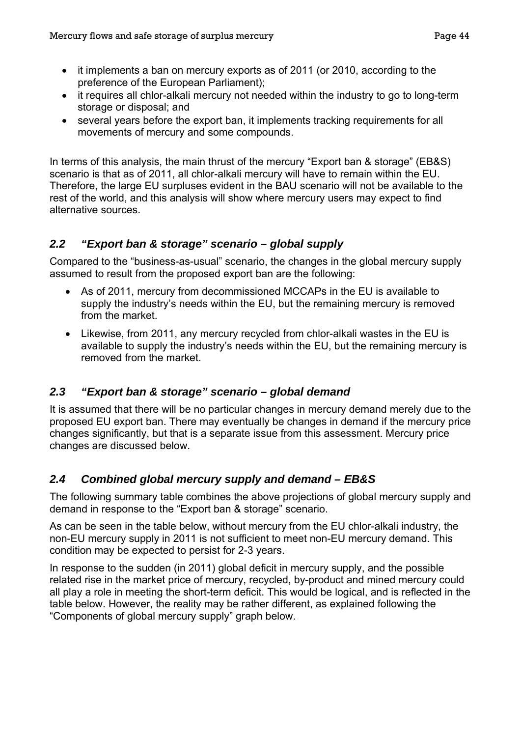- it implements a ban on mercury exports as of 2011 (or 2010, according to the preference of the European Parliament);
- it requires all chlor-alkali mercury not needed within the industry to go to long-term storage or disposal; and
- several years before the export ban, it implements tracking requirements for all movements of mercury and some compounds.

In terms of this analysis, the main thrust of the mercury "Export ban & storage" (EB&S) scenario is that as of 2011, all chlor-alkali mercury will have to remain within the EU. Therefore, the large EU surpluses evident in the BAU scenario will not be available to the rest of the world, and this analysis will show where mercury users may expect to find alternative sources.

### *2.2 "Export ban & storage" scenario – global supply*

Compared to the "business-as-usual" scenario, the changes in the global mercury supply assumed to result from the proposed export ban are the following:

- As of 2011, mercury from decommissioned MCCAPs in the EU is available to supply the industry's needs within the EU, but the remaining mercury is removed from the market.
- Likewise, from 2011, any mercury recycled from chlor-alkali wastes in the EU is available to supply the industry's needs within the EU, but the remaining mercury is removed from the market.

### *2.3 "Export ban & storage" scenario – global demand*

It is assumed that there will be no particular changes in mercury demand merely due to the proposed EU export ban. There may eventually be changes in demand if the mercury price changes significantly, but that is a separate issue from this assessment. Mercury price changes are discussed below.

### *2.4 Combined global mercury supply and demand – EB&S*

The following summary table combines the above projections of global mercury supply and demand in response to the "Export ban & storage" scenario.

As can be seen in the table below, without mercury from the EU chlor-alkali industry, the non-EU mercury supply in 2011 is not sufficient to meet non-EU mercury demand. This condition may be expected to persist for 2-3 years.

In response to the sudden (in 2011) global deficit in mercury supply, and the possible related rise in the market price of mercury, recycled, by-product and mined mercury could all play a role in meeting the short-term deficit. This would be logical, and is reflected in the table below. However, the reality may be rather different, as explained following the "Components of global mercury supply" graph below.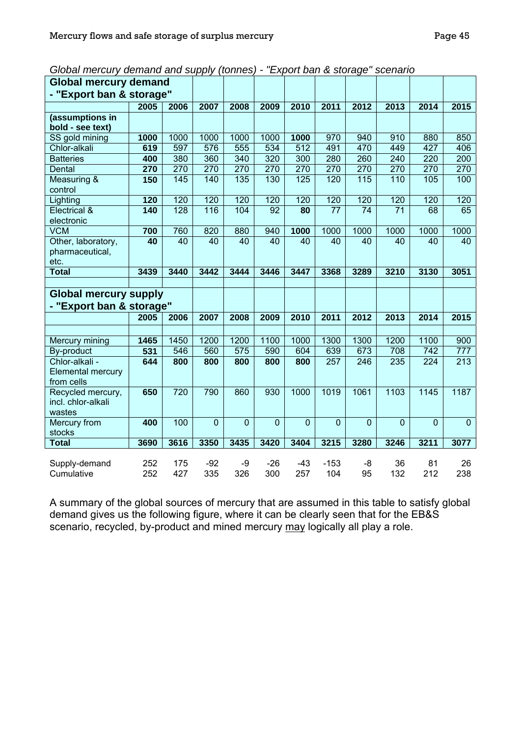| Global mercury demand and supply (tonnes) - "Export ban & storage" scenario |  |  |
|-----------------------------------------------------------------------------|--|--|
|-----------------------------------------------------------------------------|--|--|

| <b>Global mercury demand</b> |            |            |                |                |                |                |                |                |                 |                |                |
|------------------------------|------------|------------|----------------|----------------|----------------|----------------|----------------|----------------|-----------------|----------------|----------------|
| - "Export ban & storage"     |            |            |                |                |                |                |                |                |                 |                |                |
|                              | 2005       | 2006       | 2007           | 2008           | 2009           | 2010           | 2011           | 2012           | 2013            | 2014           | 2015           |
| (assumptions in              |            |            |                |                |                |                |                |                |                 |                |                |
| bold - see text)             |            |            |                |                |                |                |                |                |                 |                |                |
| SS gold mining               | 1000       | 1000       | 1000           | 1000           | 1000           | 1000           | 970            | 940            | 910             | 880            | 850            |
| Chlor-alkali                 | 619        | 597        | 576            | 555            | 534            | 512            | 491            | 470            | 449             | 427            | 406            |
| <b>Batteries</b>             | 400        | 380        | 360            | 340            | 320            | 300            | 280            | 260            | 240             | 220            | 200            |
| Dental                       | 270        | 270        | 270            | 270            | 270            | 270            | 270            | 270            | 270             | 270            | 270            |
| Measuring &                  | 150        | 145        | 140            | 135            | 130            | 125            | 120            | 115            | 110             | 105            | 100            |
| control                      |            |            |                |                |                |                |                |                |                 |                |                |
| Lighting                     | 120        | 120        | 120            | 120            | 120            | 120            | 120            | 120            | 120             | 120            | 120            |
| Electrical &<br>electronic   | 140        | 128        | 116            | 104            | 92             | 80             | 77             | 74             | $\overline{71}$ | 68             | 65             |
| <b>VCM</b>                   | 700        | 760        | 820            | 880            | 940            | 1000           | 1000           | 1000           | 1000            | 1000           | 1000           |
| Other, laboratory,           | 40         | 40         | 40             | 40             | 40             | 40             | 40             | 40             | 40              | 40             | 40             |
| pharmaceutical,              |            |            |                |                |                |                |                |                |                 |                |                |
| etc.                         |            |            |                |                |                |                |                |                |                 |                |                |
| <b>Total</b>                 | 3439       | 3440       | 3442           | 3444           | 3446           | 3447           | 3368           | 3289           | 3210            | 3130           | 3051           |
|                              |            |            |                |                |                |                |                |                |                 |                |                |
|                              |            |            |                |                |                |                |                |                |                 |                |                |
| <b>Global mercury supply</b> |            |            |                |                |                |                |                |                |                 |                |                |
| - "Export ban & storage"     |            |            |                |                |                |                |                |                |                 |                |                |
|                              | 2005       | 2006       | 2007           | 2008           | 2009           | 2010           | 2011           | 2012           | 2013            | 2014           | 2015           |
|                              |            |            |                |                |                |                |                |                |                 |                |                |
| Mercury mining               | 1465       | 1450       | 1200           | 1200           | 1100           | 1000           | 1300           | 1300           | 1200            | 1100           | 900            |
| By-product                   | 531        | 546        | 560            | 575            | 590            | 604            | 639            | 673            | 708             | 742            | 777            |
| Chlor-alkali -               | 644        | 800        | 800            | 800            | 800            | 800            | 257            | 246            | 235             | 224            | 213            |
| Elemental mercury            |            |            |                |                |                |                |                |                |                 |                |                |
| from cells                   |            |            |                |                |                |                |                |                |                 |                |                |
| Recycled mercury,            | 650        | 720        | 790            | 860            | 930            | 1000           | 1019           | 1061           | 1103            | 1145           | 1187           |
| incl. chlor-alkali           |            |            |                |                |                |                |                |                |                 |                |                |
| wastes                       |            |            |                |                |                |                |                |                |                 |                |                |
| Mercury from                 | 400        | 100        | $\overline{0}$ | $\overline{0}$ | $\overline{0}$ | $\overline{0}$ | $\overline{0}$ | $\overline{0}$ | $\overline{0}$  | $\overline{0}$ | $\overline{0}$ |
| stocks                       |            |            |                |                |                |                |                |                |                 |                |                |
| <b>Total</b>                 | 3690       | 3616       | 3350           | 3435           | 3420           | 3404           | 3215           | 3280           | 3246            | 3211           | 3077           |
|                              |            |            |                |                |                |                |                |                |                 |                |                |
| Supply-demand<br>Cumulative  | 252<br>252 | 175<br>427 | $-92$<br>335   | -9<br>326      | $-26$<br>300   | -43<br>257     | $-153$<br>104  | -8<br>95       | 36<br>132       | 81<br>212      | 26<br>238      |

A summary of the global sources of mercury that are assumed in this table to satisfy global demand gives us the following figure, where it can be clearly seen that for the EB&S scenario, recycled, by-product and mined mercury may logically all play a role.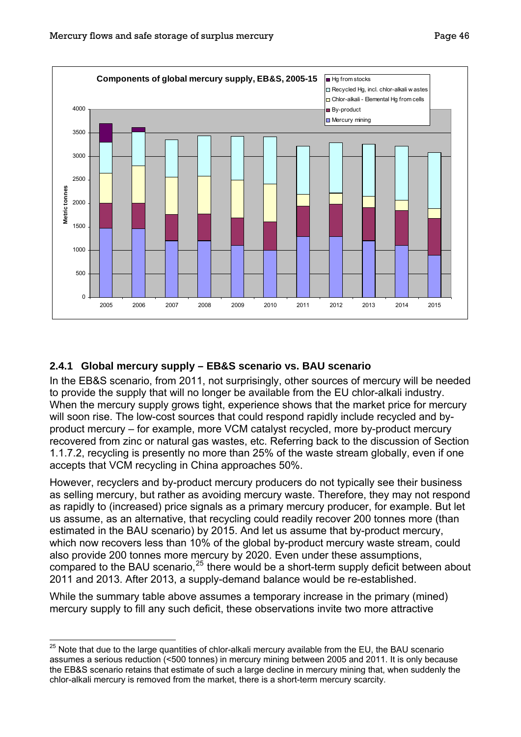<span id="page-48-0"></span>

### <span id="page-48-1"></span>**2.4.1 Global mercury supply – EB&S scenario vs. BAU scenario**

In the EB&S scenario, from 2011, not surprisingly, other sources of mercury will be needed to provide the supply that will no longer be available from the EU chlor-alkali industry. When the mercury supply grows tight, experience shows that the market price for mercury will soon rise. The low-cost sources that could respond rapidly include recycled and byproduct mercury – for example, more VCM catalyst recycled, more by-product mercury recovered from zinc or natural gas wastes, etc. Referring back to the discussion of Section [1.1.7.2](#page-17-0), recycling is presently no more than 25% of the waste stream globally, even if one accepts that VCM recycling in China approaches 50%.

However, recyclers and by-product mercury producers do not typically see their business as selling mercury, but rather as avoiding mercury waste. Therefore, they may not respond as rapidly to (increased) price signals as a primary mercury producer, for example. But let us assume, as an alternative, that recycling could readily recover 200 tonnes more (than estimated in the BAU scenario) by 2015. And let us assume that by-product mercury, which now recovers less than 10% of the global by-product mercury waste stream, could also provide 200 tonnes more mercury by 2020. Even under these assumptions, compared to the BAU scenario,<sup>[25](#page-48-0)</sup> there would be a short-term supply deficit between about 2011 and 2013. After 2013, a supply-demand balance would be re-established.

While the summary table above assumes a temporary increase in the primary (mined) mercury supply to fill any such deficit, these observations invite two more attractive

 $\overline{a}$ 

 $^{25}$  Note that due to the large quantities of chlor-alkali mercury available from the EU, the BAU scenario assumes a serious reduction (<500 tonnes) in mercury mining between 2005 and 2011. It is only because the EB&S scenario retains that estimate of such a large decline in mercury mining that, when suddenly the chlor-alkali mercury is removed from the market, there is a short-term mercury scarcity.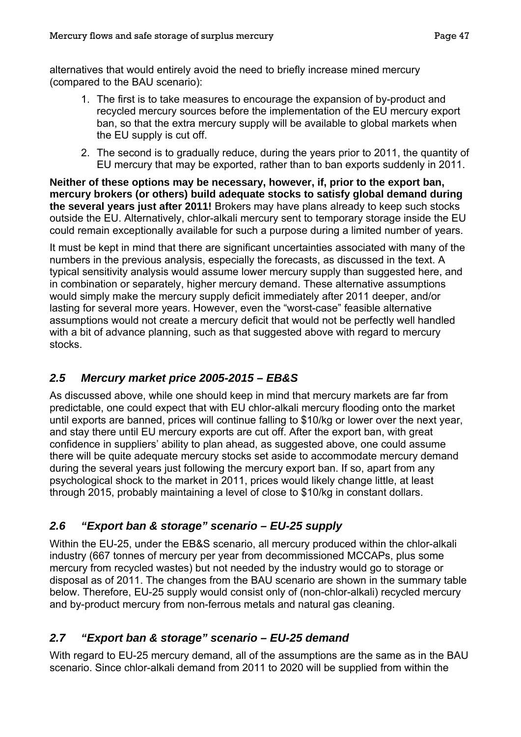alternatives that would entirely avoid the need to briefly increase mined mercury (compared to the BAU scenario):

- 1. The first is to take measures to encourage the expansion of by-product and recycled mercury sources before the implementation of the EU mercury export ban, so that the extra mercury supply will be available to global markets when the EU supply is cut off.
- 2. The second is to gradually reduce, during the years prior to 2011, the quantity of EU mercury that may be exported, rather than to ban exports suddenly in 2011.

**Neither of these options may be necessary, however, if, prior to the export ban, mercury brokers (or others) build adequate stocks to satisfy global demand during the several years just after 2011!** Brokers may have plans already to keep such stocks outside the EU. Alternatively, chlor-alkali mercury sent to temporary storage inside the EU could remain exceptionally available for such a purpose during a limited number of years.

It must be kept in mind that there are significant uncertainties associated with many of the numbers in the previous analysis, especially the forecasts, as discussed in the text. A typical sensitivity analysis would assume lower mercury supply than suggested here, and in combination or separately, higher mercury demand. These alternative assumptions would simply make the mercury supply deficit immediately after 2011 deeper, and/or lasting for several more years. However, even the "worst-case" feasible alternative assumptions would not create a mercury deficit that would not be perfectly well handled with a bit of advance planning, such as that suggested above with regard to mercury stocks.

### *2.5 Mercury market price 2005-2015 – EB&S*

As discussed above, while one should keep in mind that mercury markets are far from predictable, one could expect that with EU chlor-alkali mercury flooding onto the market until exports are banned, prices will continue falling to \$10/kg or lower over the next year, and stay there until EU mercury exports are cut off. After the export ban, with great confidence in suppliers' ability to plan ahead, as suggested above, one could assume there will be quite adequate mercury stocks set aside to accommodate mercury demand during the several years just following the mercury export ban. If so, apart from any psychological shock to the market in 2011, prices would likely change little, at least through 2015, probably maintaining a level of close to \$10/kg in constant dollars.

## *2.6 "Export ban & storage" scenario – EU-25 supply*

Within the EU-25, under the EB&S scenario, all mercury produced within the chlor-alkali industry (667 tonnes of mercury per year from decommissioned MCCAPs, plus some mercury from recycled wastes) but not needed by the industry would go to storage or disposal as of 2011. The changes from the BAU scenario are shown in the summary table below. Therefore, EU-25 supply would consist only of (non-chlor-alkali) recycled mercury and by-product mercury from non-ferrous metals and natural gas cleaning.

## *2.7 "Export ban & storage" scenario – EU-25 demand*

With regard to EU-25 mercury demand, all of the assumptions are the same as in the BAU scenario. Since chlor-alkali demand from 2011 to 2020 will be supplied from within the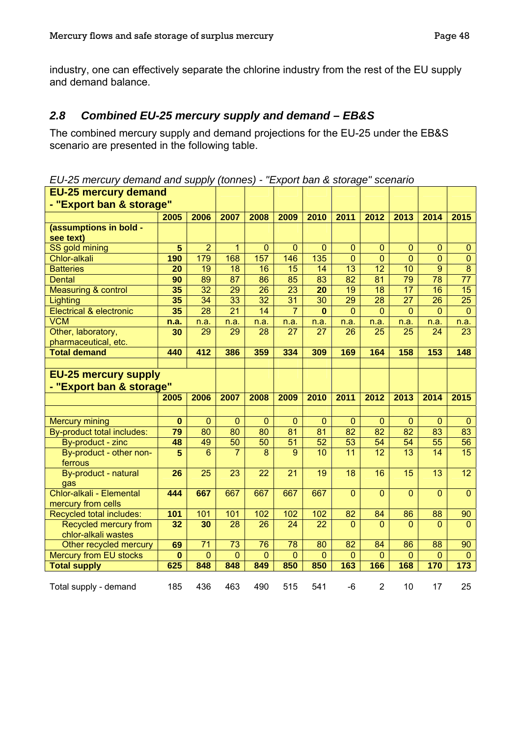industry, one can effectively separate the chlorine industry from the rest of the EU supply and demand balance.

### *2.8 Combined EU-25 mercury supply and demand – EB&S*

The combined mercury supply and demand projections for the EU-25 under the EB&S scenario are presented in the following table.

*EU-25 mercury demand and supply (tonnes) - "Export ban & storage" scenario* 

| <b>EU-25 mercury demand</b>        |                |                 |                 |                 |                 |                 |                                    |                       |                       |                       |                 |
|------------------------------------|----------------|-----------------|-----------------|-----------------|-----------------|-----------------|------------------------------------|-----------------------|-----------------------|-----------------------|-----------------|
| - "Export ban & storage"           |                |                 |                 |                 |                 |                 |                                    |                       |                       |                       |                 |
|                                    | 2005           | 2006            | 2007            | 2008            | 2009            | 2010            | 2011                               | 2012                  | 2013                  | 2014                  | 2015            |
| (assumptions in bold -             |                |                 |                 |                 |                 |                 |                                    |                       |                       |                       |                 |
| see text)                          |                |                 |                 |                 |                 |                 |                                    |                       |                       |                       |                 |
| SS gold mining                     | $\overline{5}$ | $\overline{2}$  | $\overline{1}$  | $\overline{0}$  | $\overline{0}$  | $\overline{0}$  | $\overline{0}$                     | $\overline{0}$        | $\overline{0}$        | $\overline{0}$        | $\mathbf{0}$    |
| Chlor-alkali                       | 190            | 179             | 168             | 157             | 146             | 135             | $\overline{0}$                     | $\mathbf{0}$          | $\overline{0}$        | $\overline{0}$        | $\bf 0$         |
| <b>Batteries</b>                   | 20             | $\overline{19}$ | $\overline{18}$ | $\overline{16}$ | 15              | $\overline{14}$ | $\overline{13}$                    | $\overline{12}$       | $\overline{10}$       | $\overline{9}$        | $\overline{8}$  |
| <b>Dental</b>                      | 90             | 89              | $\overline{87}$ | 86              | 85              | $\overline{83}$ | $\overline{82}$                    | $\overline{81}$       | $\overline{79}$       | $\overline{78}$       | $\overline{77}$ |
| <b>Measuring &amp; control</b>     | 35             | $\overline{32}$ | $\overline{29}$ | 26              | $\overline{23}$ | 20              | $\overline{19}$                    | $\overline{18}$       | $\overline{17}$       | $\overline{16}$       | $\overline{15}$ |
| Lighting                           | 35             | $\overline{34}$ | $\overline{33}$ | $\overline{32}$ | $\overline{31}$ | 30              | $\overline{29}$                    | 28                    | $\overline{27}$       | 26                    | $\overline{25}$ |
| <b>Electrical &amp; electronic</b> | 35             | 28              | 21              | 14              | $\overline{7}$  | 0               | $\mathbf 0$                        | $\mathbf{0}$          | $\mathbf{0}$          | $\overline{0}$        | $\mathbf{0}$    |
| <b>VCM</b>                         | n.a.           | n.a.            | n.a.            | n.a.            | n.a.            | n.a.            | n.a.                               | n.a.                  | n.a.                  | n.a.                  | n.a.            |
| Other, laboratory,                 | 30             | 29              | 29              | 28              | $\overline{27}$ | 27              | 26                                 | 25                    | $\overline{25}$       | 24                    | $\overline{23}$ |
| pharmaceutical, etc.               |                |                 |                 |                 |                 |                 |                                    |                       |                       |                       |                 |
| <b>Total demand</b>                | 440            | 412             | 386             | 359             | 334             | 309             | 169                                | 164                   | 158                   | 153                   | 148             |
|                                    |                |                 |                 |                 |                 |                 |                                    |                       |                       |                       |                 |
| <b>EU-25 mercury supply</b>        |                |                 |                 |                 |                 |                 |                                    |                       |                       |                       |                 |
| - "Export ban & storage"           |                |                 |                 |                 |                 |                 |                                    |                       |                       |                       |                 |
|                                    |                |                 |                 |                 |                 |                 |                                    |                       |                       |                       |                 |
|                                    | 2005           | 2006            | 2007            | 2008            | 2009            | 2010            | 2011                               | 2012                  | 2013                  | 2014                  | 2015            |
|                                    |                |                 |                 |                 |                 |                 |                                    |                       |                       |                       |                 |
|                                    |                | $\mathbf{0}$    | $\mathbf{0}$    | $\mathbf 0$     | $\mathbf{0}$    | 0               | $\mathbf{0}$                       | 0                     | 0                     | 0                     |                 |
| <b>Mercury mining</b>              | $\bf{0}$       |                 |                 |                 |                 |                 |                                    |                       |                       |                       | $\bf{0}$        |
| By-product total includes:         | 79             | 80<br>49        | 80<br>50        | 80<br>50        | 81<br>51        | 81<br>52        | $\overline{82}$<br>$\overline{53}$ | $\overline{82}$<br>54 | $\overline{82}$<br>54 | 83<br>$\overline{55}$ | 83<br>56        |
| By-product - zinc                  | 48<br>5        | 6               | $\overline{7}$  | 8               | $\overline{9}$  | 10              | 11                                 | 12                    | $\overline{13}$       | 14                    | $\overline{15}$ |
| By-product - other non-<br>ferrous |                |                 |                 |                 |                 |                 |                                    |                       |                       |                       |                 |
| By-product - natural               | 26             | 25              | 23              | 22              | $\overline{21}$ | 19              | 18                                 | 16                    | 15                    | 13                    | $\overline{12}$ |
| gas                                |                |                 |                 |                 |                 |                 |                                    |                       |                       |                       |                 |
| Chlor-alkali - Elemental           | 444            | 667             | 667             | 667             | 667             | 667             | $\overline{0}$                     | $\overline{0}$        | $\overline{0}$        | $\mathbf{0}$          | $\overline{0}$  |
| mercury from cells                 |                |                 |                 |                 |                 |                 |                                    |                       |                       |                       |                 |
| Recycled total includes:           | 101            | 101             | 101             | 102             | 102             | 102             | 82                                 | 84                    | 86                    | 88                    | 90              |
| Recycled mercury from              | 32             | 30              | 28              | 26              | 24              | 22              | $\mathbf{0}$                       | $\overline{0}$        | $\overline{0}$        | $\overline{0}$        | $\mathbf{0}$    |
| chlor-alkali wastes                |                |                 |                 |                 |                 |                 |                                    |                       |                       |                       |                 |
| Other recycled mercury             | 69             | $\overline{71}$ | 73              | 76              | 78              | 80              | 82                                 | 84                    | 86                    | 88                    | 90              |
| <b>Mercury from EU stocks</b>      | $\mathbf{0}$   | $\overline{0}$  | $\overline{0}$  | $\overline{0}$  | $\overline{0}$  | $\mathbf 0$     | $\overline{0}$                     | $\overline{0}$        | $\overline{0}$        | $\overline{0}$        | $\mathbf{0}$    |
| <b>Total supply</b>                | 625            | 848             | 848             | 849             | 850             | 850             | 163                                | 166                   | 168                   | 170                   | 173             |
| Total supply - demand              | 185            | 436             | 463             | 490             | 515             | 541             | -6                                 | $\overline{2}$        | 10                    | 17                    | 25              |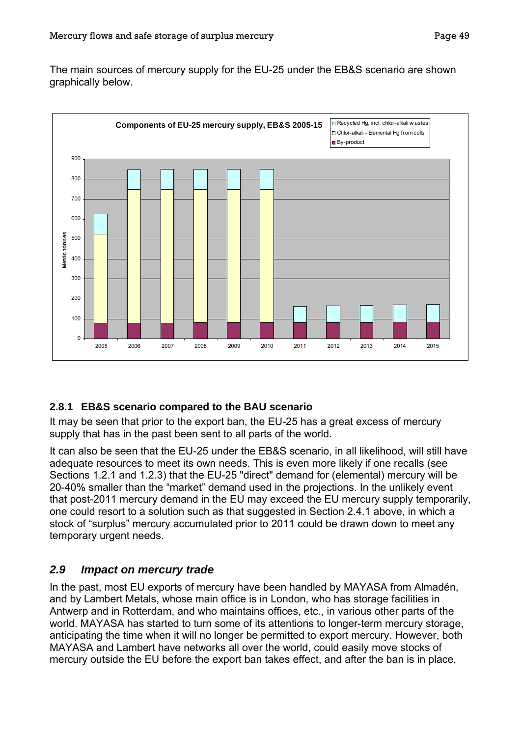The main sources of mercury supply for the EU-25 under the EB&S scenario are shown graphically below.



### **2.8.1 EB&S scenario compared to the BAU scenario**

It may be seen that prior to the export ban, the EU-25 has a great excess of mercury supply that has in the past been sent to all parts of the world.

It can also be seen that the EU-25 under the EB&S scenario, in all likelihood, will still have adequate resources to meet its own needs. This is even more likely if one recalls (see Sections [1.2.1](#page-21-0) and [1.2.3](#page-26-0)) that the EU-25 "direct" demand for (elemental) mercury will be 20-40% smaller than the "market" demand used in the projections. In the unlikely event that post-2011 mercury demand in the EU may exceed the EU mercury supply temporarily, one could resort to a solution such as that suggested in Section [2.4.1](#page-48-1) above, in which a stock of "surplus" mercury accumulated prior to 2011 could be drawn down to meet any temporary urgent needs.

## *2.9 Impact on mercury trade*

In the past, most EU exports of mercury have been handled by MAYASA from Almadén, and by Lambert Metals, whose main office is in London, who has storage facilities in Antwerp and in Rotterdam, and who maintains offices, etc., in various other parts of the world. MAYASA has started to turn some of its attentions to longer-term mercury storage, anticipating the time when it will no longer be permitted to export mercury. However, both MAYASA and Lambert have networks all over the world, could easily move stocks of mercury outside the EU before the export ban takes effect, and after the ban is in place,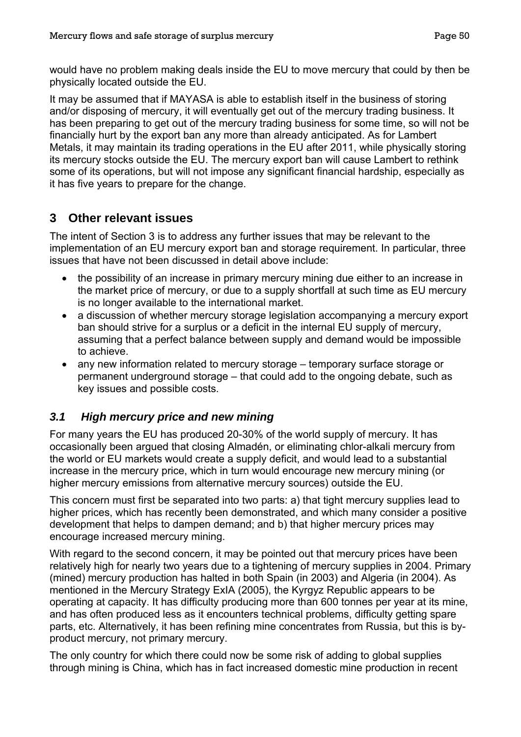would have no problem making deals inside the EU to move mercury that could by then be physically located outside the EU.

It may be assumed that if MAYASA is able to establish itself in the business of storing and/or disposing of mercury, it will eventually get out of the mercury trading business. It has been preparing to get out of the mercury trading business for some time, so will not be financially hurt by the export ban any more than already anticipated. As for Lambert Metals, it may maintain its trading operations in the EU after 2011, while physically storing its mercury stocks outside the EU. The mercury export ban will cause Lambert to rethink some of its operations, but will not impose any significant financial hardship, especially as it has five years to prepare for the change.

## **3 Other relevant issues**

The intent of Section 3 is to address any further issues that may be relevant to the implementation of an EU mercury export ban and storage requirement. In particular, three issues that have not been discussed in detail above include:

- the possibility of an increase in primary mercury mining due either to an increase in the market price of mercury, or due to a supply shortfall at such time as EU mercury is no longer available to the international market.
- a discussion of whether mercury storage legislation accompanying a mercury export ban should strive for a surplus or a deficit in the internal EU supply of mercury, assuming that a perfect balance between supply and demand would be impossible to achieve.
- any new information related to mercury storage temporary surface storage or permanent underground storage – that could add to the ongoing debate, such as key issues and possible costs.

## *3.1 High mercury price and new mining*

For many years the EU has produced 20-30% of the world supply of mercury. It has occasionally been argued that closing Almadén, or eliminating chlor-alkali mercury from the world or EU markets would create a supply deficit, and would lead to a substantial increase in the mercury price, which in turn would encourage new mercury mining (or higher mercury emissions from alternative mercury sources) outside the EU.

This concern must first be separated into two parts: a) that tight mercury supplies lead to higher prices, which has recently been demonstrated, and which many consider a positive development that helps to dampen demand; and b) that higher mercury prices may encourage increased mercury mining.

With regard to the second concern, it may be pointed out that mercury prices have been relatively high for nearly two years due to a tightening of mercury supplies in 2004. Primary (mined) mercury production has halted in both Spain (in 2003) and Algeria (in 2004). As mentioned in the Mercury Strategy ExIA (2005), the Kyrgyz Republic appears to be operating at capacity. It has difficulty producing more than 600 tonnes per year at its mine, and has often produced less as it encounters technical problems, difficulty getting spare parts, etc. Alternatively, it has been refining mine concentrates from Russia, but this is byproduct mercury, not primary mercury.

The only country for which there could now be some risk of adding to global supplies through mining is China, which has in fact increased domestic mine production in recent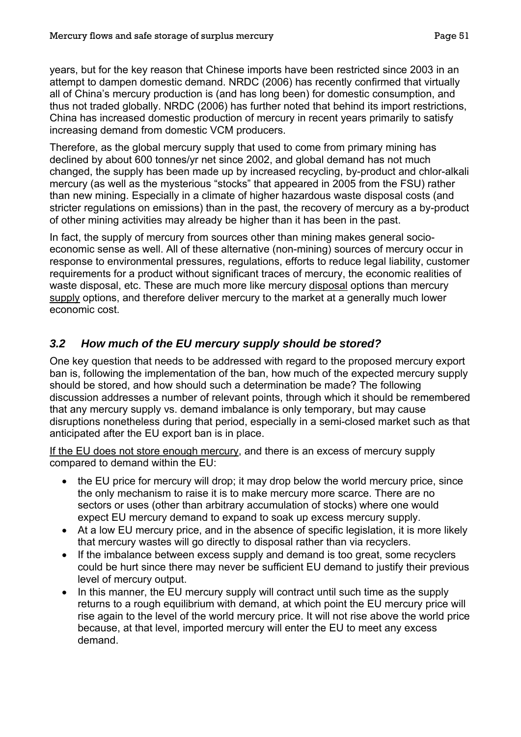years, but for the key reason that Chinese imports have been restricted since 2003 in an attempt to dampen domestic demand. NRDC (2006) has recently confirmed that virtually all of China's mercury production is (and has long been) for domestic consumption, and thus not traded globally. NRDC (2006) has further noted that behind its import restrictions, China has increased domestic production of mercury in recent years primarily to satisfy increasing demand from domestic VCM producers.

Therefore, as the global mercury supply that used to come from primary mining has declined by about 600 tonnes/yr net since 2002, and global demand has not much changed, the supply has been made up by increased recycling, by-product and chlor-alkali mercury (as well as the mysterious "stocks" that appeared in 2005 from the FSU) rather than new mining. Especially in a climate of higher hazardous waste disposal costs (and stricter regulations on emissions) than in the past, the recovery of mercury as a by-product of other mining activities may already be higher than it has been in the past.

In fact, the supply of mercury from sources other than mining makes general socioeconomic sense as well. All of these alternative (non-mining) sources of mercury occur in response to environmental pressures, regulations, efforts to reduce legal liability, customer requirements for a product without significant traces of mercury, the economic realities of waste disposal, etc. These are much more like mercury disposal options than mercury supply options, and therefore deliver mercury to the market at a generally much lower economic cost.

## *3.2 How much of the EU mercury supply should be stored?*

One key question that needs to be addressed with regard to the proposed mercury export ban is, following the implementation of the ban, how much of the expected mercury supply should be stored, and how should such a determination be made? The following discussion addresses a number of relevant points, through which it should be remembered that any mercury supply vs. demand imbalance is only temporary, but may cause disruptions nonetheless during that period, especially in a semi-closed market such as that anticipated after the EU export ban is in place.

If the EU does not store enough mercury, and there is an excess of mercury supply compared to demand within the EU:

- the EU price for mercury will drop; it may drop below the world mercury price, since the only mechanism to raise it is to make mercury more scarce. There are no sectors or uses (other than arbitrary accumulation of stocks) where one would expect EU mercury demand to expand to soak up excess mercury supply.
- At a low EU mercury price, and in the absence of specific legislation, it is more likely that mercury wastes will go directly to disposal rather than via recyclers.
- If the imbalance between excess supply and demand is too great, some recyclers could be hurt since there may never be sufficient EU demand to justify their previous level of mercury output.
- In this manner, the EU mercury supply will contract until such time as the supply returns to a rough equilibrium with demand, at which point the EU mercury price will rise again to the level of the world mercury price. It will not rise above the world price because, at that level, imported mercury will enter the EU to meet any excess demand.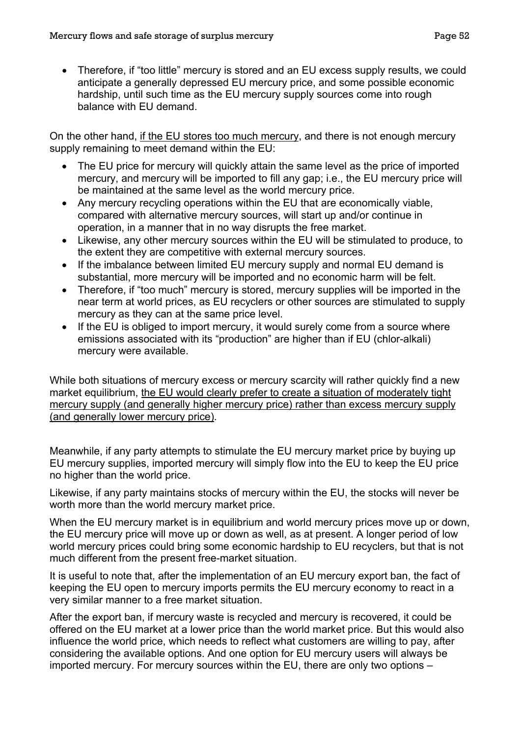• Therefore, if "too little" mercury is stored and an EU excess supply results, we could anticipate a generally depressed EU mercury price, and some possible economic hardship, until such time as the EU mercury supply sources come into rough balance with EU demand.

On the other hand, if the EU stores too much mercury, and there is not enough mercury supply remaining to meet demand within the EU:

- The EU price for mercury will quickly attain the same level as the price of imported mercury, and mercury will be imported to fill any gap; i.e., the EU mercury price will be maintained at the same level as the world mercury price.
- Any mercury recycling operations within the EU that are economically viable, compared with alternative mercury sources, will start up and/or continue in operation, in a manner that in no way disrupts the free market.
- Likewise, any other mercury sources within the EU will be stimulated to produce, to the extent they are competitive with external mercury sources.
- If the imbalance between limited EU mercury supply and normal EU demand is substantial, more mercury will be imported and no economic harm will be felt.
- Therefore, if "too much" mercury is stored, mercury supplies will be imported in the near term at world prices, as EU recyclers or other sources are stimulated to supply mercury as they can at the same price level.
- If the EU is obliged to import mercury, it would surely come from a source where emissions associated with its "production" are higher than if EU (chlor-alkali) mercury were available.

While both situations of mercury excess or mercury scarcity will rather quickly find a new market equilibrium, the EU would clearly prefer to create a situation of moderately tight mercury supply (and generally higher mercury price) rather than excess mercury supply (and generally lower mercury price).

Meanwhile, if any party attempts to stimulate the EU mercury market price by buying up EU mercury supplies, imported mercury will simply flow into the EU to keep the EU price no higher than the world price.

Likewise, if any party maintains stocks of mercury within the EU, the stocks will never be worth more than the world mercury market price.

When the EU mercury market is in equilibrium and world mercury prices move up or down, the EU mercury price will move up or down as well, as at present. A longer period of low world mercury prices could bring some economic hardship to EU recyclers, but that is not much different from the present free-market situation.

It is useful to note that, after the implementation of an EU mercury export ban, the fact of keeping the EU open to mercury imports permits the EU mercury economy to react in a very similar manner to a free market situation.

After the export ban, if mercury waste is recycled and mercury is recovered, it could be offered on the EU market at a lower price than the world market price. But this would also influence the world price, which needs to reflect what customers are willing to pay, after considering the available options. And one option for EU mercury users will always be imported mercury. For mercury sources within the EU, there are only two options –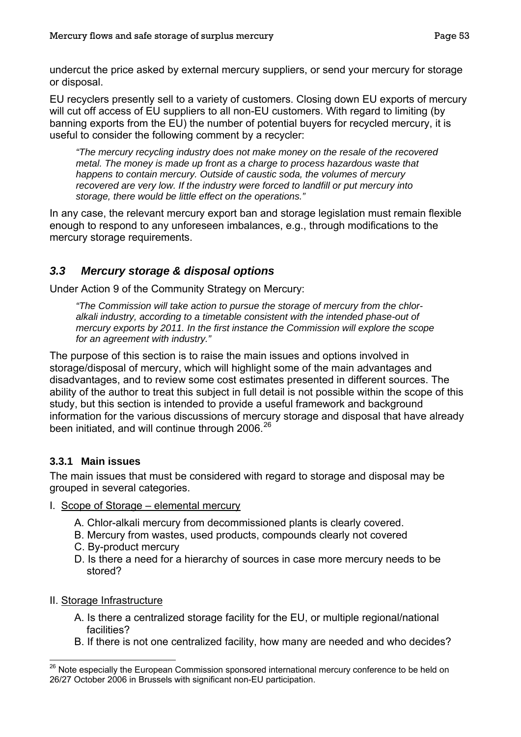<span id="page-55-0"></span>undercut the price asked by external mercury suppliers, or send your mercury for storage or disposal.

EU recyclers presently sell to a variety of customers. Closing down EU exports of mercury will cut off access of EU suppliers to all non-EU customers. With regard to limiting (by banning exports from the EU) the number of potential buyers for recycled mercury, it is useful to consider the following comment by a recycler:

*"The mercury recycling industry does not make money on the resale of the recovered metal. The money is made up front as a charge to process hazardous waste that happens to contain mercury. Outside of caustic soda, the volumes of mercury recovered are very low. If the industry were forced to landfill or put mercury into storage, there would be little effect on the operations."* 

In any case, the relevant mercury export ban and storage legislation must remain flexible enough to respond to any unforeseen imbalances, e.g., through modifications to the mercury storage requirements.

## *3.3 Mercury storage & disposal options*

Under Action 9 of the Community Strategy on Mercury:

*"The Commission will take action to pursue the storage of mercury from the chloralkali industry, according to a timetable consistent with the intended phase-out of mercury exports by 2011. In the first instance the Commission will explore the scope for an agreement with industry."* 

The purpose of this section is to raise the main issues and options involved in storage/disposal of mercury, which will highlight some of the main advantages and disadvantages, and to review some cost estimates presented in different sources. The ability of the author to treat this subject in full detail is not possible within the scope of this study, but this section is intended to provide a useful framework and background information for the various discussions of mercury storage and disposal that have already been initiated, and will continue through 2006.<sup>[26](#page-55-0)</sup>

### **3.3.1 Main issues**

The main issues that must be considered with regard to storage and disposal may be grouped in several categories.

- I. Scope of Storage elemental mercury
	- A. Chlor-alkali mercury from decommissioned plants is clearly covered.
	- B. Mercury from wastes, used products, compounds clearly not covered
	- C. By-product mercury
	- D. Is there a need for a hierarchy of sources in case more mercury needs to be stored?
- II. Storage Infrastructure
	- A. Is there a centralized storage facility for the EU, or multiple regional/national facilities?
	- B. If there is not one centralized facility, how many are needed and who decides?

 $\overline{a}$ <sup>26</sup> Note especially the European Commission sponsored international mercury conference to be held on 26/27 October 2006 in Brussels with significant non-EU participation.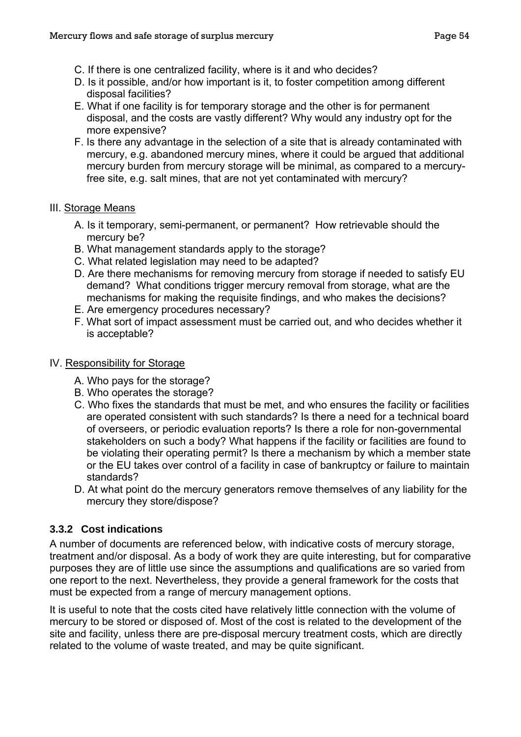- C. If there is one centralized facility, where is it and who decides?
- D. Is it possible, and/or how important is it, to foster competition among different disposal facilities?
- E. What if one facility is for temporary storage and the other is for permanent disposal, and the costs are vastly different? Why would any industry opt for the more expensive?
- F. Is there any advantage in the selection of a site that is already contaminated with mercury, e.g. abandoned mercury mines, where it could be argued that additional mercury burden from mercury storage will be minimal, as compared to a mercuryfree site, e.g. salt mines, that are not yet contaminated with mercury?

#### III. Storage Means

- A. Is it temporary, semi-permanent, or permanent? How retrievable should the mercury be?
- B. What management standards apply to the storage?
- C. What related legislation may need to be adapted?
- D. Are there mechanisms for removing mercury from storage if needed to satisfy EU demand? What conditions trigger mercury removal from storage, what are the mechanisms for making the requisite findings, and who makes the decisions?
- E. Are emergency procedures necessary?
- F. What sort of impact assessment must be carried out, and who decides whether it is acceptable?

#### IV. Responsibility for Storage

- A. Who pays for the storage?
- B. Who operates the storage?
- C. Who fixes the standards that must be met, and who ensures the facility or facilities are operated consistent with such standards? Is there a need for a technical board of overseers, or periodic evaluation reports? Is there a role for non-governmental stakeholders on such a body? What happens if the facility or facilities are found to be violating their operating permit? Is there a mechanism by which a member state or the EU takes over control of a facility in case of bankruptcy or failure to maintain standards?
- D. At what point do the mercury generators remove themselves of any liability for the mercury they store/dispose?

### **3.3.2 Cost indications**

A number of documents are referenced below, with indicative costs of mercury storage, treatment and/or disposal. As a body of work they are quite interesting, but for comparative purposes they are of little use since the assumptions and qualifications are so varied from one report to the next. Nevertheless, they provide a general framework for the costs that must be expected from a range of mercury management options.

It is useful to note that the costs cited have relatively little connection with the volume of mercury to be stored or disposed of. Most of the cost is related to the development of the site and facility, unless there are pre-disposal mercury treatment costs, which are directly related to the volume of waste treated, and may be quite significant.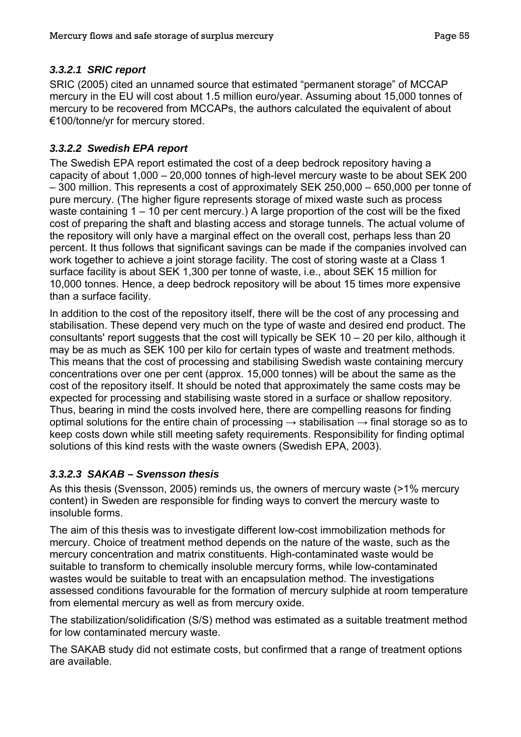### *3.3.2.1 SRIC report*

SRIC (2005) cited an unnamed source that estimated "permanent storage" of MCCAP mercury in the EU will cost about 1.5 million euro/year. Assuming about 15,000 tonnes of mercury to be recovered from MCCAPs, the authors calculated the equivalent of about €100/tonne/yr for mercury stored.

### *3.3.2.2 Swedish EPA report*

The Swedish EPA report estimated the cost of a deep bedrock repository having a capacity of about 1,000 – 20,000 tonnes of high-level mercury waste to be about SEK 200 – 300 million. This represents a cost of approximately SEK 250,000 – 650,000 per tonne of pure mercury. (The higher figure represents storage of mixed waste such as process waste containing 1 – 10 per cent mercury.) A large proportion of the cost will be the fixed cost of preparing the shaft and blasting access and storage tunnels. The actual volume of the repository will only have a marginal effect on the overall cost, perhaps less than 20 percent. It thus follows that significant savings can be made if the companies involved can work together to achieve a joint storage facility. The cost of storing waste at a Class 1 surface facility is about SEK 1,300 per tonne of waste, i.e., about SEK 15 million for 10,000 tonnes. Hence, a deep bedrock repository will be about 15 times more expensive than a surface facility.

In addition to the cost of the repository itself, there will be the cost of any processing and stabilisation. These depend very much on the type of waste and desired end product. The consultants' report suggests that the cost will typically be SEK 10 – 20 per kilo, although it may be as much as SEK 100 per kilo for certain types of waste and treatment methods. This means that the cost of processing and stabilising Swedish waste containing mercury concentrations over one per cent (approx. 15,000 tonnes) will be about the same as the cost of the repository itself. It should be noted that approximately the same costs may be expected for processing and stabilising waste stored in a surface or shallow repository. Thus, bearing in mind the costs involved here, there are compelling reasons for finding optimal solutions for the entire chain of processing  $\rightarrow$  stabilisation  $\rightarrow$  final storage so as to keep costs down while still meeting safety requirements. Responsibility for finding optimal solutions of this kind rests with the waste owners (Swedish EPA, 2003).

### *3.3.2.3 SAKAB – Svensson thesis*

As this thesis (Svensson, 2005) reminds us, the owners of mercury waste (>1% mercury content) in Sweden are responsible for finding ways to convert the mercury waste to insoluble forms.

The aim of this thesis was to investigate different low-cost immobilization methods for mercury. Choice of treatment method depends on the nature of the waste, such as the mercury concentration and matrix constituents. High-contaminated waste would be suitable to transform to chemically insoluble mercury forms, while low-contaminated wastes would be suitable to treat with an encapsulation method. The investigations assessed conditions favourable for the formation of mercury sulphide at room temperature from elemental mercury as well as from mercury oxide.

The stabilization/solidification (S/S) method was estimated as a suitable treatment method for low contaminated mercury waste.

The SAKAB study did not estimate costs, but confirmed that a range of treatment options are available.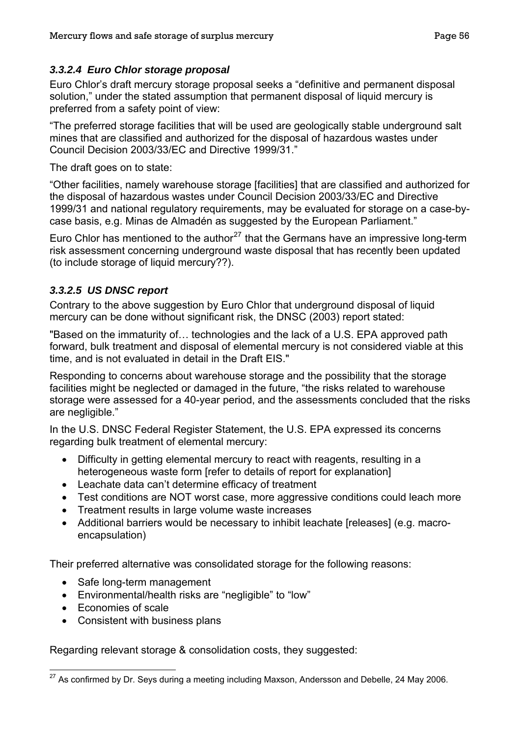### <span id="page-58-0"></span>*3.3.2.4 Euro Chlor storage proposal*

Euro Chlor's draft mercury storage proposal seeks a "definitive and permanent disposal solution," under the stated assumption that permanent disposal of liquid mercury is preferred from a safety point of view:

"The preferred storage facilities that will be used are geologically stable underground salt mines that are classified and authorized for the disposal of hazardous wastes under Council Decision 2003/33/EC and Directive 1999/31."

The draft goes on to state:

"Other facilities, namely warehouse storage [facilities] that are classified and authorized for the disposal of hazardous wastes under Council Decision 2003/33/EC and Directive 1999/31 and national regulatory requirements, may be evaluated for storage on a case-bycase basis, e.g. Minas de Almadén as suggested by the European Parliament."

Euro Chlor has mentioned to the author<sup>[27](#page-58-0)</sup> that the Germans have an impressive long-term risk assessment concerning underground waste disposal that has recently been updated (to include storage of liquid mercury??).

### *3.3.2.5 US DNSC report*

Contrary to the above suggestion by Euro Chlor that underground disposal of liquid mercury can be done without significant risk, the DNSC (2003) report stated:

"Based on the immaturity of… technologies and the lack of a U.S. EPA approved path forward, bulk treatment and disposal of elemental mercury is not considered viable at this time, and is not evaluated in detail in the Draft EIS."

Responding to concerns about warehouse storage and the possibility that the storage facilities might be neglected or damaged in the future, "the risks related to warehouse storage were assessed for a 40-year period, and the assessments concluded that the risks are negligible."

In the U.S. DNSC Federal Register Statement, the U.S. EPA expressed its concerns regarding bulk treatment of elemental mercury:

- Difficulty in getting elemental mercury to react with reagents, resulting in a heterogeneous waste form [refer to details of report for explanation]
- Leachate data can't determine efficacy of treatment
- Test conditions are NOT worst case, more aggressive conditions could leach more
- Treatment results in large volume waste increases
- Additional barriers would be necessary to inhibit leachate [releases] (e.g. macroencapsulation)

Their preferred alternative was consolidated storage for the following reasons:

- Safe long-term management
- Environmental/health risks are "negligible" to "low"
- Economies of scale
- Consistent with business plans

Regarding relevant storage & consolidation costs, they suggested:

 $\overline{a}$  $^{27}$  As confirmed by Dr. Seys during a meeting including Maxson, Andersson and Debelle, 24 May 2006.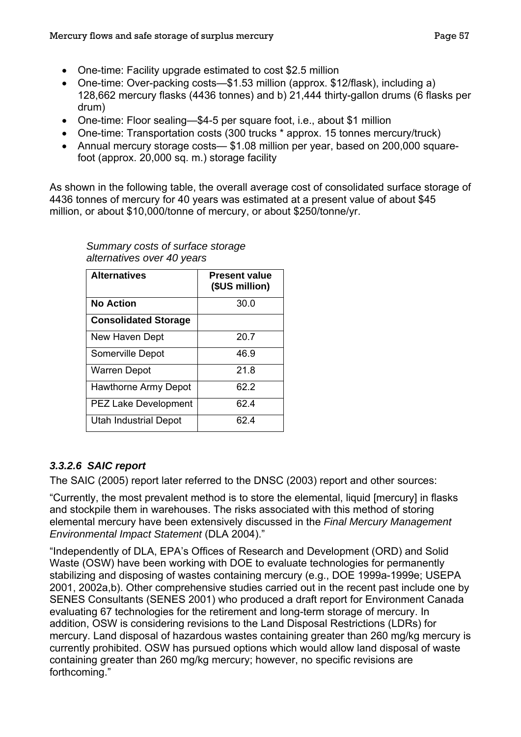- One-time: Facility upgrade estimated to cost \$2.5 million
- One-time: Over-packing costs—\$1.53 million (approx. \$12/flask), including a) 128,662 mercury flasks (4436 tonnes) and b) 21,444 thirty-gallon drums (6 flasks per drum)
- One-time: Floor sealing—\$4-5 per square foot, i.e., about \$1 million
- One-time: Transportation costs (300 trucks \* approx. 15 tonnes mercury/truck)
- Annual mercury storage costs— \$1.08 million per year, based on 200,000 squarefoot (approx. 20,000 sq. m.) storage facility

As shown in the following table, the overall average cost of consolidated surface storage of 4436 tonnes of mercury for 40 years was estimated at a present value of about \$45 million, or about \$10,000/tonne of mercury, or about \$250/tonne/yr.

| <b>Alternatives</b>          | <b>Present value</b><br>(\$US million) |
|------------------------------|----------------------------------------|
| <b>No Action</b>             | 30.0                                   |
| <b>Consolidated Storage</b>  |                                        |
| New Haven Dept               | 20.7                                   |
| Somerville Depot             | 46.9                                   |
| <b>Warren Depot</b>          | 21.8                                   |
| Hawthorne Army Depot         | 62.2                                   |
| <b>PEZ Lake Development</b>  | 62.4                                   |
| <b>Utah Industrial Depot</b> | 62.4                                   |

*Summary costs of surface storage alternatives over 40 years* 

## *3.3.2.6 SAIC report*

The SAIC (2005) report later referred to the DNSC (2003) report and other sources:

"Currently, the most prevalent method is to store the elemental, liquid [mercury] in flasks and stockpile them in warehouses. The risks associated with this method of storing elemental mercury have been extensively discussed in the *Final Mercury Management Environmental Impact Statement* (DLA 2004)."

"Independently of DLA, EPA's Offices of Research and Development (ORD) and Solid Waste (OSW) have been working with DOE to evaluate technologies for permanently stabilizing and disposing of wastes containing mercury (e.g., DOE 1999a-1999e; USEPA 2001, 2002a,b). Other comprehensive studies carried out in the recent past include one by SENES Consultants (SENES 2001) who produced a draft report for Environment Canada evaluating 67 technologies for the retirement and long-term storage of mercury. In addition, OSW is considering revisions to the Land Disposal Restrictions (LDRs) for mercury. Land disposal of hazardous wastes containing greater than 260 mg/kg mercury is currently prohibited. OSW has pursued options which would allow land disposal of waste containing greater than 260 mg/kg mercury; however, no specific revisions are forthcoming."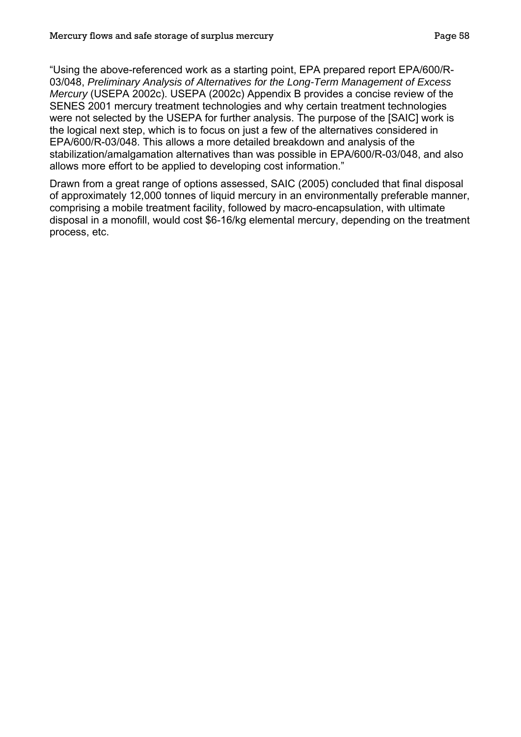"Using the above-referenced work as a starting point, EPA prepared report EPA/600/R-03/048, *Preliminary Analysis of Alternatives for the Long-Term Management of Excess Mercury* (USEPA 2002c). USEPA (2002c) Appendix B provides a concise review of the SENES 2001 mercury treatment technologies and why certain treatment technologies were not selected by the USEPA for further analysis. The purpose of the [SAIC] work is the logical next step, which is to focus on just a few of the alternatives considered in EPA/600/R-03/048. This allows a more detailed breakdown and analysis of the stabilization/amalgamation alternatives than was possible in EPA/600/R-03/048, and also allows more effort to be applied to developing cost information."

Drawn from a great range of options assessed, SAIC (2005) concluded that final disposal of approximately 12,000 tonnes of liquid mercury in an environmentally preferable manner, comprising a mobile treatment facility, followed by macro-encapsulation, with ultimate disposal in a monofill, would cost \$6-16/kg elemental mercury, depending on the treatment process, etc.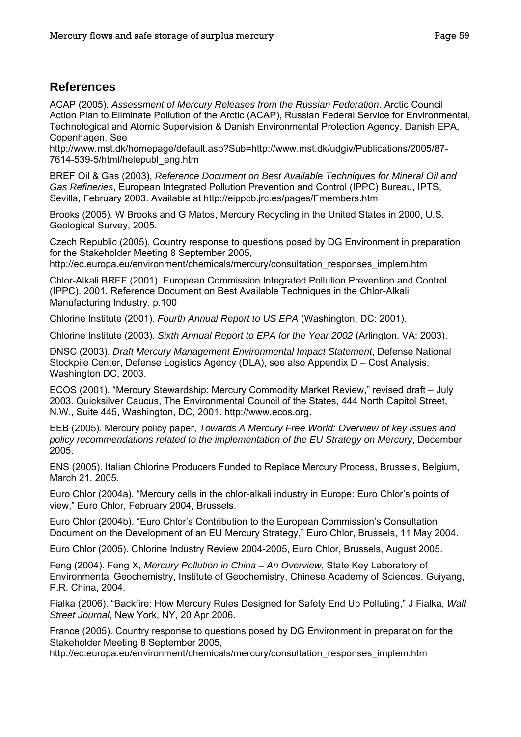### **References**

ACAP (2005). *Assessment of Mercury Releases from the Russian Federation*. Arctic Council Action Plan to Eliminate Pollution of the Arctic (ACAP), Russian Federal Service for Environmental, Technological and Atomic Supervision & Danish Environmental Protection Agency. Danish EPA, Copenhagen. See

http://www.mst.dk/homepage/default.asp?Sub=http://www.mst.dk/udgiv/Publications/2005/87- 7614-539-5/html/helepubl\_eng.htm

BREF Oil & Gas (2003), *Reference Document on Best Available Techniques for Mineral Oil and Gas Refineries*, European Integrated Pollution Prevention and Control (IPPC) Bureau, IPTS, Sevilla, February 2003. Available at http://eippcb.jrc.es/pages/Fmembers.htm

Brooks (2005). W Brooks and G Matos, Mercury Recycling in the United States in 2000, U.S. Geological Survey, 2005.

Czech Republic (2005). Country response to questions posed by DG Environment in preparation for the Stakeholder Meeting 8 September 2005,

http://ec.europa.eu/environment/chemicals/mercury/consultation\_responses\_implem.htm

Chlor-Alkali BREF (2001). European Commission Integrated Pollution Prevention and Control (IPPC). 2001. Reference Document on Best Available Techniques in the Chlor-Alkali Manufacturing Industry. p.100

Chlorine Institute (2001). *Fourth Annual Report to US EPA* (Washington, DC: 2001).

Chlorine Institute (2003). *Sixth Annual Report to EPA for the Year 2002* (Arlington, VA: 2003).

DNSC (2003). *Draft Mercury Management Environmental Impact Statement*, Defense National Stockpile Center, Defense Logistics Agency (DLA), see also Appendix D – Cost Analysis, Washington DC, 2003.

ECOS (2001). "Mercury Stewardship: Mercury Commodity Market Review," revised draft – July 2003. Quicksilver Caucus, The Environmental Council of the States, 444 North Capitol Street, N.W., Suite 445, Washington, DC, 2001. http://www.ecos.org.

EEB (2005). Mercury policy paper, *Towards A Mercury Free World: Overview of key issues and policy recommendations related to the implementation of the EU Strategy on Mercury*, December 2005.

ENS (2005). Italian Chlorine Producers Funded to Replace Mercury Process, Brussels, Belgium, March 21, 2005.

Euro Chlor (2004a). "Mercury cells in the chlor-alkali industry in Europe: Euro Chlor's points of view," Euro Chlor, February 2004, Brussels.

Euro Chlor (2004b). "Euro Chlor's Contribution to the European Commission's Consultation Document on the Development of an EU Mercury Strategy," Euro Chlor, Brussels, 11 May 2004.

Euro Chlor (2005). Chlorine Industry Review 2004-2005, Euro Chlor, Brussels, August 2005.

Feng (2004). Feng X, *Mercury Pollution in China – An Overview*, State Key Laboratory of Environmental Geochemistry, Institute of Geochemistry, Chinese Academy of Sciences, Guiyang, P.R. China, 2004.

Fialka (2006). "Backfire: How Mercury Rules Designed for Safety End Up Polluting," J Fialka, *Wall Street Journal*, New York, NY, 20 Apr 2006.

France (2005). Country response to questions posed by DG Environment in preparation for the Stakeholder Meeting 8 September 2005,

http://ec.europa.eu/environment/chemicals/mercury/consultation\_responses\_implem.htm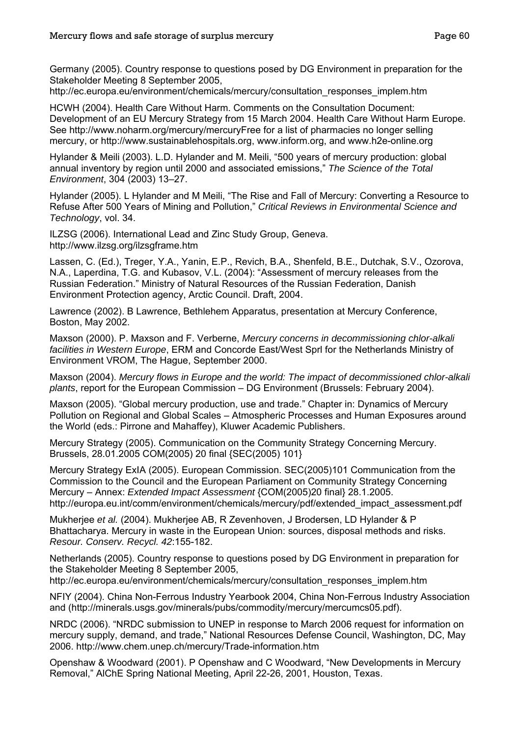Germany (2005). Country response to questions posed by DG Environment in preparation for the Stakeholder Meeting 8 September 2005,

http://ec.europa.eu/environment/chemicals/mercury/consultation\_responses\_implem.htm

HCWH (2004). Health Care Without Harm. Comments on the Consultation Document: Development of an EU Mercury Strategy from 15 March 2004. Health Care Without Harm Europe. See http://www.noharm.org/mercury/mercuryFree for a list of pharmacies no longer selling mercury, or http://www.sustainablehospitals.org, www.inform.org, and www.h2e-online.org

Hylander & Meili (2003). L.D. Hylander and M. Meili, "500 years of mercury production: global annual inventory by region until 2000 and associated emissions," *The Science of the Total Environment*, 304 (2003) 13–27.

Hylander (2005). L Hylander and M Meili, "The Rise and Fall of Mercury: Converting a Resource to Refuse After 500 Years of Mining and Pollution," *Critical Reviews in Environmental Science and Technology*, vol. 34.

ILZSG (2006). International Lead and Zinc Study Group, Geneva. http://www.ilzsg.org/ilzsgframe.htm

Lassen, C. (Ed.), Treger, Y.A., Yanin, E.P., Revich, B.A., Shenfeld, B.E., Dutchak, S.V., Ozorova, N.A., Laperdina, T.G. and Kubasov, V.L. (2004): "Assessment of mercury releases from the Russian Federation." Ministry of Natural Resources of the Russian Federation, Danish Environment Protection agency, Arctic Council. Draft, 2004.

Lawrence (2002). B Lawrence, Bethlehem Apparatus, presentation at Mercury Conference, Boston, May 2002.

Maxson (2000). P. Maxson and F. Verberne, *Mercury concerns in decommissioning chlor-alkali facilities in Western Europe*, ERM and Concorde East/West Sprl for the Netherlands Ministry of Environment VROM, The Hague, September 2000.

Maxson (2004). *Mercury flows in Europe and the world: The impact of decommissioned chlor-alkali plants*, report for the European Commission – DG Environment (Brussels: February 2004).

Maxson (2005). "Global mercury production, use and trade." Chapter in: Dynamics of Mercury Pollution on Regional and Global Scales – Atmospheric Processes and Human Exposures around the World (eds.: Pirrone and Mahaffey), Kluwer Academic Publishers.

Mercury Strategy (2005). Communication on the Community Strategy Concerning Mercury. Brussels, 28.01.2005 COM(2005) 20 final {SEC(2005) 101}

Mercury Strategy ExIA (2005). European Commission. SEC(2005)101 Communication from the Commission to the Council and the European Parliament on Community Strategy Concerning Mercury – Annex: *Extended Impact Assessment* {COM(2005)20 final} 28.1.2005. http://europa.eu.int/comm/environment/chemicals/mercury/pdf/extended\_impact\_assessment.pdf

Mukherjee *et al.* (2004). Mukherjee AB, R Zevenhoven, J Brodersen, LD Hylander & P Bhattacharya. Mercury in waste in the European Union: sources, disposal methods and risks. *Resour. Conserv. Recycl. 42*:155-182.

Netherlands (2005). Country response to questions posed by DG Environment in preparation for the Stakeholder Meeting 8 September 2005,

http://ec.europa.eu/environment/chemicals/mercury/consultation\_responses\_implem.htm

NFIY (2004). China Non-Ferrous Industry Yearbook 2004, China Non-Ferrous Industry Association and (http://minerals.usgs.gov/minerals/pubs/commodity/mercury/mercumcs05.pdf).

NRDC (2006). "NRDC submission to UNEP in response to March 2006 request for information on mercury supply, demand, and trade," National Resources Defense Council, Washington, DC, May 2006. http://www.chem.unep.ch/mercury/Trade-information.htm

Openshaw & Woodward (2001). P Openshaw and C Woodward, "New Developments in Mercury Removal," AlChE Spring National Meeting, April 22-26, 2001, Houston, Texas.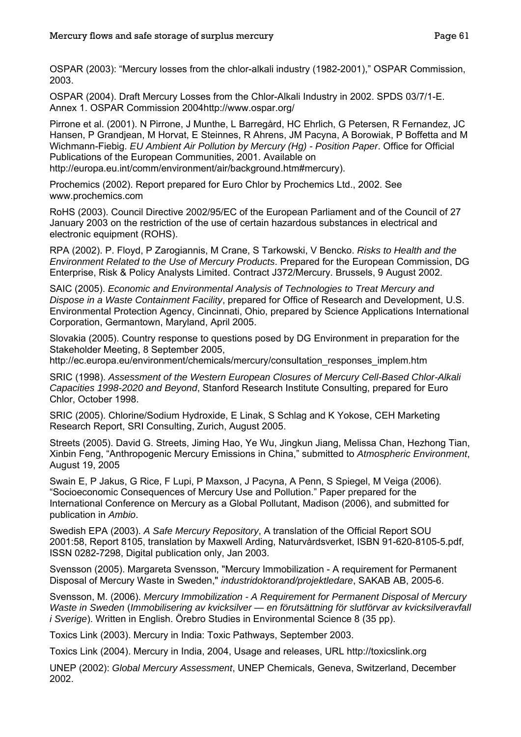OSPAR (2003): "Mercury losses from the chlor-alkali industry (1982-2001)," OSPAR Commission, 2003.

OSPAR (2004). Draft Mercury Losses from the Chlor-Alkali Industry in 2002. SPDS 03/7/1-E. Annex 1. OSPAR Commission 2004http://www.ospar.org/

Pirrone et al. (2001). N Pirrone, J Munthe, L Barregård, HC Ehrlich, G Petersen, R Fernandez, JC Hansen, P Grandjean, M Horvat, E Steinnes, R Ahrens, JM Pacyna, A Borowiak, P Boffetta and M Wichmann-Fiebig. *EU Ambient Air Pollution by Mercury (Hg) - Position Paper*. Office for Official Publications of the European Communities, 2001. Available on http://europa.eu.int/comm/environment/air/background.htm#mercury).

Prochemics (2002). Report prepared for Euro Chlor by Prochemics Ltd., 2002. See www.prochemics.com

RoHS (2003). Council Directive 2002/95/EC of the European Parliament and of the Council of 27 January 2003 on the restriction of the use of certain hazardous substances in electrical and electronic equipment (ROHS).

RPA (2002). P. Floyd, P Zarogiannis, M Crane, S Tarkowski, V Bencko. *Risks to Health and the Environment Related to the Use of Mercury Products*. Prepared for the European Commission, DG Enterprise, Risk & Policy Analysts Limited. Contract J372/Mercury. Brussels, 9 August 2002.

SAIC (2005). *Economic and Environmental Analysis of Technologies to Treat Mercury and Dispose in a Waste Containment Facility*, prepared for Office of Research and Development, U.S. Environmental Protection Agency, Cincinnati, Ohio, prepared by Science Applications International Corporation, Germantown, Maryland, April 2005.

Slovakia (2005). Country response to questions posed by DG Environment in preparation for the Stakeholder Meeting, 8 September 2005,

http://ec.europa.eu/environment/chemicals/mercury/consultation\_responses\_implem.htm

SRIC (1998). *Assessment of the Western European Closures of Mercury Cell-Based Chlor-Alkali Capacities 1998-2020 and Beyond*, Stanford Research Institute Consulting, prepared for Euro Chlor, October 1998.

SRIC (2005). Chlorine/Sodium Hydroxide, E Linak, S Schlag and K Yokose, CEH Marketing Research Report, SRI Consulting, Zurich, August 2005.

Streets (2005). David G. Streets, Jiming Hao, Ye Wu, Jingkun Jiang, Melissa Chan, Hezhong Tian, Xinbin Feng, "Anthropogenic Mercury Emissions in China," submitted to *Atmospheric Environment*, August 19, 2005

Swain E, P Jakus, G Rice, F Lupi, P Maxson, J Pacyna, A Penn, S Spiegel, M Veiga (2006). "Socioeconomic Consequences of Mercury Use and Pollution." Paper prepared for the International Conference on Mercury as a Global Pollutant, Madison (2006), and submitted for publication in *Ambio*.

Swedish EPA (2003). *A Safe Mercury Repository*, A translation of the Official Report SOU 2001:58, Report 8105, translation by Maxwell Arding, Naturvårdsverket, ISBN 91-620-8105-5.pdf, ISSN 0282-7298, Digital publication only, Jan 2003.

Svensson (2005). Margareta Svensson, "Mercury Immobilization - A requirement for Permanent Disposal of Mercury Waste in Sweden," *industridoktorand/projektledare*, SAKAB AB, 2005-6.

Svensson, M. (2006). *Mercury Immobilization - A Requirement for Permanent Disposal of Mercury Waste in Sweden* (*Immobilisering av kvicksilver — en förutsättning för slutförvar av kvicksilveravfall i Sverige*). Written in English. Örebro Studies in Environmental Science 8 (35 pp).

Toxics Link (2003). Mercury in India: Toxic Pathways, September 2003.

Toxics Link (2004). Mercury in India, 2004, Usage and releases, URL http://toxicslink.org

UNEP (2002): *Global Mercury Assessment*, UNEP Chemicals, Geneva, Switzerland, December 2002.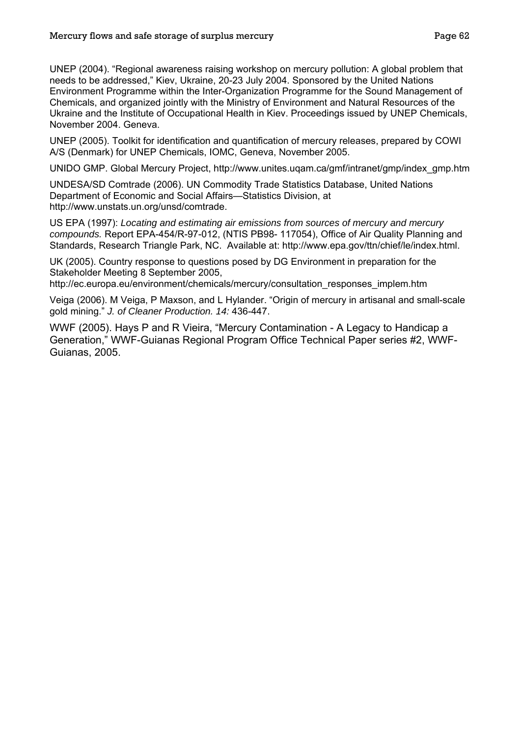UNEP (2004). "Regional awareness raising workshop on mercury pollution: A global problem that needs to be addressed," Kiev, Ukraine, 20-23 July 2004. Sponsored by the United Nations Environment Programme within the Inter-Organization Programme for the Sound Management of Chemicals, and organized jointly with the Ministry of Environment and Natural Resources of the Ukraine and the Institute of Occupational Health in Kiev. Proceedings issued by UNEP Chemicals, November 2004. Geneva.

UNEP (2005). Toolkit for identification and quantification of mercury releases, prepared by COWI A/S (Denmark) for UNEP Chemicals, IOMC, Geneva, November 2005.

UNIDO GMP. Global Mercury Project, http://www.unites.uqam.ca/gmf/intranet/gmp/index\_gmp.htm

UNDESA/SD Comtrade (2006). UN Commodity Trade Statistics Database, United Nations Department of Economic and Social Affairs—Statistics Division, at http://www.unstats.un.org/unsd/comtrade.

US EPA (1997): *Locating and estimating air emissions from sources of mercury and mercury compounds.* Report EPA-454/R-97-012, (NTIS PB98- 117054), Office of Air Quality Planning and Standards, Research Triangle Park, NC. Available at: http://www.epa.gov/ttn/chief/le/index.html.

UK (2005). Country response to questions posed by DG Environment in preparation for the Stakeholder Meeting 8 September 2005,

http://ec.europa.eu/environment/chemicals/mercury/consultation\_responses\_implem.htm

Veiga (2006). M Veiga, P Maxson, and L Hylander. "Origin of mercury in artisanal and small-scale gold mining." *J. of Cleaner Production. 14:* 436-447.

WWF (2005). Hays P and R Vieira, "Mercury Contamination - A Legacy to Handicap a Generation," WWF-Guianas Regional Program Office Technical Paper series #2, WWF-Guianas, 2005.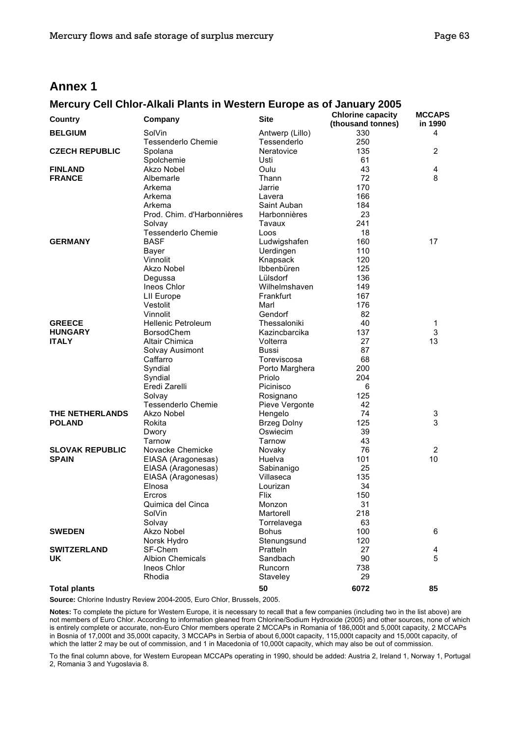### **Annex 1**

#### **Mercury Cell Chlor-Alkali Plants in Western Europe as of January 2005**

| Country                | Company                           | <b>Site</b>                    | <b>Chlorine capacity</b><br>(thousand tonnes) | <b>MCCAPS</b><br>in 1990 |
|------------------------|-----------------------------------|--------------------------------|-----------------------------------------------|--------------------------|
| <b>BELGIUM</b>         | SolVin<br>Tessenderlo Chemie      | Antwerp (Lillo)<br>Tessenderlo | 330<br>250                                    | 4                        |
| <b>CZECH REPUBLIC</b>  | Spolana                           | Neratovice                     | 135                                           | $\overline{2}$           |
|                        | Spolchemie                        | Usti                           | 61                                            |                          |
| <b>FINLAND</b>         | Akzo Nobel                        | Oulu                           | 43                                            | 4                        |
| <b>FRANCE</b>          | Albemarle                         | Thann                          | 72                                            | 8                        |
|                        | Arkema                            | Jarrie                         | 170                                           |                          |
|                        | Arkema                            | Lavera                         | 166                                           |                          |
|                        | Arkema                            | Saint Auban                    | 184                                           |                          |
|                        | Prod. Chim. d'Harbonnières        | Harbonnières                   | 23                                            |                          |
|                        |                                   |                                |                                               |                          |
|                        | Solvay                            | Tavaux                         | 241                                           |                          |
|                        | Tessenderlo Chemie<br><b>BASF</b> | Loos                           | 18                                            | 17                       |
| <b>GERMANY</b>         |                                   | Ludwigshafen                   | 160                                           |                          |
|                        | Bayer<br>Vinnolit                 | Uerdingen                      | 110                                           |                          |
|                        |                                   | Knapsack                       | 120                                           |                          |
|                        | Akzo Nobel                        | Ibbenbüren                     | 125                                           |                          |
|                        | Degussa                           | Lülsdorf                       | 136                                           |                          |
|                        | Ineos Chlor                       | Wilhelmshaven                  | 149                                           |                          |
|                        | <b>LII Europe</b>                 | Frankfurt                      | 167                                           |                          |
|                        | Vestolit                          | Marl                           | 176                                           |                          |
|                        | Vinnolit                          | Gendorf                        | 82                                            |                          |
| <b>GREECE</b>          | <b>Hellenic Petroleum</b>         | Thessaloniki                   | 40                                            | 1                        |
| <b>HUNGARY</b>         | <b>BorsodChem</b>                 | Kazincbarcika                  | 137                                           | 3                        |
| <b>ITALY</b>           | Altair Chimica                    | Volterra                       | 27                                            | 13                       |
|                        | Solvay Ausimont                   | Bussi                          | 87                                            |                          |
|                        | Caffarro                          | Toreviscosa                    | 68                                            |                          |
|                        | Syndial                           | Porto Marghera                 | 200                                           |                          |
|                        | Syndial                           | Priolo                         | 204                                           |                          |
|                        | Eredi Zarelli                     | Picinisco                      | 6                                             |                          |
|                        | Solvay                            | Rosignano                      | 125                                           |                          |
|                        | Tessenderlo Chemie                | Pieve Vergonte                 | 42                                            |                          |
| THE NETHERLANDS        | Akzo Nobel                        | Hengelo                        | 74                                            | 3                        |
| <b>POLAND</b>          | Rokita                            | <b>Brzeg Dolny</b>             | 125                                           | 3                        |
|                        | Dwory                             | Oswiecim                       | 39                                            |                          |
|                        | Tarnow                            | Tarnow                         | 43                                            |                          |
| <b>SLOVAK REPUBLIC</b> | Novacke Chemicke                  | Novaky                         | 76                                            | $\overline{c}$           |
| <b>SPAIN</b>           | EIASA (Aragonesas)                | Huelva                         | 101                                           | 10                       |
|                        | EIASA (Aragonesas)                | Sabinanigo                     | 25                                            |                          |
|                        | EIASA (Aragonesas)                | Villaseca                      | 135                                           |                          |
|                        | Elnosa                            | Lourizan                       | 34                                            |                          |
|                        | Ercros                            | Flix                           | 150                                           |                          |
|                        | Quimica del Cinca                 | Monzon                         | 31                                            |                          |
|                        | SolVin                            | Martorell                      | 218                                           |                          |
|                        | Solvay                            | Torrelavega                    | 63                                            |                          |
| <b>SWEDEN</b>          | Akzo Nobel                        | <b>Bohus</b>                   | 100                                           | 6                        |
|                        | Norsk Hydro                       | Stenungsund                    | 120                                           |                          |
| <b>SWITZERLAND</b>     | SF-Chem                           | Pratteln                       | 27                                            | 4                        |
| UK                     | <b>Albion Chemicals</b>           | Sandbach                       | 90                                            | 5                        |
|                        | Ineos Chlor                       | Runcorn                        | 738                                           |                          |
|                        | Rhodia                            | Staveley                       | 29                                            |                          |
| <b>Total plants</b>    |                                   | 50                             | 6072                                          | 85                       |

**Source:** Chlorine Industry Review 2004-2005, Euro Chlor, Brussels, 2005.

**Notes:** To complete the picture for Western Europe, it is necessary to recall that a few companies (including two in the list above) are not members of Euro Chlor. According to information gleaned from Chlorine/Sodium Hydroxide (2005) and other sources, none of which is entirely complete or accurate, non-Euro Chlor members operate 2 MCCAPs in Romania of 186,000t and 5,000t capacity, 2 MCCAPs in Bosnia of 17,000t and 35,000t capacity, 3 MCCAPs in Serbia of about 6,000t capacity, 115,000t capacity and 15,000t capacity, of which the latter 2 may be out of commission, and 1 in Macedonia of 10,000t capacity, which may also be out of commission.

To the final column above, for Western European MCCAPs operating in 1990, should be added: Austria 2, Ireland 1, Norway 1, Portugal 2, Romania 3 and Yugoslavia 8.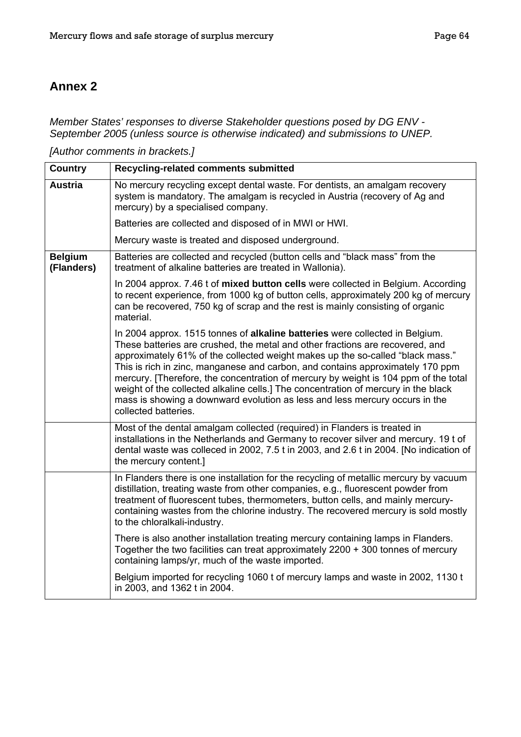## **Annex 2**

*Member States' responses to diverse Stakeholder questions posed by DG ENV - September 2005 (unless source is otherwise indicated) and submissions to UNEP.* 

*[Author comments in brackets.]* 

| <b>Country</b>               | Recycling-related comments submitted                                                                                                                                                                                                                                                                                                                                                                                                                                                                                                                                                                                  |
|------------------------------|-----------------------------------------------------------------------------------------------------------------------------------------------------------------------------------------------------------------------------------------------------------------------------------------------------------------------------------------------------------------------------------------------------------------------------------------------------------------------------------------------------------------------------------------------------------------------------------------------------------------------|
| <b>Austria</b>               | No mercury recycling except dental waste. For dentists, an amalgam recovery<br>system is mandatory. The amalgam is recycled in Austria (recovery of Ag and<br>mercury) by a specialised company.                                                                                                                                                                                                                                                                                                                                                                                                                      |
|                              | Batteries are collected and disposed of in MWI or HWI.                                                                                                                                                                                                                                                                                                                                                                                                                                                                                                                                                                |
|                              | Mercury waste is treated and disposed underground.                                                                                                                                                                                                                                                                                                                                                                                                                                                                                                                                                                    |
| <b>Belgium</b><br>(Flanders) | Batteries are collected and recycled (button cells and "black mass" from the<br>treatment of alkaline batteries are treated in Wallonia).                                                                                                                                                                                                                                                                                                                                                                                                                                                                             |
|                              | In 2004 approx. 7.46 t of mixed button cells were collected in Belgium. According<br>to recent experience, from 1000 kg of button cells, approximately 200 kg of mercury<br>can be recovered, 750 kg of scrap and the rest is mainly consisting of organic<br>material.                                                                                                                                                                                                                                                                                                                                               |
|                              | In 2004 approx. 1515 tonnes of alkaline batteries were collected in Belgium.<br>These batteries are crushed, the metal and other fractions are recovered, and<br>approximately 61% of the collected weight makes up the so-called "black mass."<br>This is rich in zinc, manganese and carbon, and contains approximately 170 ppm<br>mercury. [Therefore, the concentration of mercury by weight is 104 ppm of the total<br>weight of the collected alkaline cells.] The concentration of mercury in the black<br>mass is showing a downward evolution as less and less mercury occurs in the<br>collected batteries. |
|                              | Most of the dental amalgam collected (required) in Flanders is treated in<br>installations in the Netherlands and Germany to recover silver and mercury. 19 t of<br>dental waste was colleced in 2002, 7.5 t in 2003, and 2.6 t in 2004. [No indication of<br>the mercury content.]                                                                                                                                                                                                                                                                                                                                   |
|                              | In Flanders there is one installation for the recycling of metallic mercury by vacuum<br>distillation, treating waste from other companies, e.g., fluorescent powder from<br>treatment of fluorescent tubes, thermometers, button cells, and mainly mercury-<br>containing wastes from the chlorine industry. The recovered mercury is sold mostly<br>to the chloralkali-industry.                                                                                                                                                                                                                                    |
|                              | There is also another installation treating mercury containing lamps in Flanders.<br>Together the two facilities can treat approximately 2200 + 300 tonnes of mercury<br>containing lamps/yr, much of the waste imported.                                                                                                                                                                                                                                                                                                                                                                                             |
|                              | Belgium imported for recycling 1060 t of mercury lamps and waste in 2002, 1130 t<br>in 2003, and 1362 t in 2004.                                                                                                                                                                                                                                                                                                                                                                                                                                                                                                      |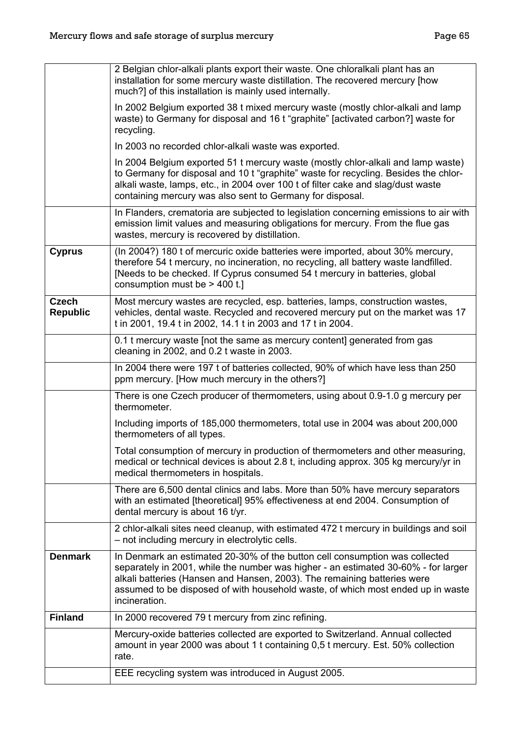|                                 | 2 Belgian chlor-alkali plants export their waste. One chloralkali plant has an<br>installation for some mercury waste distillation. The recovered mercury [how<br>much?] of this installation is mainly used internally.                                                                                                                          |
|---------------------------------|---------------------------------------------------------------------------------------------------------------------------------------------------------------------------------------------------------------------------------------------------------------------------------------------------------------------------------------------------|
|                                 | In 2002 Belgium exported 38 t mixed mercury waste (mostly chlor-alkali and lamp<br>waste) to Germany for disposal and 16 t "graphite" [activated carbon?] waste for<br>recycling.                                                                                                                                                                 |
|                                 | In 2003 no recorded chlor-alkali waste was exported.                                                                                                                                                                                                                                                                                              |
|                                 | In 2004 Belgium exported 51 t mercury waste (mostly chlor-alkali and lamp waste)<br>to Germany for disposal and 10 t "graphite" waste for recycling. Besides the chlor-<br>alkali waste, lamps, etc., in 2004 over 100 t of filter cake and slag/dust waste<br>containing mercury was also sent to Germany for disposal.                          |
|                                 | In Flanders, crematoria are subjected to legislation concerning emissions to air with<br>emission limit values and measuring obligations for mercury. From the flue gas<br>wastes, mercury is recovered by distillation.                                                                                                                          |
| <b>Cyprus</b>                   | (In 2004?) 180 t of mercuric oxide batteries were imported, about 30% mercury,<br>therefore 54 t mercury, no incineration, no recycling, all battery waste landfilled.<br>[Needs to be checked. If Cyprus consumed 54 t mercury in batteries, global<br>consumption must be $>$ 400 t.]                                                           |
| <b>Czech</b><br><b>Republic</b> | Most mercury wastes are recycled, esp. batteries, lamps, construction wastes,<br>vehicles, dental waste. Recycled and recovered mercury put on the market was 17<br>t in 2001, 19.4 t in 2002, 14.1 t in 2003 and 17 t in 2004.                                                                                                                   |
|                                 | 0.1 t mercury waste [not the same as mercury content] generated from gas<br>cleaning in 2002, and 0.2 t waste in 2003.                                                                                                                                                                                                                            |
|                                 | In 2004 there were 197 t of batteries collected, 90% of which have less than 250<br>ppm mercury. [How much mercury in the others?]                                                                                                                                                                                                                |
|                                 | There is one Czech producer of thermometers, using about 0.9-1.0 g mercury per<br>thermometer.                                                                                                                                                                                                                                                    |
|                                 | Including imports of 185,000 thermometers, total use in 2004 was about 200,000<br>thermometers of all types.                                                                                                                                                                                                                                      |
|                                 | Total consumption of mercury in production of thermometers and other measuring,<br>medical or technical devices is about 2.8 t, including approx. 305 kg mercury/yr in<br>medical thermometers in hospitals.                                                                                                                                      |
|                                 | There are 6,500 dental clinics and labs. More than 50% have mercury separators<br>with an estimated [theoretical] 95% effectiveness at end 2004. Consumption of<br>dental mercury is about 16 t/yr.                                                                                                                                               |
|                                 | 2 chlor-alkali sites need cleanup, with estimated 472 t mercury in buildings and soil<br>- not including mercury in electrolytic cells.                                                                                                                                                                                                           |
| <b>Denmark</b>                  | In Denmark an estimated 20-30% of the button cell consumption was collected<br>separately in 2001, while the number was higher - an estimated 30-60% - for larger<br>alkali batteries (Hansen and Hansen, 2003). The remaining batteries were<br>assumed to be disposed of with household waste, of which most ended up in waste<br>incineration. |
| <b>Finland</b>                  | In 2000 recovered 79 t mercury from zinc refining.                                                                                                                                                                                                                                                                                                |
|                                 | Mercury-oxide batteries collected are exported to Switzerland. Annual collected<br>amount in year 2000 was about 1 t containing 0,5 t mercury. Est. 50% collection<br>rate.                                                                                                                                                                       |
|                                 | EEE recycling system was introduced in August 2005.                                                                                                                                                                                                                                                                                               |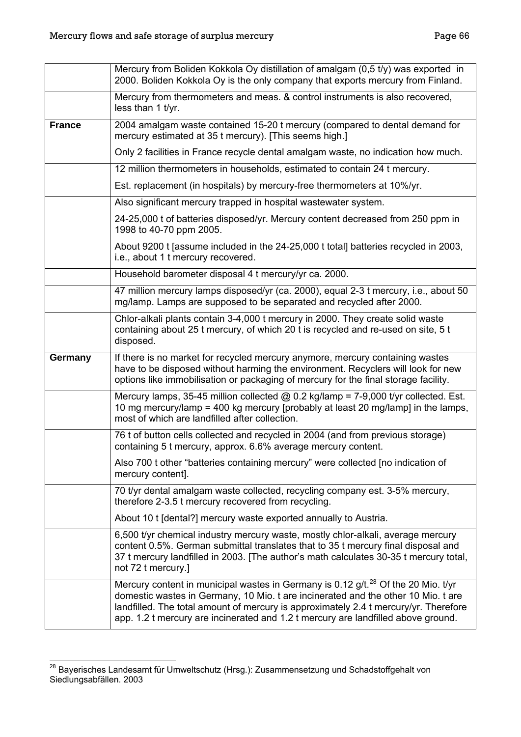<span id="page-68-0"></span>

|               | Mercury from Boliden Kokkola Oy distillation of amalgam (0,5 t/y) was exported in<br>2000. Boliden Kokkola Oy is the only company that exports mercury from Finland.                                                                                                                                                                                            |
|---------------|-----------------------------------------------------------------------------------------------------------------------------------------------------------------------------------------------------------------------------------------------------------------------------------------------------------------------------------------------------------------|
|               | Mercury from thermometers and meas. & control instruments is also recovered,<br>less than 1 t/yr.                                                                                                                                                                                                                                                               |
| <b>France</b> | 2004 amalgam waste contained 15-20 t mercury (compared to dental demand for<br>mercury estimated at 35 t mercury). [This seems high.]                                                                                                                                                                                                                           |
|               | Only 2 facilities in France recycle dental amalgam waste, no indication how much.                                                                                                                                                                                                                                                                               |
|               | 12 million thermometers in households, estimated to contain 24 t mercury.                                                                                                                                                                                                                                                                                       |
|               | Est. replacement (in hospitals) by mercury-free thermometers at 10%/yr.                                                                                                                                                                                                                                                                                         |
|               | Also significant mercury trapped in hospital wastewater system.                                                                                                                                                                                                                                                                                                 |
|               | 24-25,000 t of batteries disposed/yr. Mercury content decreased from 250 ppm in<br>1998 to 40-70 ppm 2005.                                                                                                                                                                                                                                                      |
|               | About 9200 t [assume included in the 24-25,000 t total] batteries recycled in 2003,<br>i.e., about 1 t mercury recovered.                                                                                                                                                                                                                                       |
|               | Household barometer disposal 4 t mercury/yr ca. 2000.                                                                                                                                                                                                                                                                                                           |
|               | 47 million mercury lamps disposed/yr (ca. 2000), equal 2-3 t mercury, i.e., about 50<br>mg/lamp. Lamps are supposed to be separated and recycled after 2000.                                                                                                                                                                                                    |
|               | Chlor-alkali plants contain 3-4,000 t mercury in 2000. They create solid waste<br>containing about 25 t mercury, of which 20 t is recycled and re-used on site, 5 t<br>disposed.                                                                                                                                                                                |
| Germany       | If there is no market for recycled mercury anymore, mercury containing wastes<br>have to be disposed without harming the environment. Recyclers will look for new<br>options like immobilisation or packaging of mercury for the final storage facility.                                                                                                        |
|               | Mercury lamps, 35-45 million collected $@$ 0.2 kg/lamp = 7-9,000 t/yr collected. Est.<br>10 mg mercury/lamp = 400 kg mercury [probably at least 20 mg/lamp] in the lamps,<br>most of which are landfilled after collection.                                                                                                                                     |
|               | 76 t of button cells collected and recycled in 2004 (and from previous storage)<br>containing 5 t mercury, approx. 6.6% average mercury content.                                                                                                                                                                                                                |
|               | Also 700 t other "batteries containing mercury" were collected [no indication of<br>mercury content].                                                                                                                                                                                                                                                           |
|               | 70 t/yr dental amalgam waste collected, recycling company est. 3-5% mercury,<br>therefore 2-3.5 t mercury recovered from recycling.                                                                                                                                                                                                                             |
|               | About 10 t [dental?] mercury waste exported annually to Austria.                                                                                                                                                                                                                                                                                                |
|               | 6,500 t/yr chemical industry mercury waste, mostly chlor-alkali, average mercury<br>content 0.5%. German submittal translates that to 35 t mercury final disposal and<br>37 t mercury landfilled in 2003. [The author's math calculates 30-35 t mercury total,<br>not 72 t mercury.]                                                                            |
|               | Mercury content in municipal wastes in Germany is 0.12 g/t. <sup>28</sup> Of the 20 Mio. t/yr<br>domestic wastes in Germany, 10 Mio. t are incinerated and the other 10 Mio. t are<br>landfilled. The total amount of mercury is approximately 2.4 t mercury/yr. Therefore<br>app. 1.2 t mercury are incinerated and 1.2 t mercury are landfilled above ground. |

<sup>&</sup>lt;sup>28</sup> Bayerisches Landesamt für Umweltschutz (Hrsg.): Zusammensetzung und Schadstoffgehalt von Siedlungsabfällen. 2003

 $\overline{a}$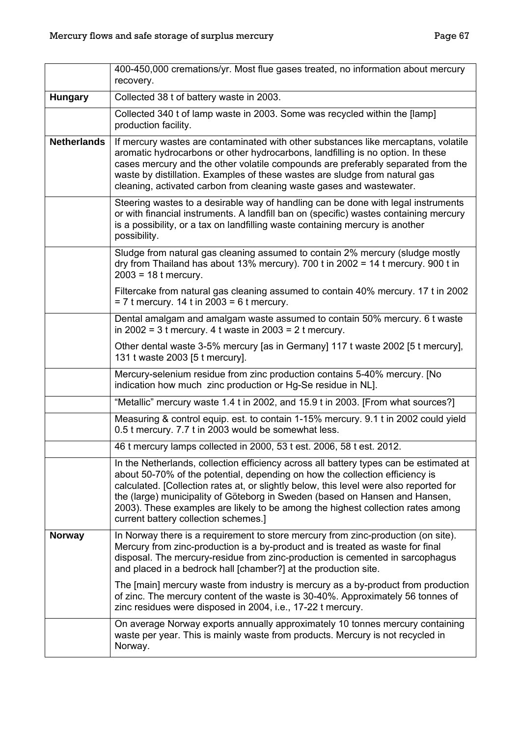|                    | 400-450,000 cremations/yr. Most flue gases treated, no information about mercury<br>recovery.                                                                                                                                                                                                                                                                                                                                                                              |
|--------------------|----------------------------------------------------------------------------------------------------------------------------------------------------------------------------------------------------------------------------------------------------------------------------------------------------------------------------------------------------------------------------------------------------------------------------------------------------------------------------|
| <b>Hungary</b>     | Collected 38 t of battery waste in 2003.                                                                                                                                                                                                                                                                                                                                                                                                                                   |
|                    | Collected 340 t of lamp waste in 2003. Some was recycled within the [lamp]<br>production facility.                                                                                                                                                                                                                                                                                                                                                                         |
| <b>Netherlands</b> | If mercury wastes are contaminated with other substances like mercaptans, volatile<br>aromatic hydrocarbons or other hydrocarbons, landfilling is no option. In these<br>cases mercury and the other volatile compounds are preferably separated from the<br>waste by distillation. Examples of these wastes are sludge from natural gas<br>cleaning, activated carbon from cleaning waste gases and wastewater.                                                           |
|                    | Steering wastes to a desirable way of handling can be done with legal instruments<br>or with financial instruments. A landfill ban on (specific) wastes containing mercury<br>is a possibility, or a tax on landfilling waste containing mercury is another<br>possibility.                                                                                                                                                                                                |
|                    | Sludge from natural gas cleaning assumed to contain 2% mercury (sludge mostly<br>dry from Thailand has about 13% mercury). 700 t in 2002 = 14 t mercury. 900 t in<br>$2003 = 18$ t mercury.                                                                                                                                                                                                                                                                                |
|                    | Filtercake from natural gas cleaning assumed to contain 40% mercury. 17 t in 2002<br>$= 7$ t mercury. 14 t in 2003 = 6 t mercury.                                                                                                                                                                                                                                                                                                                                          |
|                    | Dental amalgam and amalgam waste assumed to contain 50% mercury. 6 t waste<br>in 2002 = 3 t mercury. 4 t waste in 2003 = 2 t mercury.                                                                                                                                                                                                                                                                                                                                      |
|                    | Other dental waste 3-5% mercury [as in Germany] 117 t waste 2002 [5 t mercury],<br>131 t waste 2003 [5 t mercury].                                                                                                                                                                                                                                                                                                                                                         |
|                    | Mercury-selenium residue from zinc production contains 5-40% mercury. [No<br>indication how much zinc production or Hg-Se residue in NL].                                                                                                                                                                                                                                                                                                                                  |
|                    | "Metallic" mercury waste 1.4 t in 2002, and 15.9 t in 2003. [From what sources?]                                                                                                                                                                                                                                                                                                                                                                                           |
|                    | Measuring & control equip. est. to contain 1-15% mercury. 9.1 t in 2002 could yield<br>0.5 t mercury. 7.7 t in 2003 would be somewhat less.                                                                                                                                                                                                                                                                                                                                |
|                    | 46 t mercury lamps collected in 2000, 53 t est. 2006, 58 t est. 2012.                                                                                                                                                                                                                                                                                                                                                                                                      |
|                    | In the Netherlands, collection efficiency across all battery types can be estimated at<br>about 50-70% of the potential, depending on how the collection efficiency is<br>calculated. [Collection rates at, or slightly below, this level were also reported for<br>the (large) municipality of Göteborg in Sweden (based on Hansen and Hansen,<br>2003). These examples are likely to be among the highest collection rates among<br>current battery collection schemes.] |
| <b>Norway</b>      | In Norway there is a requirement to store mercury from zinc-production (on site).<br>Mercury from zinc-production is a by-product and is treated as waste for final<br>disposal. The mercury-residue from zinc-production is cemented in sarcophagus<br>and placed in a bedrock hall [chamber?] at the production site.                                                                                                                                                    |
|                    | The [main] mercury waste from industry is mercury as a by-product from production<br>of zinc. The mercury content of the waste is 30-40%. Approximately 56 tonnes of<br>zinc residues were disposed in 2004, i.e., 17-22 t mercury.                                                                                                                                                                                                                                        |
|                    | On average Norway exports annually approximately 10 tonnes mercury containing<br>waste per year. This is mainly waste from products. Mercury is not recycled in<br>Norway.                                                                                                                                                                                                                                                                                                 |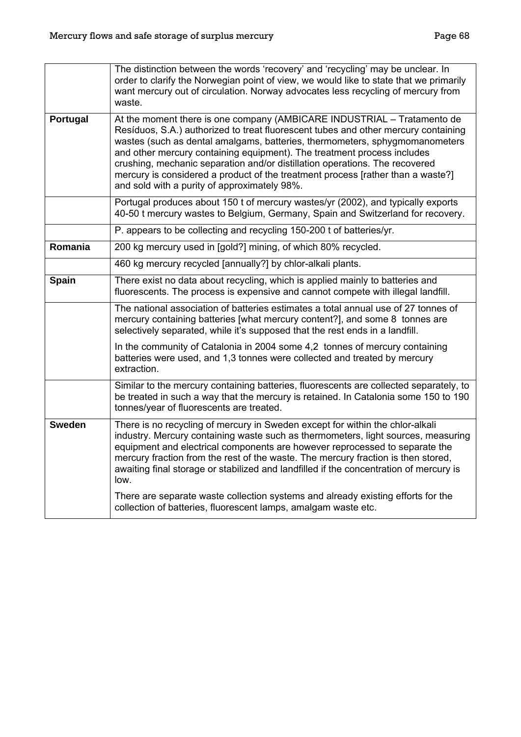|               | The distinction between the words 'recovery' and 'recycling' may be unclear. In<br>order to clarify the Norwegian point of view, we would like to state that we primarily<br>want mercury out of circulation. Norway advocates less recycling of mercury from<br>waste.                                                                                                                                                                                                                                                                   |
|---------------|-------------------------------------------------------------------------------------------------------------------------------------------------------------------------------------------------------------------------------------------------------------------------------------------------------------------------------------------------------------------------------------------------------------------------------------------------------------------------------------------------------------------------------------------|
| Portugal      | At the moment there is one company (AMBICARE INDUSTRIAL - Tratamento de<br>Resíduos, S.A.) authorized to treat fluorescent tubes and other mercury containing<br>wastes (such as dental amalgams, batteries, thermometers, sphygmomanometers<br>and other mercury containing equipment). The treatment process includes<br>crushing, mechanic separation and/or distillation operations. The recovered<br>mercury is considered a product of the treatment process [rather than a waste?]<br>and sold with a purity of approximately 98%. |
|               | Portugal produces about 150 t of mercury wastes/yr (2002), and typically exports<br>40-50 t mercury wastes to Belgium, Germany, Spain and Switzerland for recovery.                                                                                                                                                                                                                                                                                                                                                                       |
|               | P. appears to be collecting and recycling 150-200 t of batteries/yr.                                                                                                                                                                                                                                                                                                                                                                                                                                                                      |
| Romania       | 200 kg mercury used in [gold?] mining, of which 80% recycled.                                                                                                                                                                                                                                                                                                                                                                                                                                                                             |
|               | 460 kg mercury recycled [annually?] by chlor-alkali plants.                                                                                                                                                                                                                                                                                                                                                                                                                                                                               |
| <b>Spain</b>  | There exist no data about recycling, which is applied mainly to batteries and<br>fluorescents. The process is expensive and cannot compete with illegal landfill.                                                                                                                                                                                                                                                                                                                                                                         |
|               | The national association of batteries estimates a total annual use of 27 tonnes of<br>mercury containing batteries [what mercury content?], and some 8 tonnes are<br>selectively separated, while it's supposed that the rest ends in a landfill.                                                                                                                                                                                                                                                                                         |
|               | In the community of Catalonia in 2004 some 4,2 tonnes of mercury containing<br>batteries were used, and 1,3 tonnes were collected and treated by mercury<br>extraction.                                                                                                                                                                                                                                                                                                                                                                   |
|               | Similar to the mercury containing batteries, fluorescents are collected separately, to<br>be treated in such a way that the mercury is retained. In Catalonia some 150 to 190<br>tonnes/year of fluorescents are treated.                                                                                                                                                                                                                                                                                                                 |
| <b>Sweden</b> | There is no recycling of mercury in Sweden except for within the chlor-alkali<br>industry. Mercury containing waste such as thermometers, light sources, measuring<br>equipment and electrical components are however reprocessed to separate the<br>mercury fraction from the rest of the waste. The mercury fraction is then stored,<br>awaiting final storage or stabilized and landfilled if the concentration of mercury is<br>low.                                                                                                  |
|               | There are separate waste collection systems and already existing efforts for the<br>collection of batteries, fluorescent lamps, amalgam waste etc.                                                                                                                                                                                                                                                                                                                                                                                        |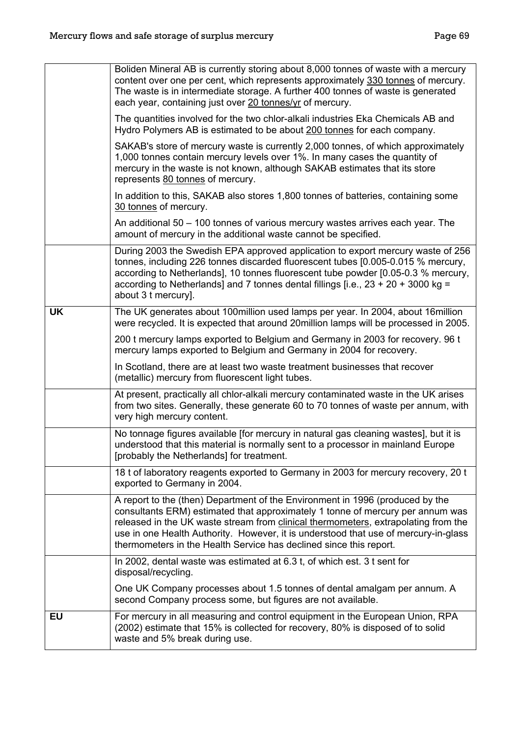|           | Boliden Mineral AB is currently storing about 8,000 tonnes of waste with a mercury<br>content over one per cent, which represents approximately 330 tonnes of mercury.<br>The waste is in intermediate storage. A further 400 tonnes of waste is generated<br>each year, containing just over 20 tonnes/yr of mercury.                                                                                             |
|-----------|--------------------------------------------------------------------------------------------------------------------------------------------------------------------------------------------------------------------------------------------------------------------------------------------------------------------------------------------------------------------------------------------------------------------|
|           | The quantities involved for the two chlor-alkali industries Eka Chemicals AB and<br>Hydro Polymers AB is estimated to be about 200 tonnes for each company.                                                                                                                                                                                                                                                        |
|           | SAKAB's store of mercury waste is currently 2,000 tonnes, of which approximately<br>1,000 tonnes contain mercury levels over 1%. In many cases the quantity of<br>mercury in the waste is not known, although SAKAB estimates that its store<br>represents 80 tonnes of mercury.                                                                                                                                   |
|           | In addition to this, SAKAB also stores 1,800 tonnes of batteries, containing some<br>30 tonnes of mercury.                                                                                                                                                                                                                                                                                                         |
|           | An additional 50 – 100 tonnes of various mercury wastes arrives each year. The<br>amount of mercury in the additional waste cannot be specified.                                                                                                                                                                                                                                                                   |
|           | During 2003 the Swedish EPA approved application to export mercury waste of 256<br>tonnes, including 226 tonnes discarded fluorescent tubes [0.005-0.015 % mercury,<br>according to Netherlands], 10 tonnes fluorescent tube powder [0.05-0.3 % mercury,<br>according to Netherlands] and 7 tonnes dental fillings [i.e., $23 + 20 + 3000$ kg =<br>about 3 t mercury].                                             |
| <b>UK</b> | The UK generates about 100million used lamps per year. In 2004, about 16million<br>were recycled. It is expected that around 20million lamps will be processed in 2005.                                                                                                                                                                                                                                            |
|           | 200 t mercury lamps exported to Belgium and Germany in 2003 for recovery. 96 t<br>mercury lamps exported to Belgium and Germany in 2004 for recovery.                                                                                                                                                                                                                                                              |
|           | In Scotland, there are at least two waste treatment businesses that recover<br>(metallic) mercury from fluorescent light tubes.                                                                                                                                                                                                                                                                                    |
|           | At present, practically all chlor-alkali mercury contaminated waste in the UK arises<br>from two sites. Generally, these generate 60 to 70 tonnes of waste per annum, with<br>very high mercury content.                                                                                                                                                                                                           |
|           | No tonnage figures available [for mercury in natural gas cleaning wastes], but it is<br>understood that this material is normally sent to a processor in mainland Europe<br>[probably the Netherlands] for treatment.                                                                                                                                                                                              |
|           | 18 t of laboratory reagents exported to Germany in 2003 for mercury recovery, 20 t<br>exported to Germany in 2004.                                                                                                                                                                                                                                                                                                 |
|           | A report to the (then) Department of the Environment in 1996 (produced by the<br>consultants ERM) estimated that approximately 1 tonne of mercury per annum was<br>released in the UK waste stream from clinical thermometers, extrapolating from the<br>use in one Health Authority. However, it is understood that use of mercury-in-glass<br>thermometers in the Health Service has declined since this report. |
|           | In 2002, dental waste was estimated at 6.3 t, of which est. 3 t sent for<br>disposal/recycling.                                                                                                                                                                                                                                                                                                                    |
|           | One UK Company processes about 1.5 tonnes of dental amalgam per annum. A<br>second Company process some, but figures are not available.                                                                                                                                                                                                                                                                            |
| <b>EU</b> | For mercury in all measuring and control equipment in the European Union, RPA<br>(2002) estimate that 15% is collected for recovery, 80% is disposed of to solid<br>waste and 5% break during use.                                                                                                                                                                                                                 |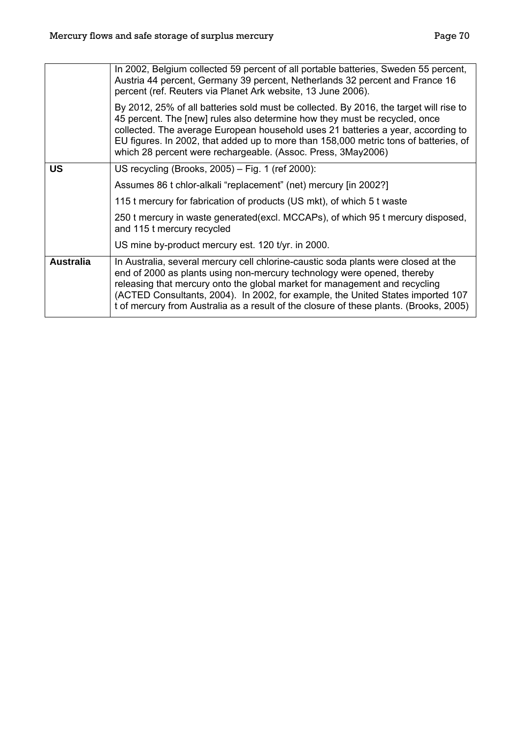|                  | In 2002, Belgium collected 59 percent of all portable batteries, Sweden 55 percent,<br>Austria 44 percent, Germany 39 percent, Netherlands 32 percent and France 16<br>percent (ref. Reuters via Planet Ark website, 13 June 2006).                                                                                                                                                                                      |
|------------------|--------------------------------------------------------------------------------------------------------------------------------------------------------------------------------------------------------------------------------------------------------------------------------------------------------------------------------------------------------------------------------------------------------------------------|
|                  | By 2012, 25% of all batteries sold must be collected. By 2016, the target will rise to<br>45 percent. The [new] rules also determine how they must be recycled, once<br>collected. The average European household uses 21 batteries a year, according to<br>EU figures. In 2002, that added up to more than 158,000 metric tons of batteries, of<br>which 28 percent were rechargeable. (Assoc. Press, 3May2006)         |
| <b>US</b>        | US recycling (Brooks, 2005) - Fig. 1 (ref 2000):                                                                                                                                                                                                                                                                                                                                                                         |
|                  | Assumes 86 t chlor-alkali "replacement" (net) mercury [in 2002?]                                                                                                                                                                                                                                                                                                                                                         |
|                  | 115 t mercury for fabrication of products (US mkt), of which 5 t waste                                                                                                                                                                                                                                                                                                                                                   |
|                  | 250 t mercury in waste generated (excl. MCCAPs), of which 95 t mercury disposed,<br>and 115 t mercury recycled                                                                                                                                                                                                                                                                                                           |
|                  | US mine by-product mercury est. 120 t/yr. in 2000.                                                                                                                                                                                                                                                                                                                                                                       |
| <b>Australia</b> | In Australia, several mercury cell chlorine-caustic soda plants were closed at the<br>end of 2000 as plants using non-mercury technology were opened, thereby<br>releasing that mercury onto the global market for management and recycling<br>(ACTED Consultants, 2004). In 2002, for example, the United States imported 107<br>t of mercury from Australia as a result of the closure of these plants. (Brooks, 2005) |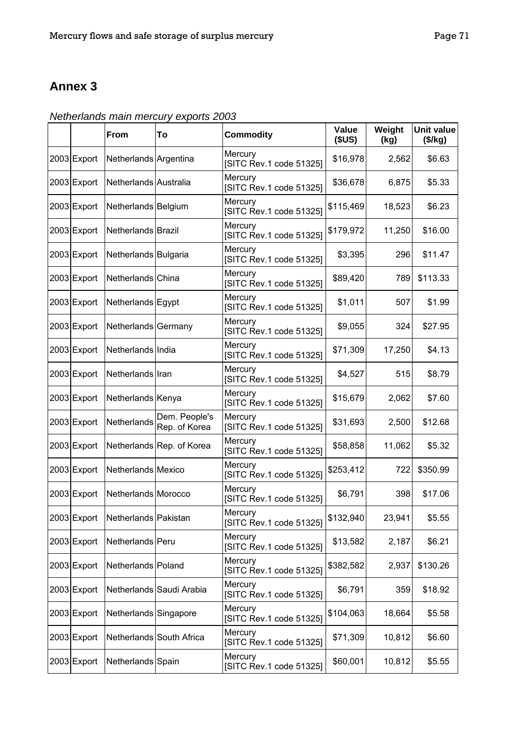## **Annex 3**

*Netherlands main mercury exports 2003* 

|             | From                             | To                             | <b>Commodity</b>                   | Value<br>(SUS) | Weight<br>(kg) | <b>Unit value</b><br>(\$/kg) |
|-------------|----------------------------------|--------------------------------|------------------------------------|----------------|----------------|------------------------------|
| 2003 Export | Netherlands Argentina            |                                | Mercury<br>[SITC Rev.1 code 51325] | \$16,978       | 2,562          | \$6.63                       |
| 2003 Export | Netherlands Australia            |                                | Mercury<br>[SITC Rev.1 code 51325] | \$36,678       | 6,875          | \$5.33                       |
| 2003 Export | Netherlands Belgium              |                                | Mercury<br>[SITC Rev.1 code 51325] | \$115,469      | 18,523         | \$6.23                       |
| 2003 Export | Netherlands Brazil               |                                | Mercury<br>[SITC Rev.1 code 51325] | \$179,972      | 11,250         | \$16.00                      |
| 2003 Export | Netherlands Bulgaria             |                                | Mercury<br>[SITC Rev.1 code 51325] | \$3,395        | 296            | \$11.47                      |
| 2003 Export | Netherlands China                |                                | Mercury<br>[SITC Rev.1 code 51325] | \$89,420       | 789            | \$113.33                     |
| 2003 Export | Netherlands Egypt                |                                | Mercury<br>[SITC Rev.1 code 51325] | \$1,011        | 507            | \$1.99                       |
| 2003 Export | Netherlands Germany              |                                | Mercury<br>[SITC Rev.1 code 51325] | \$9,055        | 324            | \$27.95                      |
| 2003 Export | Netherlands India                |                                | Mercury<br>[SITC Rev.1 code 51325] | \$71,309       | 17,250         | \$4.13                       |
| 2003 Export | Netherlands Iran                 |                                | Mercury<br>[SITC Rev.1 code 51325] | \$4,527        | 515            | \$8.79                       |
| 2003 Export | Netherlands Kenya                |                                | Mercury<br>[SITC Rev.1 code 51325] | \$15,679       | 2,062          | \$7.60                       |
| 2003 Export | Netherlands                      | Dem. People's<br>Rep. of Korea | Mercury<br>[SITC Rev.1 code 51325] | \$31,693       | 2,500          | \$12.68                      |
| 2003 Export |                                  | Netherlands Rep. of Korea      | Mercury<br>[SITC Rev.1 code 51325] | \$58,858       | 11,062         | \$5.32                       |
| 2003 Export | Netherlands Mexico               |                                | Mercury<br>[SITC Rev.1 code 51325] | \$253,412      | 722            | \$350.99                     |
| 2003 Export | Netherlands Morocco              |                                | Mercury<br>[SITC Rev.1 code 51325] | \$6,791        | 398            | \$17.06                      |
|             | 2003 Export Netherlands Pakistan |                                | Mercury<br>[SITC Rev.1 code 51325] | \$132,940      | 23,941         | \$5.55                       |
| 2003 Export | Netherlands Peru                 |                                | Mercury<br>[SITC Rev.1 code 51325] | \$13,582       | 2,187          | \$6.21                       |
| 2003 Export | Netherlands Poland               |                                | Mercury<br>[SITC Rev.1 code 51325] | \$382,582      | 2,937          | \$130.26                     |
| 2003 Export |                                  | Netherlands Saudi Arabia       | Mercury<br>[SITC Rev.1 code 51325] | \$6,791        | 359            | \$18.92                      |
| 2003 Export | Netherlands Singapore            |                                | Mercury<br>[SITC Rev.1 code 51325] | \$104,063      | 18,664         | \$5.58                       |
| 2003 Export |                                  | Netherlands South Africa       | Mercury<br>[SITC Rev.1 code 51325] | \$71,309       | 10,812         | \$6.60                       |
| 2003 Export | Netherlands Spain                |                                | Mercury<br>[SITC Rev.1 code 51325] | \$60,001       | 10,812         | \$5.55                       |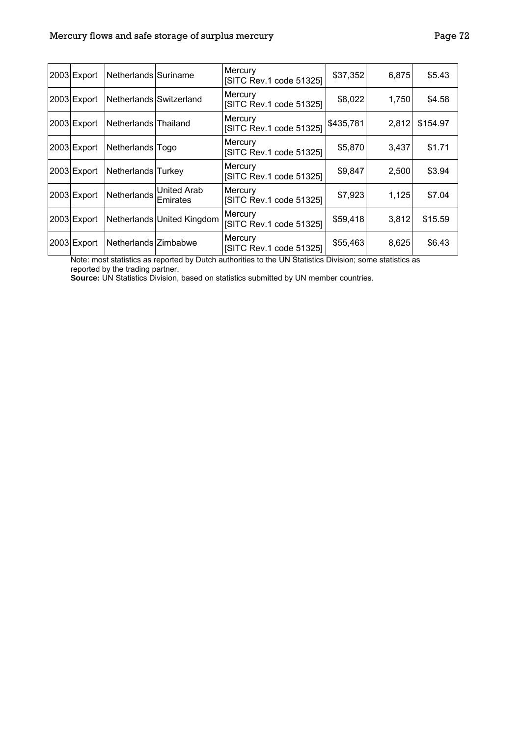| 2003 Export | Netherlands Suriname    |                                | Mercury<br>[SITC Rev.1 code 51325] | \$37,352  | 6,875 | \$5.43   |
|-------------|-------------------------|--------------------------------|------------------------------------|-----------|-------|----------|
| 2003 Export | Netherlands Switzerland |                                | Mercury<br>[SITC Rev.1 code 51325] | \$8,022   | 1,750 | \$4.58   |
| 2003 Export | Netherlands Thailand    |                                | Mercury<br>[SITC Rev.1 code 51325] | \$435,781 | 2,812 | \$154.97 |
| 2003 Export | Netherlands Togo        |                                | Mercury<br>[SITC Rev.1 code 51325] | \$5,870   | 3,437 | \$1.71   |
| 2003 Export | Netherlands Turkey      |                                | Mercury<br>[SITC Rev.1 code 51325] | \$9,847   | 2,500 | \$3.94   |
| 2003 Export | Netherlands             | United Arab<br><b>Emirates</b> | Mercury<br>[SITC Rev.1 code 51325] | \$7,923   | 1,125 | \$7.04   |
| 2003 Export |                         | Netherlands United Kingdom     | Mercury<br>[SITC Rev.1 code 51325] | \$59,418  | 3,812 | \$15.59  |
| 2003 Export | Netherlands Zimbabwe    |                                | Mercury<br>[SITC Rev.1 code 51325] | \$55,463  | 8,625 | \$6.43   |

Note: most statistics as reported by Dutch authorities to the UN Statistics Division; some statistics as reported by the trading partner.

**Source:** UN Statistics Division, based on statistics submitted by UN member countries.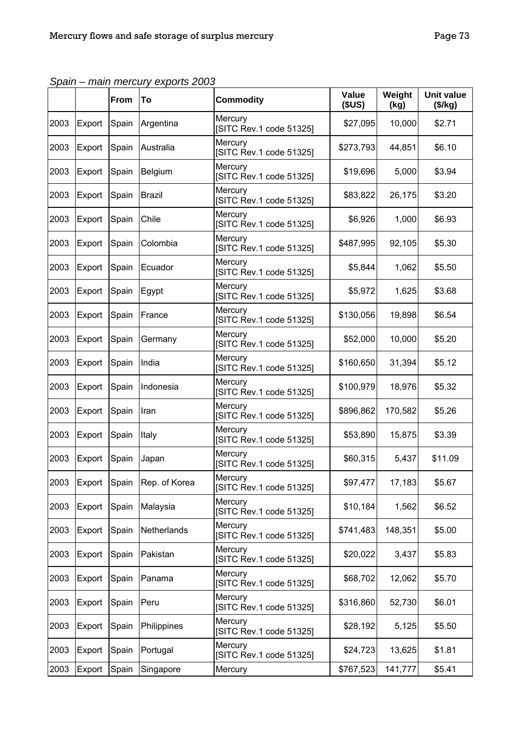|      |        | From  | To             | <b>Commodity</b>                   | Value<br>(SUS) | Weight<br>(kg) | <b>Unit value</b><br>(\$/kg) |
|------|--------|-------|----------------|------------------------------------|----------------|----------------|------------------------------|
| 2003 | Export | Spain | Argentina      | Mercury<br>[SITC Rev.1 code 51325] | \$27,095       | 10,000         | \$2.71                       |
| 2003 | Export | Spain | Australia      | Mercury<br>[SITC Rev.1 code 51325] | \$273,793      | 44,851         | \$6.10                       |
| 2003 | Export | Spain | <b>Belgium</b> | Mercury<br>[SITC Rev.1 code 51325] | \$19,696       | 5,000          | \$3.94                       |
| 2003 | Export | Spain | Brazil         | Mercury<br>[SITC Rev.1 code 51325] | \$83,822       | 26,175         | \$3.20                       |
| 2003 | Export | Spain | Chile          | Mercury<br>[SITC Rev.1 code 51325] | \$6,926        | 1,000          | \$6.93                       |
| 2003 | Export | Spain | Colombia       | Mercury<br>[SITC Rev.1 code 51325] | \$487,995      | 92,105         | \$5.30                       |
| 2003 | Export | Spain | Ecuador        | Mercury<br>[SITC Rev.1 code 51325] | \$5,844        | 1,062          | \$5.50                       |
| 2003 | Export | Spain | Egypt          | Mercury<br>[SITC Rev.1 code 51325] | \$5,972        | 1,625          | \$3.68                       |
| 2003 | Export | Spain | France         | Mercury<br>[SITC Rev.1 code 51325] | \$130,056      | 19,898         | \$6.54                       |
| 2003 | Export | Spain | Germany        | Mercury<br>[SITC Rev.1 code 51325] | \$52,000       | 10,000         | \$5.20                       |
| 2003 | Export | Spain | India          | Mercury<br>[SITC Rev.1 code 51325] | \$160,650      | 31,394         | \$5.12                       |
| 2003 | Export | Spain | Indonesia      | Mercury<br>[SITC Rev.1 code 51325] | \$100,979      | 18,976         | \$5.32                       |
| 2003 | Export | Spain | Iran           | Mercury<br>[SITC Rev.1 code 51325] | \$896,862      | 170,582        | \$5.26                       |
| 2003 | Export | Spain | Italy          | Mercury<br>[SITC Rev.1 code 51325] | \$53,890       | 15,875         | \$3.39                       |
| 2003 | Export | Spain | Japan          | Mercury<br>[SITC Rev.1 code 51325] | \$60,315       | 5,437          | \$11.09                      |
| 2003 | Export | Spain | Rep. of Korea  | Mercury<br>[SITC Rev.1 code 51325] | \$97,477       | 17,183         | \$5.67                       |
| 2003 | Export | Spain | Malaysia       | Mercury<br>[SITC Rev.1 code 51325] | \$10,184       | 1,562          | \$6.52                       |
| 2003 | Export | Spain | Netherlands    | Mercury<br>[SITC Rev.1 code 51325] | \$741,483      | 148,351        | \$5.00                       |
| 2003 | Export | Spain | Pakistan       | Mercury<br>[SITC Rev.1 code 51325] | \$20,022       | 3,437          | \$5.83                       |
| 2003 | Export | Spain | Panama         | Mercury<br>[SITC Rev.1 code 51325] | \$68,702       | 12,062         | \$5.70                       |
| 2003 | Export | Spain | Peru           | Mercury<br>[SITC Rev.1 code 51325] | \$316,860      | 52,730         | \$6.01                       |
| 2003 | Export | Spain | Philippines    | Mercury<br>[SITC Rev.1 code 51325] | \$28,192       | 5,125          | \$5.50                       |
| 2003 | Export | Spain | Portugal       | Mercury<br>[SITC Rev.1 code 51325] | \$24,723       | 13,625         | \$1.81                       |
| 2003 | Export | Spain | Singapore      | Mercury                            | \$767,523      | 141,777        | \$5.41                       |

*Spain – main mercury exports 2003*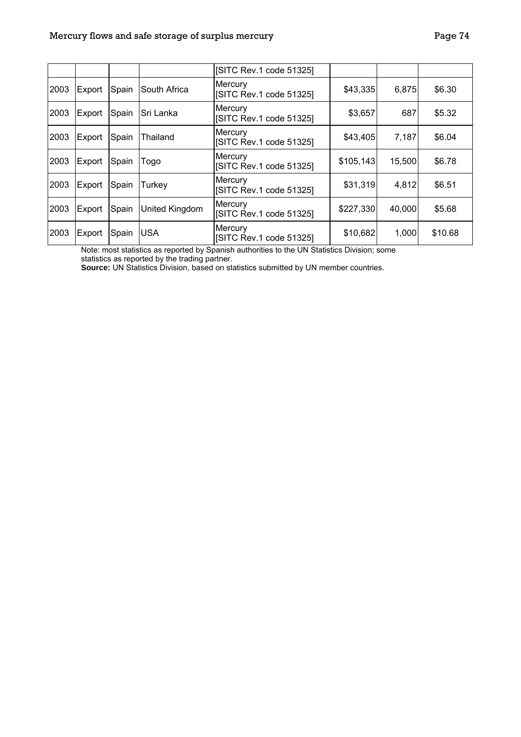|      |        |       |                | [SITC Rev.1 code 51325]            |           |        |         |
|------|--------|-------|----------------|------------------------------------|-----------|--------|---------|
| 2003 | Export | Spain | South Africa   | Mercury<br>[SITC Rev.1 code 51325] | \$43,335  | 6,875  | \$6.30  |
| 2003 | Export | Spain | Sri Lanka      | Mercury<br>[SITC Rev.1 code 51325] | \$3,657   | 687    | \$5.32  |
| 2003 | Export | Spain | Thailand       | Mercury<br>[SITC Rev.1 code 51325] | \$43,405  | 7,187  | \$6.04  |
| 2003 | Export | Spain | Togo           | Mercury<br>[SITC Rev.1 code 51325] | \$105,143 | 15,500 | \$6.78  |
| 2003 | Export | Spain | Turkey         | Mercury<br>[SITC Rev.1 code 51325] | \$31,319  | 4,812  | \$6.51  |
| 2003 | Export | Spain | United Kingdom | Mercury<br>[SITC Rev.1 code 51325] | \$227,330 | 40,000 | \$5.68  |
| 2003 | Export | Spain | <b>USA</b>     | Mercury<br>[SITC Rev.1 code 51325] | \$10,682  | 1,000  | \$10.68 |

Note: most statistics as reported by Spanish authorities to the UN Statistics Division; some statistics as reported by the trading partner.

**Source:** UN Statistics Division, based on statistics submitted by UN member countries.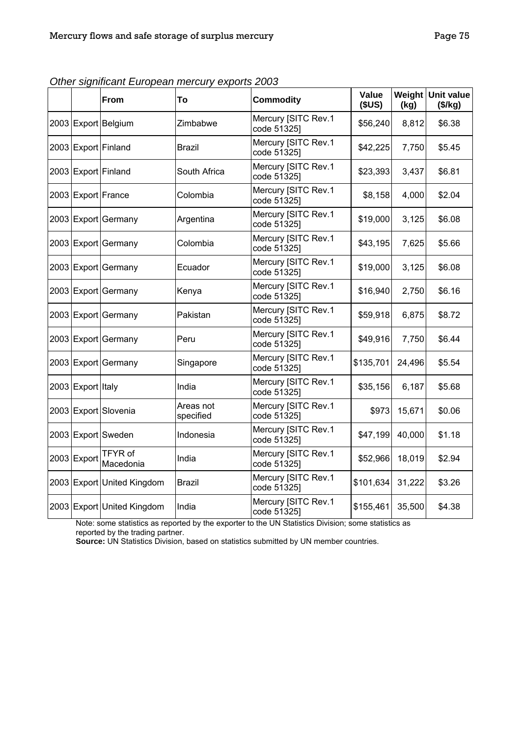|                   | <b>From</b>                 | To                     | <b>Commodity</b>                   | <b>Value</b><br>(SUS) | Weight<br>(kg) | Unit value<br>(\$/kg) |
|-------------------|-----------------------------|------------------------|------------------------------------|-----------------------|----------------|-----------------------|
|                   | 2003 Export Belgium         | Zimbabwe               | Mercury [SITC Rev.1<br>code 51325] | \$56,240              | 8,812          | \$6.38                |
|                   | 2003 Export Finland         | <b>Brazil</b>          | Mercury [SITC Rev.1<br>code 51325] | \$42,225              | 7,750          | \$5.45                |
|                   | 2003 Export Finland         | South Africa           | Mercury [SITC Rev.1<br>code 51325] | \$23,393              | 3,437          | \$6.81                |
|                   | 2003 Export France          | Colombia               | Mercury [SITC Rev.1<br>code 51325] | \$8,158               | 4,000          | \$2.04                |
|                   | 2003 Export Germany         | Argentina              | Mercury [SITC Rev.1<br>code 51325] | \$19,000              | 3,125          | \$6.08                |
|                   | 2003 Export Germany         | Colombia               | Mercury [SITC Rev.1<br>code 51325] | \$43,195              | 7,625          | \$5.66                |
|                   | 2003 Export Germany         | Ecuador                | Mercury [SITC Rev.1<br>code 51325] | \$19,000              | 3,125          | \$6.08                |
|                   | 2003 Export Germany         | Kenya                  | Mercury [SITC Rev.1<br>code 51325] | \$16,940              | 2,750          | \$6.16                |
|                   | 2003 Export Germany         | Pakistan               | Mercury [SITC Rev.1<br>code 51325] | \$59,918              | 6,875          | \$8.72                |
|                   | 2003 Export Germany         | Peru                   | Mercury [SITC Rev.1<br>code 51325] | \$49,916              | 7,750          | \$6.44                |
|                   | 2003 Export Germany         | Singapore              | Mercury [SITC Rev.1<br>code 51325] | \$135,701             | 24,496         | \$5.54                |
| 2003 Export Italy |                             | India                  | Mercury [SITC Rev.1<br>code 51325] | \$35,156              | 6,187          | \$5.68                |
|                   | 2003 Export Slovenia        | Areas not<br>specified | Mercury [SITC Rev.1<br>code 51325] | \$973                 | 15,671         | \$0.06                |
|                   | 2003 Export Sweden          | Indonesia              | Mercury [SITC Rev.1<br>code 51325] | \$47,199              | 40,000         | \$1.18                |
| 2003 Export       | <b>TFYR of</b><br>Macedonia | India                  | Mercury [SITC Rev.1<br>code 51325] | \$52,966              | 18,019         | \$2.94                |
|                   | 2003 Export United Kingdom  | <b>Brazil</b>          | Mercury [SITC Rev.1<br>code 51325] | \$101,634             | 31,222         | \$3.26                |
|                   | 2003 Export United Kingdom  | India                  | Mercury [SITC Rev.1<br>code 51325] | \$155,461             | 35,500         | \$4.38                |

*Other significant European mercury exports 2003* 

Note: some statistics as reported by the exporter to the UN Statistics Division; some statistics as reported by the trading partner.

**Source:** UN Statistics Division, based on statistics submitted by UN member countries.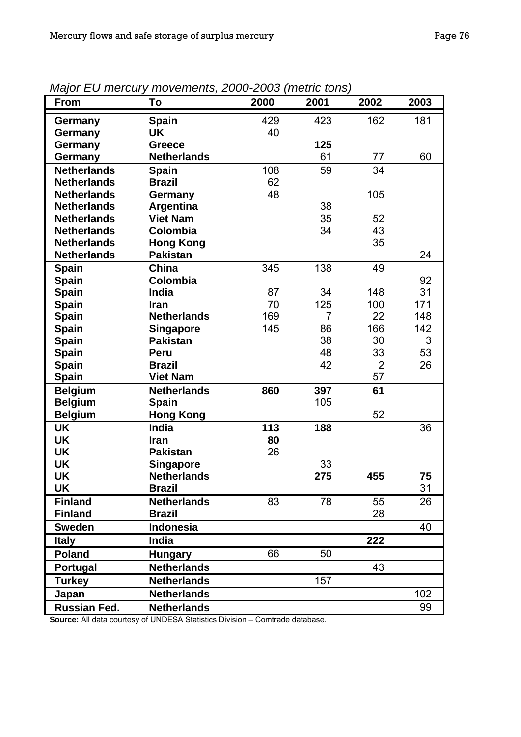| From                | To                 | 2000 | 2001           | 2002           | 2003 |
|---------------------|--------------------|------|----------------|----------------|------|
| Germany             | <b>Spain</b>       | 429  | 423            | 162            | 181  |
| Germany             | UK                 | 40   |                |                |      |
| Germany             | <b>Greece</b>      |      | 125            |                |      |
| Germany             | <b>Netherlands</b> |      | 61             | 77             | 60   |
| <b>Netherlands</b>  | <b>Spain</b>       | 108  | 59             | 34             |      |
| <b>Netherlands</b>  | <b>Brazil</b>      | 62   |                |                |      |
| <b>Netherlands</b>  | Germany            | 48   |                | 105            |      |
| <b>Netherlands</b>  | Argentina          |      | 38             |                |      |
| <b>Netherlands</b>  | <b>Viet Nam</b>    |      | 35             | 52             |      |
| <b>Netherlands</b>  | Colombia           |      | 34             | 43             |      |
| <b>Netherlands</b>  | <b>Hong Kong</b>   |      |                | 35             |      |
| <b>Netherlands</b>  | <b>Pakistan</b>    |      |                |                | 24   |
| <b>Spain</b>        | <b>China</b>       | 345  | 138            | 49             |      |
| <b>Spain</b>        | <b>Colombia</b>    |      |                |                | 92   |
| <b>Spain</b>        | India              | 87   | 34             | 148            | 31   |
| <b>Spain</b>        | <b>Iran</b>        | 70   | 125            | 100            | 171  |
| <b>Spain</b>        | <b>Netherlands</b> | 169  | $\overline{7}$ | 22             | 148  |
| <b>Spain</b>        | <b>Singapore</b>   | 145  | 86             | 166            | 142  |
| <b>Spain</b>        | <b>Pakistan</b>    |      | 38             | 30             | 3    |
| <b>Spain</b>        | Peru               |      | 48             | 33             | 53   |
| <b>Spain</b>        | <b>Brazil</b>      |      | 42             | $\overline{2}$ | 26   |
| <b>Spain</b>        | <b>Viet Nam</b>    |      |                | 57             |      |
| <b>Belgium</b>      | <b>Netherlands</b> | 860  | 397            | 61             |      |
| <b>Belgium</b>      | <b>Spain</b>       |      | 105            |                |      |
| <b>Belgium</b>      | <b>Hong Kong</b>   |      |                | 52             |      |
| <b>UK</b>           | <b>India</b>       | 113  | 188            |                | 36   |
| <b>UK</b>           | Iran               | 80   |                |                |      |
| <b>UK</b>           | <b>Pakistan</b>    | 26   |                |                |      |
| <b>UK</b>           | <b>Singapore</b>   |      | 33             |                |      |
| <b>UK</b>           | <b>Netherlands</b> |      | 275            | 455            | 75   |
| UK                  | Brazil             |      |                |                | 31   |
| <b>Finland</b>      | <b>Netherlands</b> | 83   | 78             | 55             | 26   |
| <b>Finland</b>      | <b>Brazil</b>      |      |                | 28             |      |
| <b>Sweden</b>       | <b>Indonesia</b>   |      |                |                | 40   |
| <b>Italy</b>        | <b>India</b>       |      |                | 222            |      |
| <b>Poland</b>       | <b>Hungary</b>     | 66   | 50             |                |      |
| Portugal            | <b>Netherlands</b> |      |                | 43             |      |
| <b>Turkey</b>       | <b>Netherlands</b> |      | 157            |                |      |
| Japan               | <b>Netherlands</b> |      |                |                | 102  |
| <b>Russian Fed.</b> | <b>Netherlands</b> |      |                |                | 99   |
|                     |                    |      |                |                |      |

*Major EU mercury movements, 2000-2003 (metric tons)* 

**Source:** All data courtesy of UNDESA Statistics Division – Comtrade database.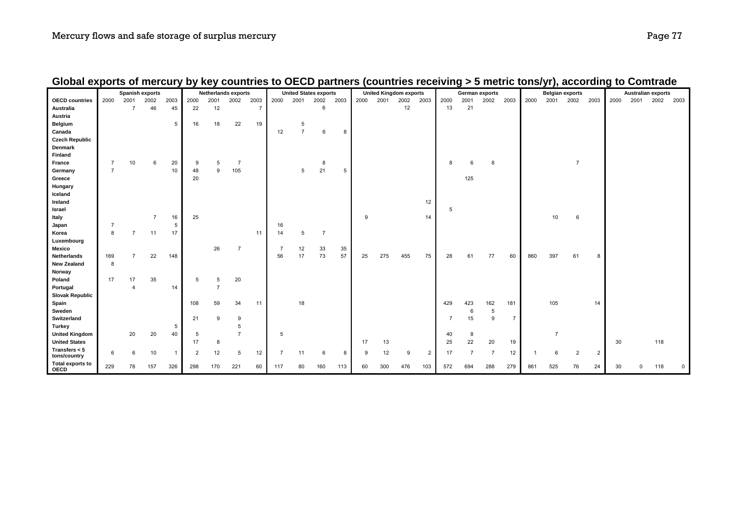|                                 |                | <b>Spanish exports</b> |                |      | <b>Netherlands exports</b> |                |                |                | <b>United States exports</b> |                |                |      | <b>United Kingdom exports</b> |      |      |                | German exports |                |                |                | <b>Belgian exports</b> |                |                |                | <b>Australian exports</b> |          |      |             |
|---------------------------------|----------------|------------------------|----------------|------|----------------------------|----------------|----------------|----------------|------------------------------|----------------|----------------|------|-------------------------------|------|------|----------------|----------------|----------------|----------------|----------------|------------------------|----------------|----------------|----------------|---------------------------|----------|------|-------------|
| <b>OECD</b> countries           | 2000           | 2001                   | 2002           | 2003 | 2000                       | 2001           | 2002           | 2003           | 2000                         | 2001           | 2002           | 2003 | 2000                          | 2001 | 2002 | 2003           | 2000           | 2001           | 2002           | 2003           | 2000                   | 2001           | 2002           | 2003           | 2000                      | 2001     | 2002 | 2003        |
| Australia                       |                | $\overline{7}$         | 46             | 45   | 22                         | 12             |                | $\overline{7}$ |                              |                | 6              |      |                               |      | 12   |                | 13             | 21             |                |                |                        |                |                |                |                           |          |      |             |
| Austria                         |                |                        |                |      |                            |                |                |                |                              |                |                |      |                               |      |      |                |                |                |                |                |                        |                |                |                |                           |          |      |             |
| Belgium                         |                |                        |                | 5    | 16                         | 18             | 22             | 19             |                              | $\sqrt{5}$     |                |      |                               |      |      |                |                |                |                |                |                        |                |                |                |                           |          |      |             |
| Canada                          |                |                        |                |      |                            |                |                |                | 12                           | $\overline{7}$ | 6              | 8    |                               |      |      |                |                |                |                |                |                        |                |                |                |                           |          |      |             |
| <b>Czech Republic</b>           |                |                        |                |      |                            |                |                |                |                              |                |                |      |                               |      |      |                |                |                |                |                |                        |                |                |                |                           |          |      |             |
| Denmark                         |                |                        |                |      |                            |                |                |                |                              |                |                |      |                               |      |      |                |                |                |                |                |                        |                |                |                |                           |          |      |             |
| Finland                         |                |                        |                |      |                            |                |                |                |                              |                |                |      |                               |      |      |                |                |                |                |                |                        |                |                |                |                           |          |      |             |
| France                          | $\overline{7}$ | 10                     | 6              | 20   | 9                          | 5              | $\overline{7}$ |                |                              |                | 8              |      |                               |      |      |                | 8              | 6              | 8              |                |                        |                | $\overline{7}$ |                |                           |          |      |             |
| Germany                         | $\overline{7}$ |                        |                | 10   | 48                         | 9              | 105            |                |                              | 5              | 21             | 5    |                               |      |      |                |                |                |                |                |                        |                |                |                |                           |          |      |             |
| Greece                          |                |                        |                |      | 20                         |                |                |                |                              |                |                |      |                               |      |      |                |                | 125            |                |                |                        |                |                |                |                           |          |      |             |
| Hungary                         |                |                        |                |      |                            |                |                |                |                              |                |                |      |                               |      |      |                |                |                |                |                |                        |                |                |                |                           |          |      |             |
| Iceland                         |                |                        |                |      |                            |                |                |                |                              |                |                |      |                               |      |      |                |                |                |                |                |                        |                |                |                |                           |          |      |             |
| Ireland                         |                |                        |                |      |                            |                |                |                |                              |                |                |      |                               |      |      | 12             |                |                |                |                |                        |                |                |                |                           |          |      |             |
| Israel                          |                |                        |                |      |                            |                |                |                |                              |                |                |      |                               |      |      |                | 5              |                |                |                |                        |                |                |                |                           |          |      |             |
| Italy                           |                |                        | $\overline{7}$ | 16   | 25                         |                |                |                |                              |                |                |      | 9                             |      |      | 14             |                |                |                |                |                        | 10             | 6              |                |                           |          |      |             |
| Japan                           |                |                        |                | 5    |                            |                |                |                | 16                           |                |                |      |                               |      |      |                |                |                |                |                |                        |                |                |                |                           |          |      |             |
| Korea                           | 8              | $\overline{ }$         | 11             | 17   |                            |                |                | 11             | 14                           | 5              | $\overline{7}$ |      |                               |      |      |                |                |                |                |                |                        |                |                |                |                           |          |      |             |
| Luxembourg                      |                |                        |                |      |                            |                |                |                |                              |                |                |      |                               |      |      |                |                |                |                |                |                        |                |                |                |                           |          |      |             |
| Mexico                          |                |                        |                |      |                            | 26             | $\overline{7}$ |                | $\overline{7}$               | 12             | 33             | 35   |                               |      |      |                |                |                |                |                |                        |                |                |                |                           |          |      |             |
| Netherlands                     | 169            | $\overline{7}$         | 22             | 148  |                            |                |                |                | 56                           | 17             | 73             | 57   | 25                            | 275  | 455  | 75             | 28             | 61             | 77             | 60             | 860                    | 397            | 61             | 8              |                           |          |      |             |
| <b>New Zealand</b>              | 8              |                        |                |      |                            |                |                |                |                              |                |                |      |                               |      |      |                |                |                |                |                |                        |                |                |                |                           |          |      |             |
| Norway                          |                |                        |                |      |                            |                |                |                |                              |                |                |      |                               |      |      |                |                |                |                |                |                        |                |                |                |                           |          |      |             |
| Poland                          | 17             | 17                     | 35             |      | 5                          | 5              | 20             |                |                              |                |                |      |                               |      |      |                |                |                |                |                |                        |                |                |                |                           |          |      |             |
| Portugal                        |                | 4                      |                | 14   |                            | $\overline{7}$ |                |                |                              |                |                |      |                               |      |      |                |                |                |                |                |                        |                |                |                |                           |          |      |             |
| <b>Slovak Republic</b>          |                |                        |                |      |                            |                |                |                |                              |                |                |      |                               |      |      |                |                |                |                |                |                        |                |                |                |                           |          |      |             |
| Spain                           |                |                        |                |      | 108                        | 59             | 34             | 11             |                              | 18             |                |      |                               |      |      |                | 429            | 423            | 162            | 181            |                        | 105            |                | 14             |                           |          |      |             |
| Sweden                          |                |                        |                |      |                            |                |                |                |                              |                |                |      |                               |      |      |                |                | 6              | 5              |                |                        |                |                |                |                           |          |      |             |
| Switzerland                     |                |                        |                |      | 21                         | 9              | 9              |                |                              |                |                |      |                               |      |      |                | $\overline{7}$ | 15             | 9              | $\overline{7}$ |                        |                |                |                |                           |          |      |             |
| <b>Turkey</b>                   |                |                        |                | 5    |                            |                | 5              |                |                              |                |                |      |                               |      |      |                |                |                |                |                |                        |                |                |                |                           |          |      |             |
| <b>United Kingdom</b>           |                | 20                     | 20             | 40   | 5                          |                | $\overline{7}$ |                | 5                            |                |                |      |                               |      |      |                | 40             | 8              |                |                |                        | $\overline{7}$ |                |                |                           |          |      |             |
| <b>United States</b>            |                |                        |                |      | 17                         | 8              |                |                |                              |                |                |      | 17                            | 13   |      |                | 25             | 22             | 20             | 19             |                        |                |                |                | 30                        |          | 118  |             |
| Transfers $< 5$<br>tons/country | 6              | 6                      | 10             | -1   | 2                          | 12             | 5              | 12             | $\overline{7}$               | 11             | 6              | 8    | 9                             | 12   | 9    | $\overline{2}$ | 17             | $\overline{7}$ | $\overline{7}$ | 12             |                        | 6              | $\overline{2}$ | $\overline{2}$ |                           |          |      |             |
| Total exports to<br>OECD        | 229            | 78                     | 157            | 326  | 298                        | 170            | 221            | 60             | 117                          | 80             | 160            | 113  | 60                            | 300  | 476  | 103            | 572            | 694            | 288            | 279            | 861                    | 525            | 76             | 24             | 30                        | $\Omega$ | 118  | $\mathsf 0$ |

## **Global exports of mercury by key countries to OECD partners (countries receiving > 5 metric tons/yr), according to Comtrade**